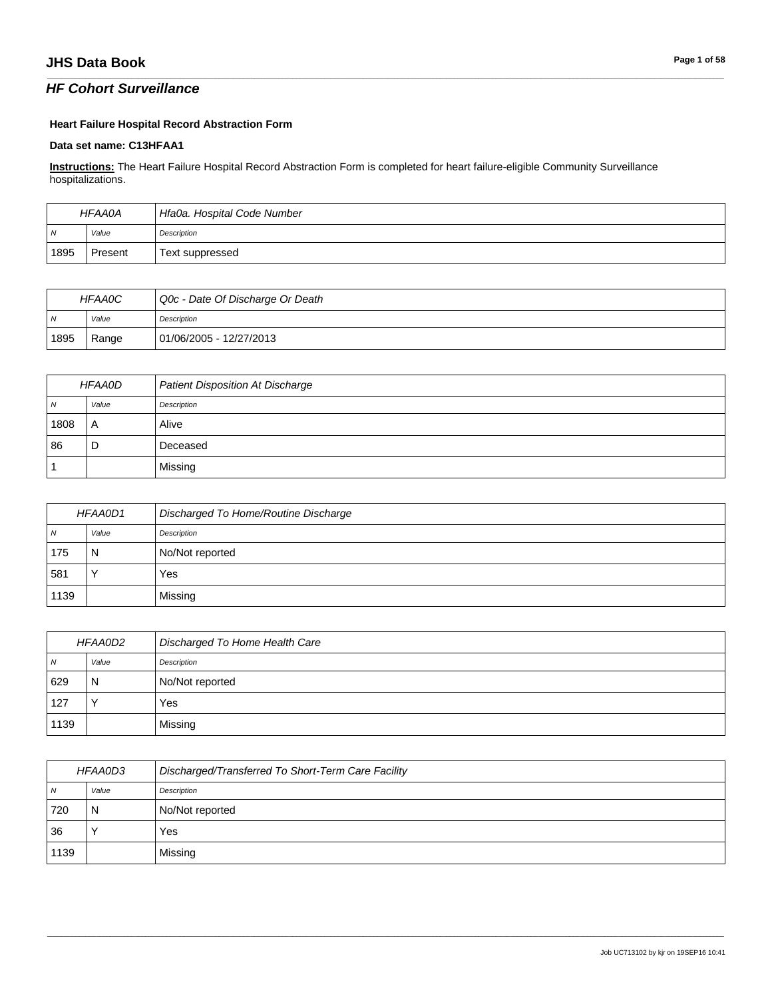#### *HF Cohort Surveillance*

#### **Heart Failure Hospital Record Abstraction Form**

#### **Data set name: C13HFAA1**

**Instructions:** The Heart Failure Hospital Record Abstraction Form is completed for heart failure-eligible Community Surveillance hospitalizations.

| <b>HFAA0A</b> |         | Hfa0a. Hospital Code Number |
|---------------|---------|-----------------------------|
| N             | Value   | Description                 |
| 1895          | Present | Text suppressed             |

\_\_\_\_\_\_\_\_\_\_\_\_\_\_\_\_\_\_\_\_\_\_\_\_\_\_\_\_\_\_\_\_\_\_\_\_\_\_\_\_\_\_\_\_\_\_\_\_\_\_\_\_\_\_\_\_\_\_\_\_\_\_\_\_\_\_\_\_\_\_\_\_\_\_\_\_\_\_\_\_\_\_\_\_\_\_\_\_\_\_\_\_\_\_\_\_\_\_\_\_\_\_\_\_\_\_\_\_\_\_\_\_\_\_\_\_\_\_\_\_\_\_\_\_\_\_\_\_\_\_\_\_\_\_\_\_\_\_\_\_\_\_\_\_\_\_\_\_\_\_\_\_\_\_\_\_\_\_\_\_\_\_\_\_\_\_\_\_\_\_\_\_\_\_\_\_\_\_\_\_\_\_\_\_\_\_\_\_\_\_\_\_\_

| <b>HFAA0C</b>  |       | Q0c - Date Of Discharge Or Death |
|----------------|-------|----------------------------------|
| $\overline{N}$ | Value | Description                      |
| 1895           | Range | 01/06/2005 - 12/27/2013          |

| <b>HFAA0D</b> |       | <b>Patient Disposition At Discharge</b> |
|---------------|-------|-----------------------------------------|
| N             | Value | Description                             |
| 1808          | A     | Alive                                   |
| 86            | D     | Deceased                                |
|               |       | Missing                                 |

| HFAA0D1 |       | Discharged To Home/Routine Discharge |
|---------|-------|--------------------------------------|
| N       | Value | Description                          |
| 175     | N     | No/Not reported                      |
| 581     |       | Yes                                  |
| 1139    |       | Missing                              |

| HFAA0D2    |       | Discharged To Home Health Care |
|------------|-------|--------------------------------|
| $\sqrt{N}$ | Value | Description                    |
| 629        | N     | No/Not reported                |
| 127        |       | Yes                            |
| 1139       |       | Missing                        |

| <b>HFAA0D3</b> |       | Discharged/Transferred To Short-Term Care Facility |
|----------------|-------|----------------------------------------------------|
| <sub>N</sub>   | Value | Description                                        |
| 720            | N     | No/Not reported                                    |
| 36             |       | Yes                                                |
| 1139           |       | Missing                                            |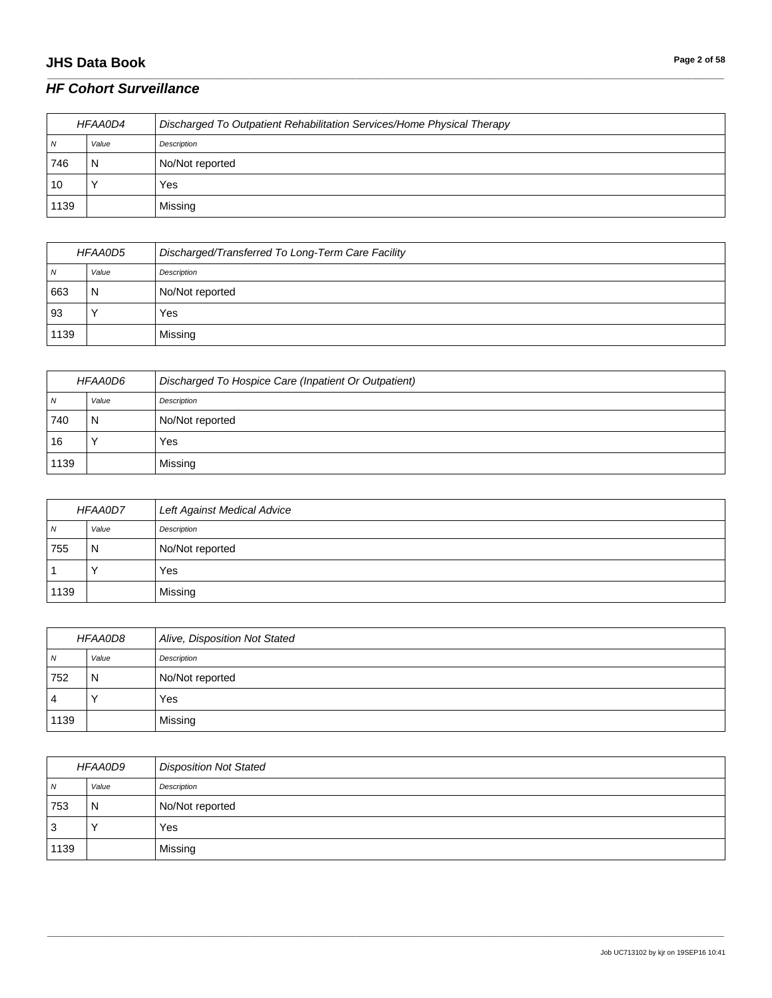#### **JHS Data Book Page 2 of 58**

## *HF Cohort Surveillance*

| HFAA0D4 |       | Discharged To Outpatient Rehabilitation Services/Home Physical Therapy |
|---------|-------|------------------------------------------------------------------------|
| N       | Value | Description                                                            |
| 746     | N     | No/Not reported                                                        |
| 10      |       | Yes                                                                    |
| 1139    |       | Missing                                                                |

\_\_\_\_\_\_\_\_\_\_\_\_\_\_\_\_\_\_\_\_\_\_\_\_\_\_\_\_\_\_\_\_\_\_\_\_\_\_\_\_\_\_\_\_\_\_\_\_\_\_\_\_\_\_\_\_\_\_\_\_\_\_\_\_\_\_\_\_\_\_\_\_\_\_\_\_\_\_\_\_\_\_\_\_\_\_\_\_\_\_\_\_\_\_\_\_\_\_\_\_\_\_\_\_\_\_\_\_\_\_\_\_\_\_\_\_\_\_\_\_\_\_\_\_\_\_\_\_\_\_\_\_\_\_\_\_\_\_\_\_\_\_\_\_\_\_\_\_\_\_\_\_\_\_\_\_\_\_\_\_\_\_\_\_\_\_\_\_\_\_\_\_\_\_\_\_\_\_\_\_\_\_\_\_\_\_\_\_\_\_\_\_\_

| <b>HFAA0D5</b> |       | Discharged/Transferred To Long-Term Care Facility |
|----------------|-------|---------------------------------------------------|
| 7V             | Value | Description                                       |
| 663            | N     | No/Not reported                                   |
| 93             |       | Yes                                               |
| 1139           |       | Missing                                           |

| <i>HFAA0D6</i> |       | Discharged To Hospice Care (Inpatient Or Outpatient) |
|----------------|-------|------------------------------------------------------|
| <b>N</b>       | Value | Description                                          |
| 740            | N     | No/Not reported                                      |
| 16             |       | Yes                                                  |
| 1139           |       | Missing                                              |

| HFAA0D7 |       | Left Against Medical Advice |
|---------|-------|-----------------------------|
| N       | Value | Description                 |
| 755     | N     | No/Not reported             |
|         |       | Yes                         |
| 1139    |       | Missing                     |

| <i><b>HFAA0D8</b></i> |       | Alive, Disposition Not Stated |
|-----------------------|-------|-------------------------------|
| $\overline{N}$        | Value | Description                   |
| 752                   | N     | No/Not reported               |
| $\overline{4}$        |       | Yes                           |
| 1139                  |       | Missing                       |

| HFAA0D9      |       | <b>Disposition Not Stated</b> |
|--------------|-------|-------------------------------|
| <sub>N</sub> | Value | Description                   |
| 753          | N     | No/Not reported               |
| 3            |       | Yes                           |
| 1139         |       | Missing                       |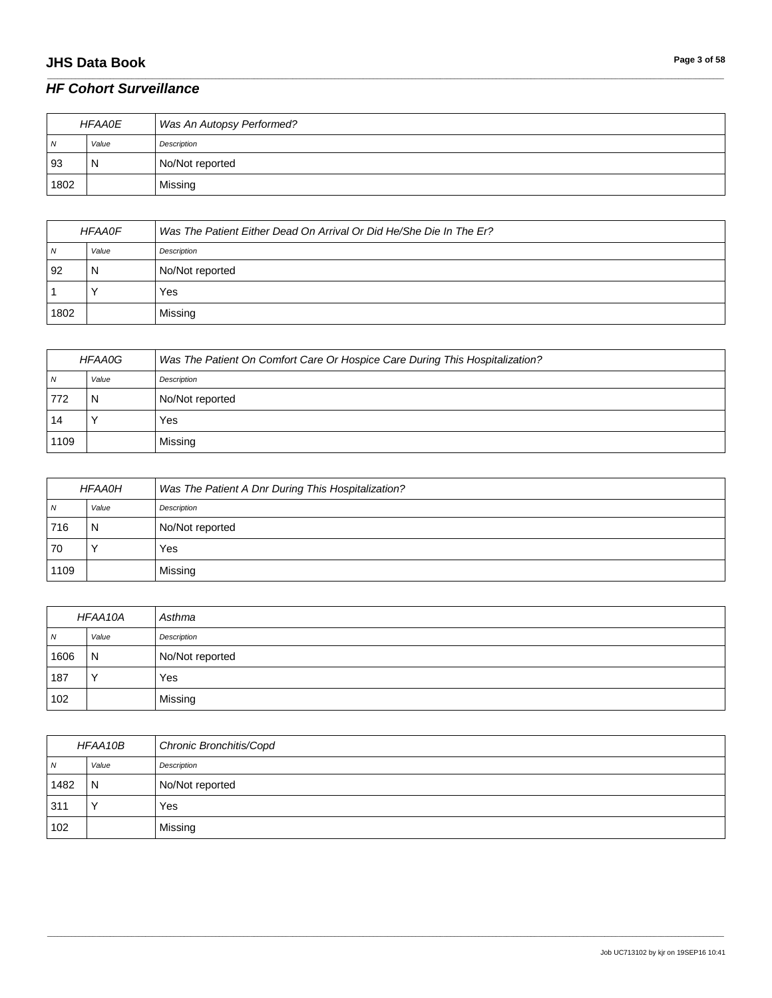## **JHS Data Book Page 3 of 58**

## *HF Cohort Surveillance*

| <b>HFAA0E</b>  |       | Was An Autopsy Performed? |
|----------------|-------|---------------------------|
| $\overline{N}$ | Value | Description               |
| 93             | 'N    | No/Not reported           |
| 1802           |       | Missing                   |

\_\_\_\_\_\_\_\_\_\_\_\_\_\_\_\_\_\_\_\_\_\_\_\_\_\_\_\_\_\_\_\_\_\_\_\_\_\_\_\_\_\_\_\_\_\_\_\_\_\_\_\_\_\_\_\_\_\_\_\_\_\_\_\_\_\_\_\_\_\_\_\_\_\_\_\_\_\_\_\_\_\_\_\_\_\_\_\_\_\_\_\_\_\_\_\_\_\_\_\_\_\_\_\_\_\_\_\_\_\_\_\_\_\_\_\_\_\_\_\_\_\_\_\_\_\_\_\_\_\_\_\_\_\_\_\_\_\_\_\_\_\_\_\_\_\_\_\_\_\_\_\_\_\_\_\_\_\_\_\_\_\_\_\_\_\_\_\_\_\_\_\_\_\_\_\_\_\_\_\_\_\_\_\_\_\_\_\_\_\_\_\_\_

| <b>HFAA0F</b> |       | Was The Patient Either Dead On Arrival Or Did He/She Die In The Er? |
|---------------|-------|---------------------------------------------------------------------|
| N             | Value | Description                                                         |
| 92            | N     | No/Not reported                                                     |
|               |       | Yes                                                                 |
| 1802          |       | Missing                                                             |

| <i><b>HFAA0G</b></i> |       | Was The Patient On Comfort Care Or Hospice Care During This Hospitalization? |
|----------------------|-------|------------------------------------------------------------------------------|
| N                    | Value | Description                                                                  |
| 772                  | N     | No/Not reported                                                              |
| 14                   |       | Yes                                                                          |
| 1109                 |       | Missing                                                                      |

| <b>HFAA0H</b> |       | Was The Patient A Dnr During This Hospitalization? |
|---------------|-------|----------------------------------------------------|
| N             | Value | Description                                        |
| 716           | N     | No/Not reported                                    |
| 70            |       | Yes                                                |
| 1109          |       | Missing                                            |

| HFAA10A        |       | Asthma          |
|----------------|-------|-----------------|
| $\overline{N}$ | Value | Description     |
| 1606           | N     | No/Not reported |
| 187            |       | Yes             |
| 102            |       | Missing         |

| HFAA10B        |       | Chronic Bronchitis/Copd |
|----------------|-------|-------------------------|
| $\overline{N}$ | Value | Description             |
| 1482           | N     | No/Not reported         |
| 311            |       | Yes                     |
| 102            |       | Missing                 |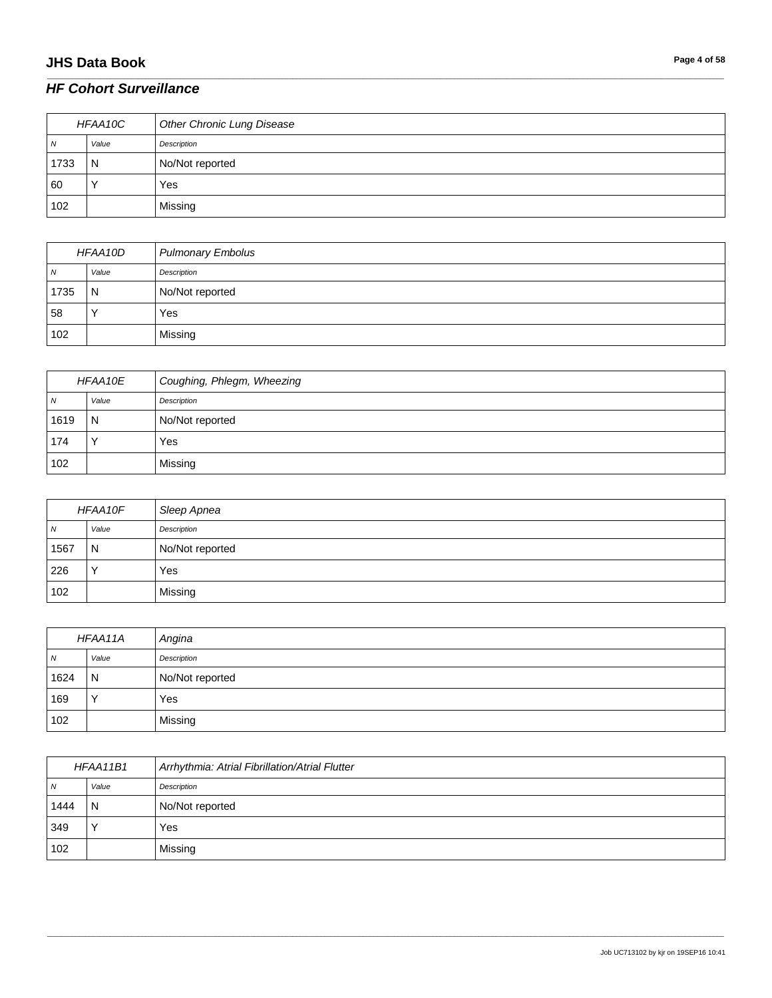## **JHS Data Book Page 4 of 58**

## *HF Cohort Surveillance*

| HFAA10C        |       | <b>Other Chronic Lung Disease</b> |
|----------------|-------|-----------------------------------|
| $\overline{N}$ | Value | Description                       |
| 1733           | N     | No/Not reported                   |
| 60             |       | Yes                               |
| 102            |       | Missing                           |

\_\_\_\_\_\_\_\_\_\_\_\_\_\_\_\_\_\_\_\_\_\_\_\_\_\_\_\_\_\_\_\_\_\_\_\_\_\_\_\_\_\_\_\_\_\_\_\_\_\_\_\_\_\_\_\_\_\_\_\_\_\_\_\_\_\_\_\_\_\_\_\_\_\_\_\_\_\_\_\_\_\_\_\_\_\_\_\_\_\_\_\_\_\_\_\_\_\_\_\_\_\_\_\_\_\_\_\_\_\_\_\_\_\_\_\_\_\_\_\_\_\_\_\_\_\_\_\_\_\_\_\_\_\_\_\_\_\_\_\_\_\_\_\_\_\_\_\_\_\_\_\_\_\_\_\_\_\_\_\_\_\_\_\_\_\_\_\_\_\_\_\_\_\_\_\_\_\_\_\_\_\_\_\_\_\_\_\_\_\_\_\_\_

| HFAA10D |       | <b>Pulmonary Embolus</b> |
|---------|-------|--------------------------|
| N       | Value | Description              |
| 1735    | 'N    | No/Not reported          |
| 58      |       | Yes                      |
| 102     |       | Missing                  |

| <b>HFAA10E</b> |             | Coughing, Phlegm, Wheezing |
|----------------|-------------|----------------------------|
| N              | Value       | Description                |
| 1619           | N           | No/Not reported            |
| 174            | $\check{ }$ | Yes                        |
| 102            |             | Missing                    |

| HFAA10F        |              | Sleep Apnea     |
|----------------|--------------|-----------------|
| $\overline{N}$ | Value        | Description     |
| 1567           | N            | No/Not reported |
| 226            | $\checkmark$ | Yes             |
| 102            |              | Missing         |

| HFAA11A        |       | Angina          |
|----------------|-------|-----------------|
| $\overline{N}$ | Value | Description     |
| 1624           | N     | No/Not reported |
| 169            |       | Yes             |
| 102            |       | Missing         |

| HFAA11B1 |           | Arrhythmia: Atrial Fibrillation/Atrial Flutter |
|----------|-----------|------------------------------------------------|
| N        | Value     | Description                                    |
| 1444     | N         | No/Not reported                                |
| 349      | $\lambda$ | Yes                                            |
| 102      |           | Missing                                        |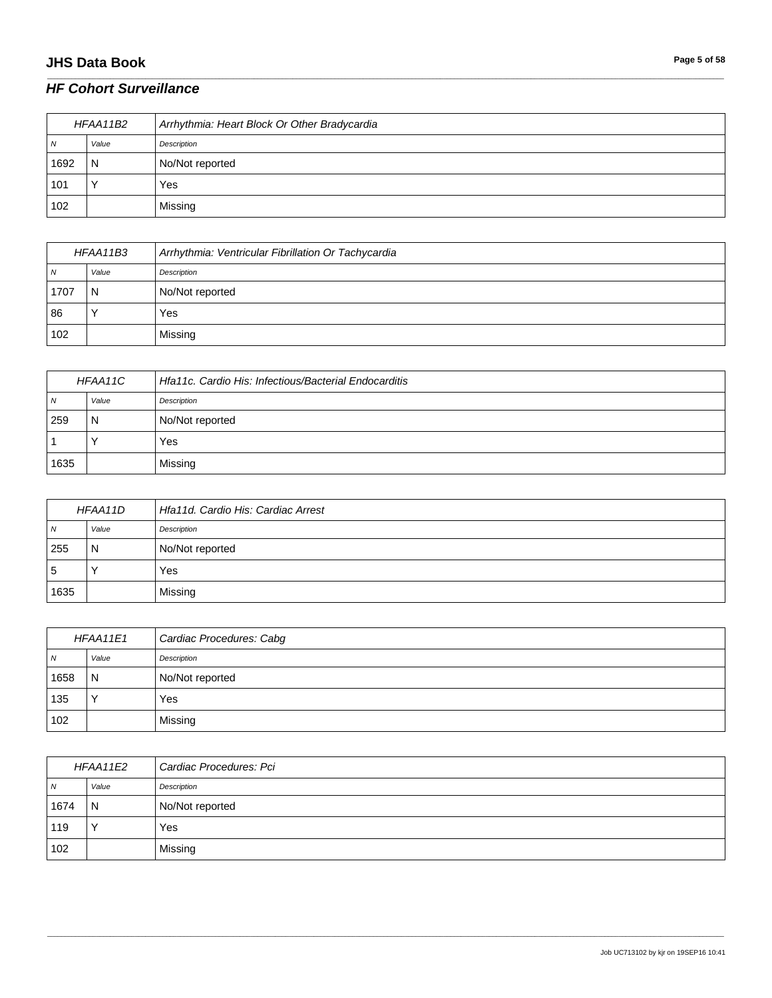## **JHS Data Book Page 5 of 58**

## *HF Cohort Surveillance*

| HFAA11B2 |       | Arrhythmia: Heart Block Or Other Bradycardia |
|----------|-------|----------------------------------------------|
| N        | Value | Description                                  |
| 1692     | N     | No/Not reported                              |
| 101      |       | Yes                                          |
| 102      |       | Missing                                      |

\_\_\_\_\_\_\_\_\_\_\_\_\_\_\_\_\_\_\_\_\_\_\_\_\_\_\_\_\_\_\_\_\_\_\_\_\_\_\_\_\_\_\_\_\_\_\_\_\_\_\_\_\_\_\_\_\_\_\_\_\_\_\_\_\_\_\_\_\_\_\_\_\_\_\_\_\_\_\_\_\_\_\_\_\_\_\_\_\_\_\_\_\_\_\_\_\_\_\_\_\_\_\_\_\_\_\_\_\_\_\_\_\_\_\_\_\_\_\_\_\_\_\_\_\_\_\_\_\_\_\_\_\_\_\_\_\_\_\_\_\_\_\_\_\_\_\_\_\_\_\_\_\_\_\_\_\_\_\_\_\_\_\_\_\_\_\_\_\_\_\_\_\_\_\_\_\_\_\_\_\_\_\_\_\_\_\_\_\_\_\_\_\_

| HFAA11B3 |       | Arrhythmia: Ventricular Fibrillation Or Tachycardia |
|----------|-------|-----------------------------------------------------|
| N        | Value | Description                                         |
| 1707     | N     | No/Not reported                                     |
| 86       |       | Yes                                                 |
| 102      |       | Missing                                             |

| HFAA11C      |       | Hfa11c. Cardio His: Infectious/Bacterial Endocarditis |
|--------------|-------|-------------------------------------------------------|
| <sub>N</sub> | Value | Description                                           |
| 259          | N     | No/Not reported                                       |
|              |       | Yes                                                   |
| 1635         |       | Missing                                               |

| <b>HFAA11D</b> |       | Hfa11d. Cardio His: Cardiac Arrest |
|----------------|-------|------------------------------------|
| $\overline{N}$ | Value | Description                        |
| 255            | N     | No/Not reported                    |
| 5              |       | Yes                                |
| 1635           |       | Missing                            |

| HFAA11E1       |       | Cardiac Procedures: Cabg |
|----------------|-------|--------------------------|
| $\overline{N}$ | Value | Description              |
| 1658           | N     | No/Not reported          |
| 135            |       | Yes                      |
| 102            |       | Missing                  |

| HFAA11E2 |           | Cardiac Procedures: Pci |
|----------|-----------|-------------------------|
| N        | Value     | Description             |
| 1674     | N         | No/Not reported         |
| 119      | $\sqrt{}$ | Yes                     |
| 102      |           | Missing                 |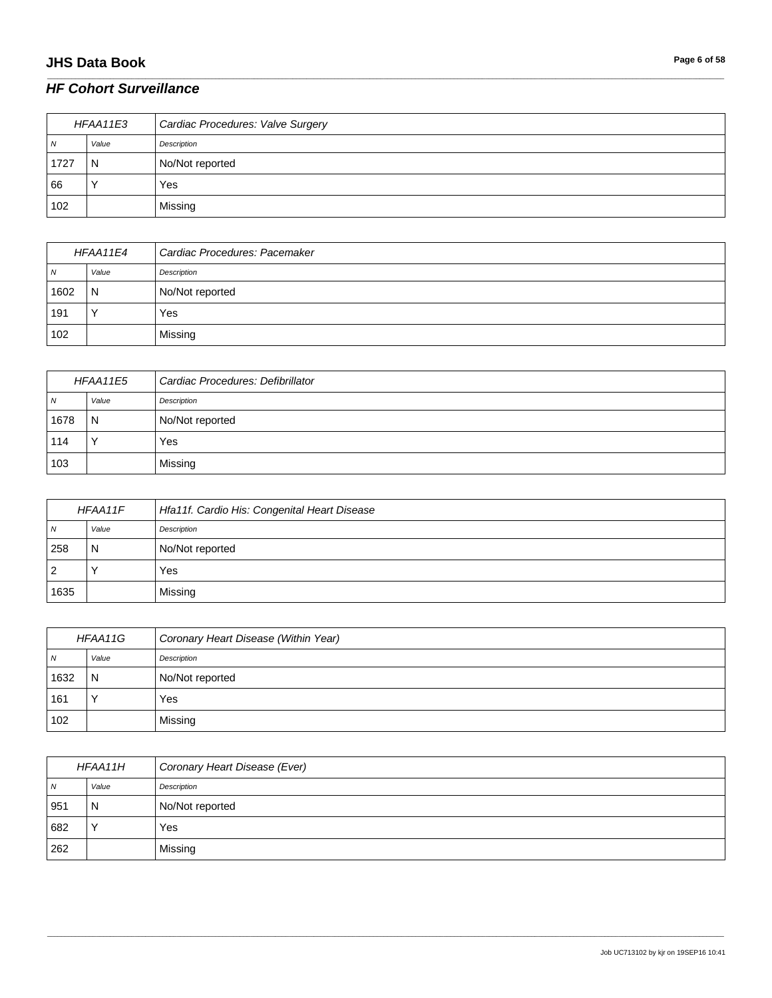## **JHS Data Book Page 6 of 58**

## *HF Cohort Surveillance*

| HFAA11E3 |       | Cardiac Procedures: Valve Surgery |
|----------|-------|-----------------------------------|
| N        | Value | Description                       |
| 1727     | N     | No/Not reported                   |
| 66       |       | Yes                               |
| 102      |       | Missing                           |

\_\_\_\_\_\_\_\_\_\_\_\_\_\_\_\_\_\_\_\_\_\_\_\_\_\_\_\_\_\_\_\_\_\_\_\_\_\_\_\_\_\_\_\_\_\_\_\_\_\_\_\_\_\_\_\_\_\_\_\_\_\_\_\_\_\_\_\_\_\_\_\_\_\_\_\_\_\_\_\_\_\_\_\_\_\_\_\_\_\_\_\_\_\_\_\_\_\_\_\_\_\_\_\_\_\_\_\_\_\_\_\_\_\_\_\_\_\_\_\_\_\_\_\_\_\_\_\_\_\_\_\_\_\_\_\_\_\_\_\_\_\_\_\_\_\_\_\_\_\_\_\_\_\_\_\_\_\_\_\_\_\_\_\_\_\_\_\_\_\_\_\_\_\_\_\_\_\_\_\_\_\_\_\_\_\_\_\_\_\_\_\_\_

| HFAA11E4 |       | Cardiac Procedures: Pacemaker |
|----------|-------|-------------------------------|
| N        | Value | Description                   |
| 1602     | 'N    | No/Not reported               |
| 191      |       | Yes                           |
| 102      |       | Missing                       |

| HFAA11E5 |           | Cardiac Procedures: Defibrillator |
|----------|-----------|-----------------------------------|
| N        | Value     | Description                       |
| 1678     | N         | No/Not reported                   |
| 114      | $\lambda$ | Yes                               |
| 103      |           | Missing                           |

| <b>HFAA11F</b> |       | Hfa11f. Cardio His: Congenital Heart Disease |
|----------------|-------|----------------------------------------------|
| N              | Value | Description                                  |
| 258            | N     | No/Not reported                              |
| 2              |       | Yes                                          |
| 1635           |       | Missing                                      |

| HFAA11G |       | Coronary Heart Disease (Within Year) |
|---------|-------|--------------------------------------|
| N       | Value | Description                          |
| 1632    | N     | No/Not reported                      |
| 161     |       | Yes                                  |
| 102     |       | Missing                              |

| HFAA11H |           | Coronary Heart Disease (Ever) |
|---------|-----------|-------------------------------|
| N       | Value     | Description                   |
| 951     | N         | No/Not reported               |
| 682     | $\sqrt{}$ | Yes                           |
| 262     |           | Missing                       |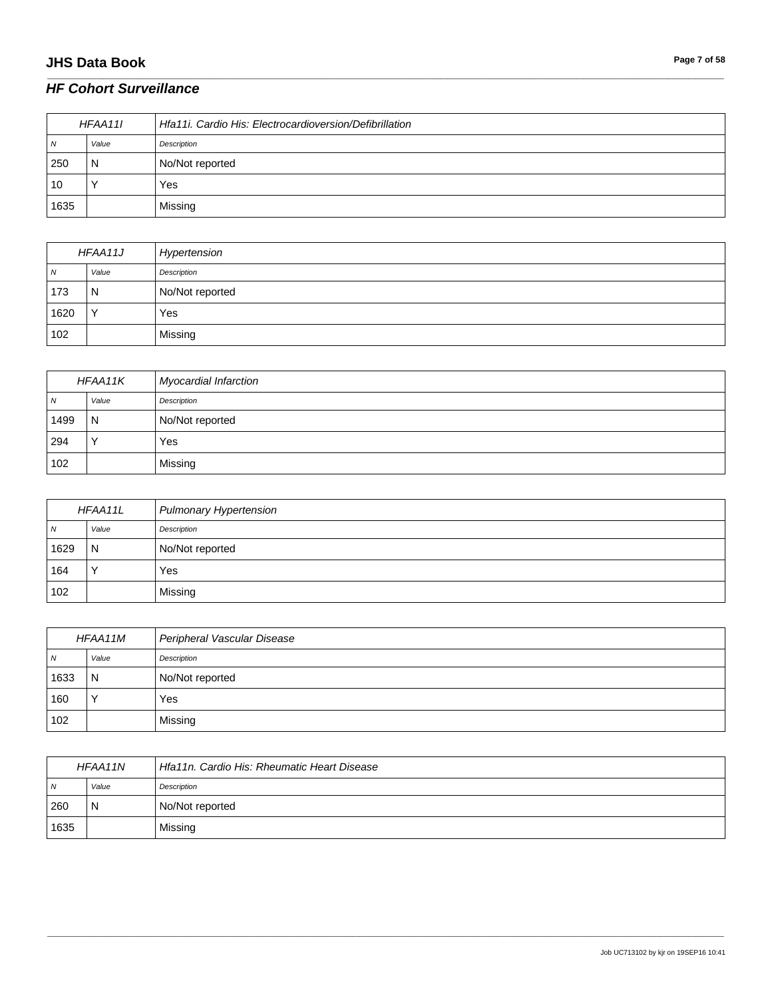## **JHS Data Book Page 7 of 58**

## *HF Cohort Surveillance*

| HFAA11I |       | Hfa11i, Cardio His: Electrocardioversion/Defibrillation |
|---------|-------|---------------------------------------------------------|
| N       | Value | Description                                             |
| 250     | N     | No/Not reported                                         |
| 10      |       | Yes                                                     |
| 1635    |       | Missing                                                 |

\_\_\_\_\_\_\_\_\_\_\_\_\_\_\_\_\_\_\_\_\_\_\_\_\_\_\_\_\_\_\_\_\_\_\_\_\_\_\_\_\_\_\_\_\_\_\_\_\_\_\_\_\_\_\_\_\_\_\_\_\_\_\_\_\_\_\_\_\_\_\_\_\_\_\_\_\_\_\_\_\_\_\_\_\_\_\_\_\_\_\_\_\_\_\_\_\_\_\_\_\_\_\_\_\_\_\_\_\_\_\_\_\_\_\_\_\_\_\_\_\_\_\_\_\_\_\_\_\_\_\_\_\_\_\_\_\_\_\_\_\_\_\_\_\_\_\_\_\_\_\_\_\_\_\_\_\_\_\_\_\_\_\_\_\_\_\_\_\_\_\_\_\_\_\_\_\_\_\_\_\_\_\_\_\_\_\_\_\_\_\_\_\_

| <b>HFAA11J</b> |              | Hypertension    |
|----------------|--------------|-----------------|
| N              | Value        | Description     |
| 173            | N            | No/Not reported |
| 1620           | $\checkmark$ | Yes             |
| 102            |              | Missing         |

| HFAA11K |           | <b>Myocardial Infarction</b> |
|---------|-----------|------------------------------|
| 7V      | Value     | Description                  |
| 1499    | N         | No/Not reported              |
| 294     | $\lambda$ | Yes                          |
| 102     |           | Missing                      |

| <b>HFAA11L</b> |       | <b>Pulmonary Hypertension</b> |
|----------------|-------|-------------------------------|
| N              | Value | Description                   |
| 1629           | N     | No/Not reported               |
| 164            |       | Yes                           |
| 102            |       | Missing                       |

| HFAA11M        |       | Peripheral Vascular Disease |
|----------------|-------|-----------------------------|
| $\overline{N}$ | Value | Description                 |
| 1633           | N     | No/Not reported             |
| 160            |       | Yes                         |
| 102            |       | Missing                     |

| HFAA11N        |       | Hfa11n, Cardio His: Rheumatic Heart Disease |
|----------------|-------|---------------------------------------------|
| $\overline{N}$ | Value | Description                                 |
| 260            | N     | No/Not reported                             |
| 1635           |       | Missing                                     |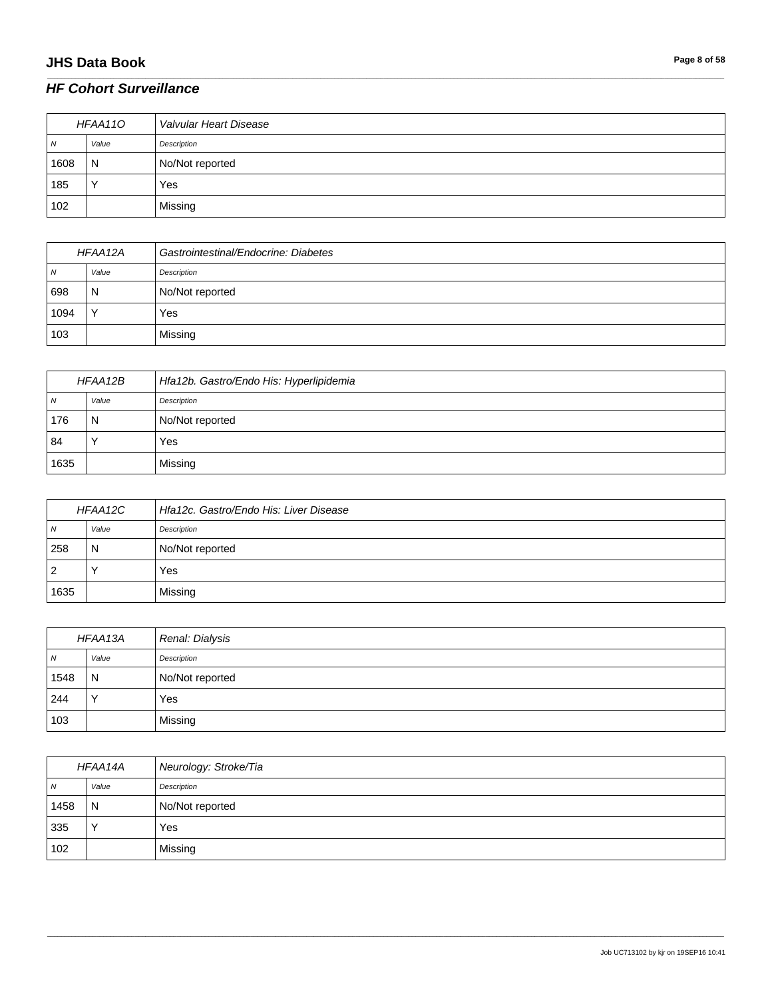## **JHS Data Book Page 8 of 58**

## *HF Cohort Surveillance*

| HFAA110 |                | Valvular Heart Disease |
|---------|----------------|------------------------|
| N       | Value          | Description            |
| 1608    | $\overline{N}$ | No/Not reported        |
| 185     |                | Yes                    |
| 102     |                | Missing                |

\_\_\_\_\_\_\_\_\_\_\_\_\_\_\_\_\_\_\_\_\_\_\_\_\_\_\_\_\_\_\_\_\_\_\_\_\_\_\_\_\_\_\_\_\_\_\_\_\_\_\_\_\_\_\_\_\_\_\_\_\_\_\_\_\_\_\_\_\_\_\_\_\_\_\_\_\_\_\_\_\_\_\_\_\_\_\_\_\_\_\_\_\_\_\_\_\_\_\_\_\_\_\_\_\_\_\_\_\_\_\_\_\_\_\_\_\_\_\_\_\_\_\_\_\_\_\_\_\_\_\_\_\_\_\_\_\_\_\_\_\_\_\_\_\_\_\_\_\_\_\_\_\_\_\_\_\_\_\_\_\_\_\_\_\_\_\_\_\_\_\_\_\_\_\_\_\_\_\_\_\_\_\_\_\_\_\_\_\_\_\_\_\_

| HFAA12A |              | Gastrointestinal/Endocrine: Diabetes |
|---------|--------------|--------------------------------------|
| 7V      | Value        | Description                          |
| 698     | N            | No/Not reported                      |
| 1094    | $\checkmark$ | Yes                                  |
| 103     |              | Missing                              |

| HFAA12B  |       | Hfa12b. Gastro/Endo His: Hyperlipidemia |
|----------|-------|-----------------------------------------|
| <b>N</b> | Value | Description                             |
| 176      | N     | No/Not reported                         |
| 84       |       | Yes                                     |
| 1635     |       | Missing                                 |

| HFAA12C |       | Hfa12c, Gastro/Endo His: Liver Disease |
|---------|-------|----------------------------------------|
| N       | Value | Description                            |
| 258     | N     | No/Not reported                        |
| 2       |       | Yes                                    |
| 1635    |       | Missing                                |

| HFAA13A        |       | Renal: Dialysis |
|----------------|-------|-----------------|
| $\overline{N}$ | Value | Description     |
| 1548           | N     | No/Not reported |
| 244            |       | Yes             |
| 103            |       | Missing         |

| HFAA14A |              | Neurology: Stroke/Tia |
|---------|--------------|-----------------------|
| N       | Value        | Description           |
| 1458    | N            | No/Not reported       |
| 335     | $\checkmark$ | Yes                   |
| 102     |              | Missing               |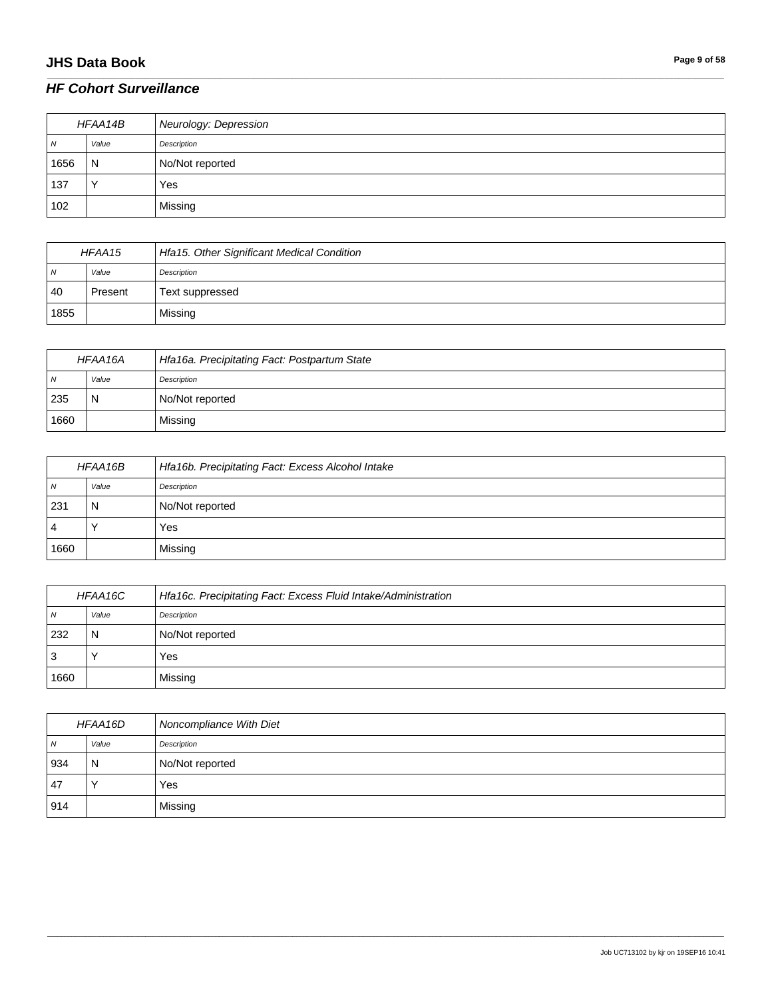## **JHS Data Book Page 9 of 58**

#### *HF Cohort Surveillance*

| HFAA14B        |       | Neurology: Depression |
|----------------|-------|-----------------------|
| $\overline{N}$ | Value | Description           |
| 1656           | N     | No/Not reported       |
| 137            |       | Yes                   |
| 102            |       | Missing               |

\_\_\_\_\_\_\_\_\_\_\_\_\_\_\_\_\_\_\_\_\_\_\_\_\_\_\_\_\_\_\_\_\_\_\_\_\_\_\_\_\_\_\_\_\_\_\_\_\_\_\_\_\_\_\_\_\_\_\_\_\_\_\_\_\_\_\_\_\_\_\_\_\_\_\_\_\_\_\_\_\_\_\_\_\_\_\_\_\_\_\_\_\_\_\_\_\_\_\_\_\_\_\_\_\_\_\_\_\_\_\_\_\_\_\_\_\_\_\_\_\_\_\_\_\_\_\_\_\_\_\_\_\_\_\_\_\_\_\_\_\_\_\_\_\_\_\_\_\_\_\_\_\_\_\_\_\_\_\_\_\_\_\_\_\_\_\_\_\_\_\_\_\_\_\_\_\_\_\_\_\_\_\_\_\_\_\_\_\_\_\_\_\_

| HFAA15   |         | Hfa15. Other Significant Medical Condition |
|----------|---------|--------------------------------------------|
| <b>N</b> | Value   | Description                                |
| 40       | Present | Text suppressed                            |
| 1855     |         | Missing                                    |

| HFAA16A        |       | Hfa16a. Precipitating Fact: Postpartum State |
|----------------|-------|----------------------------------------------|
| N <sub>N</sub> | Value | Description                                  |
| 235            | N     | No/Not reported                              |
| 1660           |       | Missing                                      |

| HFAA16B |       | Hfa16b. Precipitating Fact: Excess Alcohol Intake |
|---------|-------|---------------------------------------------------|
| N       | Value | Description                                       |
| 231     | N     | No/Not reported                                   |
| 4       |       | Yes                                               |
| 1660    |       | Missing                                           |

| HFAA16C |       | Hfa16c. Precipitating Fact: Excess Fluid Intake/Administration |
|---------|-------|----------------------------------------------------------------|
| N       | Value | Description                                                    |
| 232     | N     | No/Not reported                                                |
| 3       |       | Yes                                                            |
| 1660    |       | Missing                                                        |

| HFAA16D      |       | Noncompliance With Diet |
|--------------|-------|-------------------------|
| <sub>N</sub> | Value | Description             |
| 934          | N     | No/Not reported         |
| 47           |       | Yes                     |
| 914          |       | Missing                 |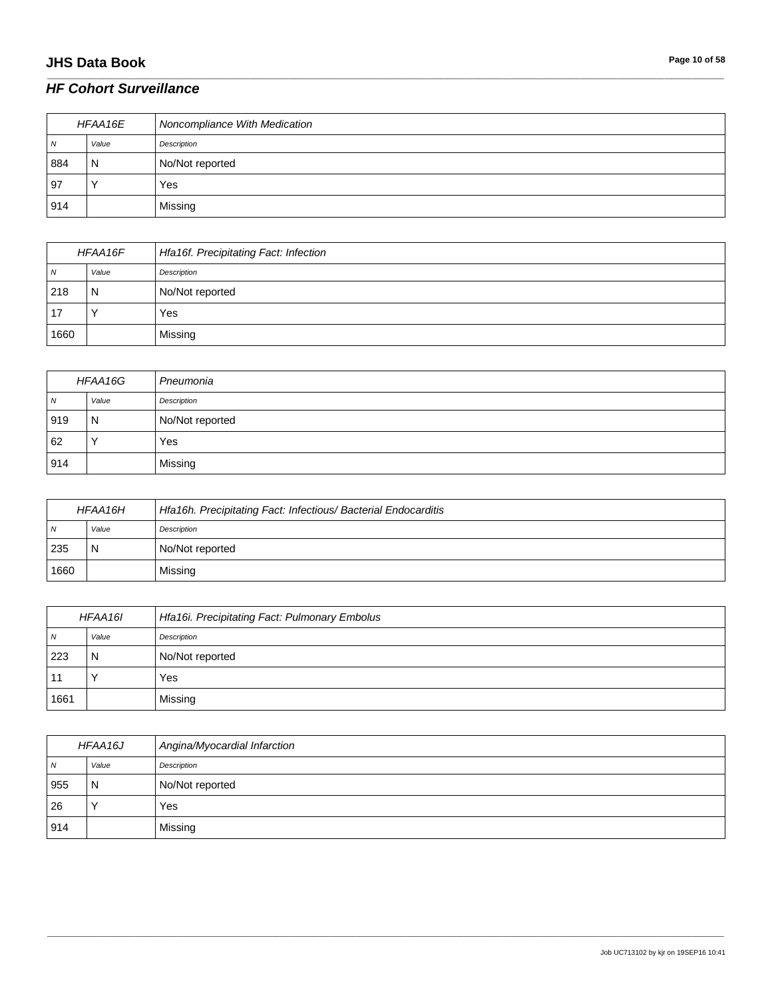## **JHS Data Book Page 10 of 58**

## *HF Cohort Surveillance*

| HFAA16E |       | Noncompliance With Medication |
|---------|-------|-------------------------------|
| N       | Value | Description                   |
| 884     | N     | No/Not reported               |
| 97      |       | Yes                           |
| 914     |       | Missing                       |

\_\_\_\_\_\_\_\_\_\_\_\_\_\_\_\_\_\_\_\_\_\_\_\_\_\_\_\_\_\_\_\_\_\_\_\_\_\_\_\_\_\_\_\_\_\_\_\_\_\_\_\_\_\_\_\_\_\_\_\_\_\_\_\_\_\_\_\_\_\_\_\_\_\_\_\_\_\_\_\_\_\_\_\_\_\_\_\_\_\_\_\_\_\_\_\_\_\_\_\_\_\_\_\_\_\_\_\_\_\_\_\_\_\_\_\_\_\_\_\_\_\_\_\_\_\_\_\_\_\_\_\_\_\_\_\_\_\_\_\_\_\_\_\_\_\_\_\_\_\_\_\_\_\_\_\_\_\_\_\_\_\_\_\_\_\_\_\_\_\_\_\_\_\_\_\_\_\_\_\_\_\_\_\_\_\_\_\_\_\_\_\_\_

| HFAA16F |       | Hfa16f. Precipitating Fact: Infection |
|---------|-------|---------------------------------------|
| 7V      | Value | Description                           |
| 218     | N     | No/Not reported                       |
| 17      |       | Yes                                   |
| 1660    |       | Missing                               |

| HFAA16G      |           | Pneumonia       |
|--------------|-----------|-----------------|
| <sub>N</sub> | Value     | Description     |
| 919          | N         | No/Not reported |
| 62           | $\sqrt{}$ | Yes             |
| 914          |           | Missing         |

| HFAA16H        |       | Hfa16h. Precipitating Fact: Infectious/ Bacterial Endocarditis |
|----------------|-------|----------------------------------------------------------------|
| $\overline{N}$ | Value | Description                                                    |
| 235            | N     | No/Not reported                                                |
| 1660           |       | Missing                                                        |

| HFAA16I |       | Hfa16i. Precipitating Fact: Pulmonary Embolus |
|---------|-------|-----------------------------------------------|
| . N     | Value | Description                                   |
| 223     | N     | No/Not reported                               |
|         |       | Yes                                           |
| 1661    |       | Missing                                       |

| HFAA16J        |       | Angina/Myocardial Infarction |
|----------------|-------|------------------------------|
| N <sub>N</sub> | Value | Description                  |
| 955            | N     | No/Not reported              |
| 26             |       | Yes                          |
| 914            |       | Missing                      |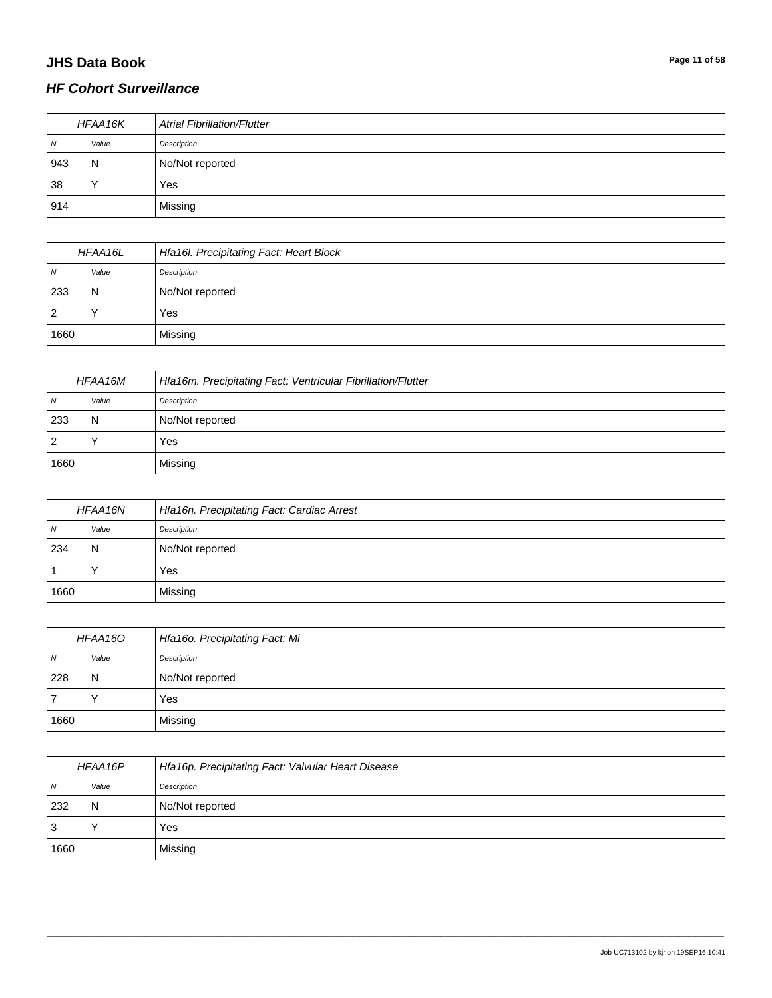## **JHS Data Book Page 11 of 58**

## *HF Cohort Surveillance*

| HFAA16K |       | <b>Atrial Fibrillation/Flutter</b> |
|---------|-------|------------------------------------|
| N       | Value | Description                        |
| 943     | 'N    | No/Not reported                    |
| 38      |       | Yes                                |
| 914     |       | Missing                            |

\_\_\_\_\_\_\_\_\_\_\_\_\_\_\_\_\_\_\_\_\_\_\_\_\_\_\_\_\_\_\_\_\_\_\_\_\_\_\_\_\_\_\_\_\_\_\_\_\_\_\_\_\_\_\_\_\_\_\_\_\_\_\_\_\_\_\_\_\_\_\_\_\_\_\_\_\_\_\_\_\_\_\_\_\_\_\_\_\_\_\_\_\_\_\_\_\_\_\_\_\_\_\_\_\_\_\_\_\_\_\_\_\_\_\_\_\_\_\_\_\_\_\_\_\_\_\_\_\_\_\_\_\_\_\_\_\_\_\_\_\_\_\_\_\_\_\_\_\_\_\_\_\_\_\_\_\_\_\_\_\_\_\_\_\_\_\_\_\_\_\_\_\_\_\_\_\_\_\_\_\_\_\_\_\_\_\_\_\_\_\_\_\_

| HFAA16L |       | Hfa16l. Precipitating Fact: Heart Block |
|---------|-------|-----------------------------------------|
| 7V      | Value | Description                             |
| 233     | N     | No/Not reported                         |
| ∠       |       | Yes                                     |
| 1660    |       | Missing                                 |

| HFAA16M  |       | Hfa16m. Precipitating Fact: Ventricular Fibrillation/Flutter |
|----------|-------|--------------------------------------------------------------|
| <b>N</b> | Value | Description                                                  |
| 233      | N     | No/Not reported                                              |
|          |       | Yes                                                          |
| 1660     |       | Missing                                                      |

| HFAA16N |       | Hfa16n. Precipitating Fact: Cardiac Arrest |
|---------|-------|--------------------------------------------|
| N       | Value | Description                                |
| 234     | N     | No/Not reported                            |
|         |       | Yes                                        |
| 1660    |       | Missing                                    |

| HFAA16O        |       | Hfa16o. Precipitating Fact: Mi |
|----------------|-------|--------------------------------|
| $\overline{N}$ | Value | Description                    |
| 228            | N     | No/Not reported                |
| 7              |       | Yes                            |
| 1660           |       | Missing                        |

| HFAA16P |       | Hfa16p. Precipitating Fact: Valvular Heart Disease |
|---------|-------|----------------------------------------------------|
| 7V      | Value | Description                                        |
| 232     | N     | No/Not reported                                    |
| ت       |       | Yes                                                |
| 1660    |       | Missing                                            |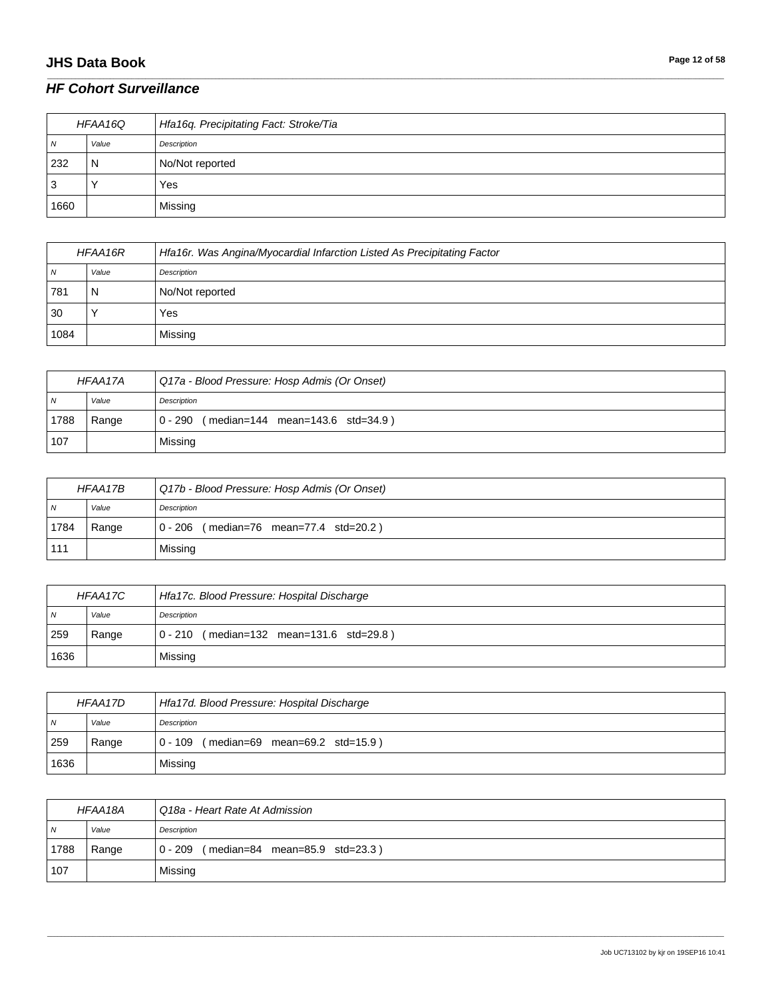## **JHS Data Book Page 12 of 58**

#### *HF Cohort Surveillance*

| HFAA16Q |       | Hfa16q. Precipitating Fact: Stroke/Tia |
|---------|-------|----------------------------------------|
| N       | Value | Description                            |
| 232     | N     | No/Not reported                        |
| 3       |       | Yes                                    |
| 1660    |       | Missing                                |

\_\_\_\_\_\_\_\_\_\_\_\_\_\_\_\_\_\_\_\_\_\_\_\_\_\_\_\_\_\_\_\_\_\_\_\_\_\_\_\_\_\_\_\_\_\_\_\_\_\_\_\_\_\_\_\_\_\_\_\_\_\_\_\_\_\_\_\_\_\_\_\_\_\_\_\_\_\_\_\_\_\_\_\_\_\_\_\_\_\_\_\_\_\_\_\_\_\_\_\_\_\_\_\_\_\_\_\_\_\_\_\_\_\_\_\_\_\_\_\_\_\_\_\_\_\_\_\_\_\_\_\_\_\_\_\_\_\_\_\_\_\_\_\_\_\_\_\_\_\_\_\_\_\_\_\_\_\_\_\_\_\_\_\_\_\_\_\_\_\_\_\_\_\_\_\_\_\_\_\_\_\_\_\_\_\_\_\_\_\_\_\_\_

| HFAA16R |       | Hfa16r. Was Angina/Myocardial Infarction Listed As Precipitating Factor |
|---------|-------|-------------------------------------------------------------------------|
| 7V      | Value | Description                                                             |
| 781     | N     | No/Not reported                                                         |
| 30      |       | Yes                                                                     |
| 1084    |       | Missing                                                                 |

| HFAA17A |       | Q17a - Blood Pressure: Hosp Admis (Or Onset) |
|---------|-------|----------------------------------------------|
| N       | Value | <b>Description</b>                           |
| 1788    | Range | 0 - 290 (median=144 mean=143.6 std=34.9)     |
| 107     |       | Missing                                      |

| HFAA17B        |       | Q17b - Blood Pressure: Hosp Admis (Or Onset) |
|----------------|-------|----------------------------------------------|
| $\overline{N}$ | Value | Description                                  |
| 1784           | Range | $ 0 - 206$ (median=76 mean=77.4 std=20.2)    |
| 111            |       | Missing                                      |

| HFAA17C        |       | Hfa17c. Blood Pressure: Hospital Discharge  |
|----------------|-------|---------------------------------------------|
| $\overline{N}$ | Value | Description                                 |
| 259            | Range | $ 0 - 210$ (median=132 mean=131.6 std=29.8) |
| 1636           |       | Missing                                     |

| HFAA17D        |       | Hfa17d. Blood Pressure: Hospital Discharge |
|----------------|-------|--------------------------------------------|
| $\overline{N}$ | Value | Description                                |
| 259            | Range | 0 - 109 (median=69 mean=69.2 std=15.9)     |
| 1636           |       | Missing                                    |

| HFAA18A |       | Q18a - Heart Rate At Admission         |
|---------|-------|----------------------------------------|
| N       | Value | Description                            |
| 1788    | Range | 0 - 209 (median=84 mean=85.9 std=23.3) |
| 107     |       | Missing                                |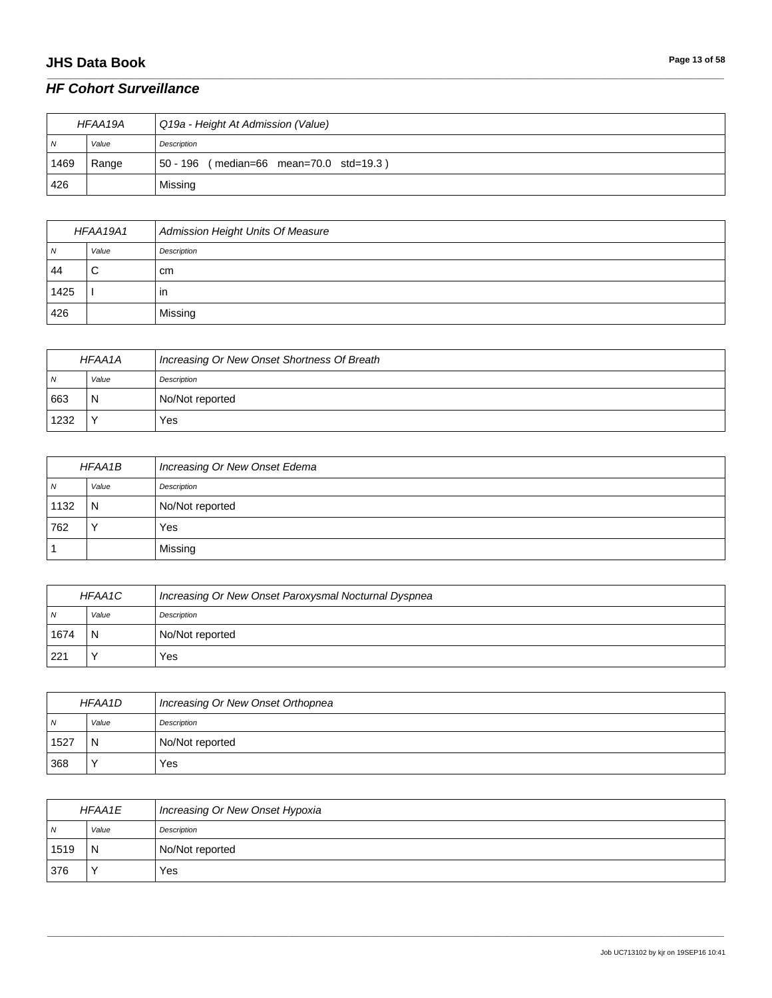## **JHS Data Book Page 13 of 58**

#### *HF Cohort Surveillance*

| HFAA19A        |       | Q19a - Height At Admission (Value)         |
|----------------|-------|--------------------------------------------|
| N <sub>N</sub> | Value | Description                                |
| 1469           | Range | (median=66 mean=70.0 std=19.3)<br>50 - 196 |
| 426            |       | Missing                                    |

\_\_\_\_\_\_\_\_\_\_\_\_\_\_\_\_\_\_\_\_\_\_\_\_\_\_\_\_\_\_\_\_\_\_\_\_\_\_\_\_\_\_\_\_\_\_\_\_\_\_\_\_\_\_\_\_\_\_\_\_\_\_\_\_\_\_\_\_\_\_\_\_\_\_\_\_\_\_\_\_\_\_\_\_\_\_\_\_\_\_\_\_\_\_\_\_\_\_\_\_\_\_\_\_\_\_\_\_\_\_\_\_\_\_\_\_\_\_\_\_\_\_\_\_\_\_\_\_\_\_\_\_\_\_\_\_\_\_\_\_\_\_\_\_\_\_\_\_\_\_\_\_\_\_\_\_\_\_\_\_\_\_\_\_\_\_\_\_\_\_\_\_\_\_\_\_\_\_\_\_\_\_\_\_\_\_\_\_\_\_\_\_\_

| HFAA19A1 |        | Admission Height Units Of Measure |
|----------|--------|-----------------------------------|
| N        | Value  | Description                       |
| 44       | ⌒<br>ັ | cm                                |
| 1425     |        | ın                                |
| 426      |        | Missing                           |

| HFAA1A |       | Increasing Or New Onset Shortness Of Breath |
|--------|-------|---------------------------------------------|
| N      | Value | Description                                 |
| 663    | N     | No/Not reported                             |
| 1232   |       | Yes                                         |

| <b>HFAA1B</b> |       | Increasing Or New Onset Edema |
|---------------|-------|-------------------------------|
| N             | Value | Description                   |
| 1132          | N     | No/Not reported               |
| 762           |       | Yes                           |
|               |       | Missing                       |

| HFAA1C         |       | Increasing Or New Onset Paroxysmal Nocturnal Dyspnea |
|----------------|-------|------------------------------------------------------|
| $\overline{N}$ | Value | Description                                          |
| 1674           | N     | No/Not reported                                      |
| 221            |       | Yes                                                  |

| <b>HFAA1D</b> |                | Increasing Or New Onset Orthopnea |
|---------------|----------------|-----------------------------------|
| N             | Value          | Description                       |
| 1527          | $\overline{N}$ | No/Not reported                   |
| 368           |                | Yes                               |

| <b>HFAA1E</b> |       | Increasing Or New Onset Hypoxia |
|---------------|-------|---------------------------------|
| $\sqrt{N}$    | Value | Description                     |
| 1519          | N     | No/Not reported                 |
| 376           |       | Yes                             |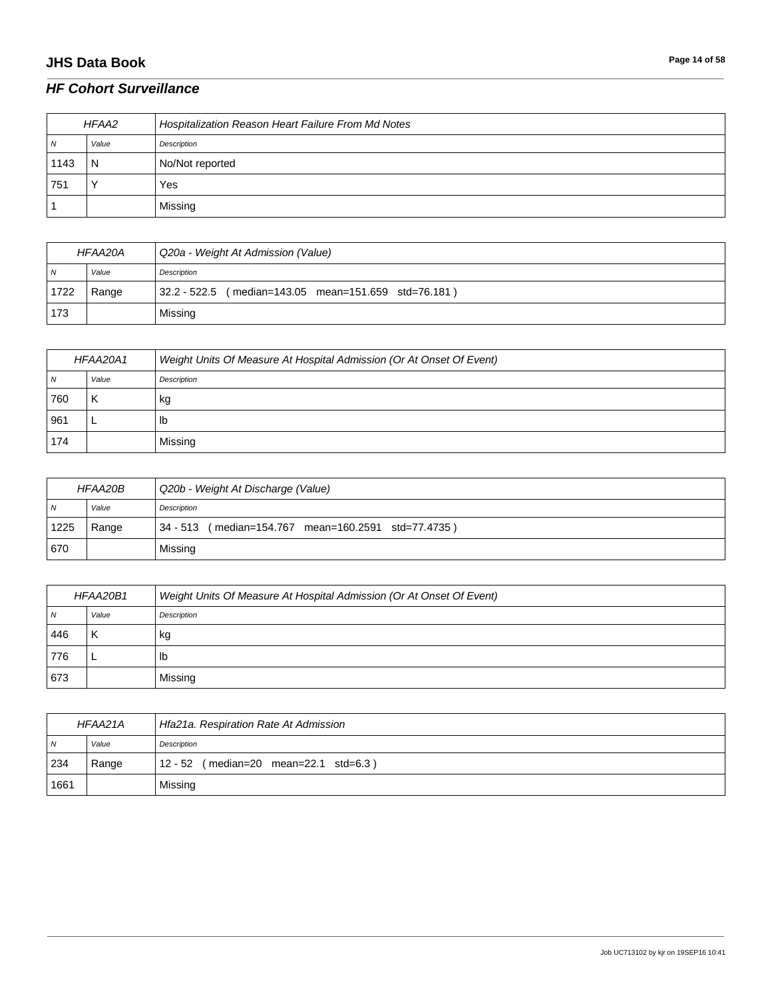## **JHS Data Book Page 14 of 58**

## *HF Cohort Surveillance*

| HFAA2 |       | Hospitalization Reason Heart Failure From Md Notes |
|-------|-------|----------------------------------------------------|
| N     | Value | Description                                        |
| 1143  | N     | No/Not reported                                    |
| 751   |       | Yes                                                |
|       |       | Missing                                            |

\_\_\_\_\_\_\_\_\_\_\_\_\_\_\_\_\_\_\_\_\_\_\_\_\_\_\_\_\_\_\_\_\_\_\_\_\_\_\_\_\_\_\_\_\_\_\_\_\_\_\_\_\_\_\_\_\_\_\_\_\_\_\_\_\_\_\_\_\_\_\_\_\_\_\_\_\_\_\_\_\_\_\_\_\_\_\_\_\_\_\_\_\_\_\_\_\_\_\_\_\_\_\_\_\_\_\_\_\_\_\_\_\_\_\_\_\_\_\_\_\_\_\_\_\_\_\_\_\_\_\_\_\_\_\_\_\_\_\_\_\_\_\_\_\_\_\_\_\_\_\_\_\_\_\_\_\_\_\_\_\_\_\_\_\_\_\_\_\_\_\_\_\_\_\_\_\_\_\_\_\_\_\_\_\_\_\_\_\_\_\_\_\_

| HFAA20A        |       | Q20a - Weight At Admission (Value)                      |
|----------------|-------|---------------------------------------------------------|
| N <sub>N</sub> | Value | Description                                             |
| 1722           | Range | (median=143.05 mean=151.659 std=76.181)<br>32.2 - 522.5 |
| 173            |       | Missing                                                 |

| HFAA20A1 |       | Weight Units Of Measure At Hospital Admission (Or At Onset Of Event) |
|----------|-------|----------------------------------------------------------------------|
| N        | Value | Description                                                          |
| 760      |       | кg                                                                   |
| 961      |       | lb                                                                   |
| 174      |       | Missing                                                              |

| <b>HFAA20B</b> |       | Q20b - Weight At Discharge (Value)                       |
|----------------|-------|----------------------------------------------------------|
| N <sub>N</sub> | Value | Description                                              |
| 1225           | Range | (median=154.767 mean=160.2591 std=77.4735)<br>  34 - 513 |
| 670            |       | Missing                                                  |

| HFAA20B1 |       | Weight Units Of Measure At Hospital Admission (Or At Onset Of Event) |
|----------|-------|----------------------------------------------------------------------|
| N        | Value | Description                                                          |
| 446      | κ     | кg                                                                   |
| 776      |       | lb                                                                   |
| 673      |       | Missing                                                              |

| HFAA21A        |       | Hfa21a. Respiration Rate At Admission |
|----------------|-------|---------------------------------------|
| $\overline{N}$ | Value | Description                           |
| 234            | Range | 12 - 52 (median=20 mean=22.1 std=6.3) |
| 1661           |       | Missing                               |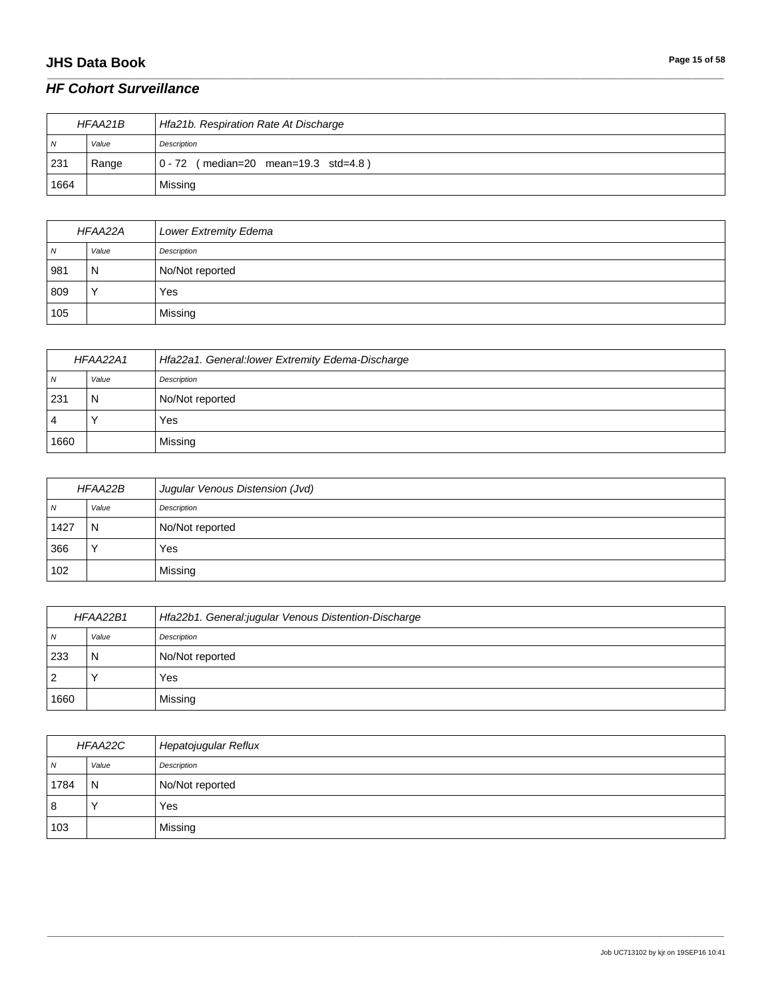## **JHS Data Book Page 15 of 58**

#### *HF Cohort Surveillance*

| HFAA21B |       | Hfa21b. Respiration Rate At Discharge       |
|---------|-------|---------------------------------------------|
| N       | Value | Description                                 |
| 231     | Range | $(median=20 mean=19.3 std=4.8)$<br>l 0 - 72 |
| 1664    |       | Missing                                     |

\_\_\_\_\_\_\_\_\_\_\_\_\_\_\_\_\_\_\_\_\_\_\_\_\_\_\_\_\_\_\_\_\_\_\_\_\_\_\_\_\_\_\_\_\_\_\_\_\_\_\_\_\_\_\_\_\_\_\_\_\_\_\_\_\_\_\_\_\_\_\_\_\_\_\_\_\_\_\_\_\_\_\_\_\_\_\_\_\_\_\_\_\_\_\_\_\_\_\_\_\_\_\_\_\_\_\_\_\_\_\_\_\_\_\_\_\_\_\_\_\_\_\_\_\_\_\_\_\_\_\_\_\_\_\_\_\_\_\_\_\_\_\_\_\_\_\_\_\_\_\_\_\_\_\_\_\_\_\_\_\_\_\_\_\_\_\_\_\_\_\_\_\_\_\_\_\_\_\_\_\_\_\_\_\_\_\_\_\_\_\_\_\_

| HFAA22A |       | Lower Extremity Edema |
|---------|-------|-----------------------|
| N       | Value | Description           |
| 981     | N     | No/Not reported       |
| 809     |       | Yes                   |
| 105     |       | Missing               |

| HFAA22A1 |       | Hfa22a1. General: lower Extremity Edema-Discharge |
|----------|-------|---------------------------------------------------|
| N        | Value | Description                                       |
| 231      | N     | No/Not reported                                   |
| 4        |       | Yes                                               |
| 1660     |       | Missing                                           |

| <b>HFAA22B</b> |       | Jugular Venous Distension (Jvd) |
|----------------|-------|---------------------------------|
| N              | Value | Description                     |
| 1427           | N     | No/Not reported                 |
| 366            |       | Yes                             |
| 102            |       | Missing                         |

| HFAA22B1       |       | Hfa22b1. General:jugular Venous Distention-Discharge |
|----------------|-------|------------------------------------------------------|
| N              | Value | Description                                          |
| 233            | N     | No/Not reported                                      |
| $\overline{2}$ |       | Yes                                                  |
| 1660           |       | Missing                                              |

| HFAA22C        |       | Hepatojugular Reflux |
|----------------|-------|----------------------|
| $\overline{N}$ | Value | Description          |
| 1784           | N     | No/Not reported      |
| 8              |       | Yes                  |
| 103            |       | Missing              |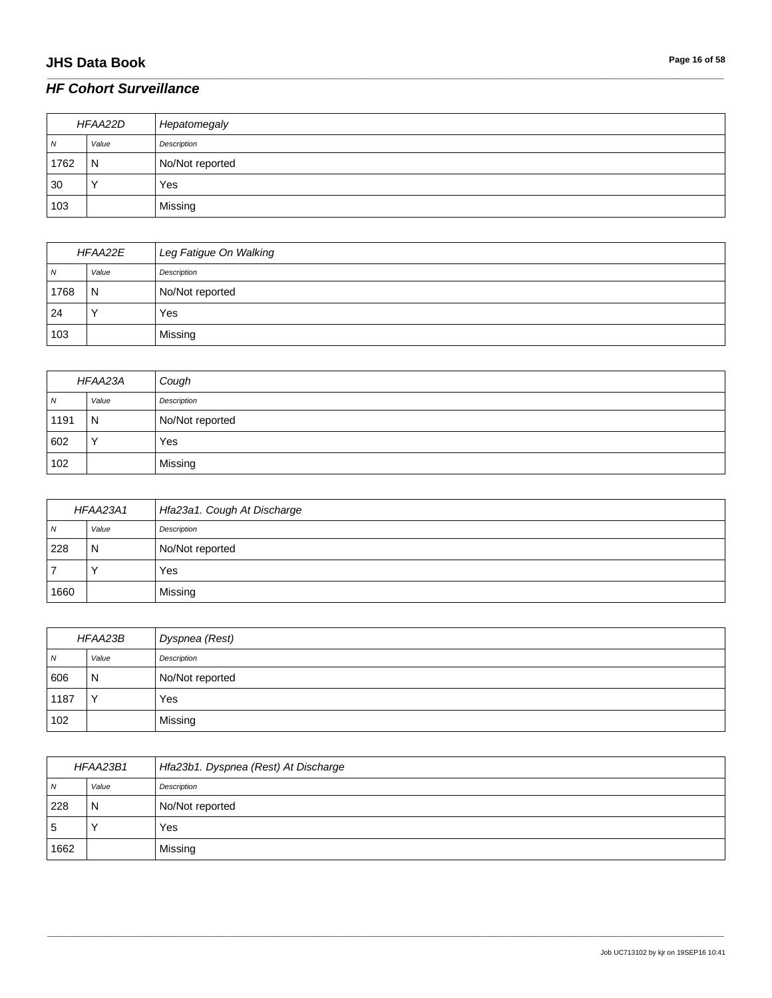## **JHS Data Book Page 16 of 58**

# *HF Cohort Surveillance*

| HFAA22D |                | Hepatomegaly    |
|---------|----------------|-----------------|
| N       | Value          | Description     |
| 1762    | $\overline{N}$ | No/Not reported |
| 30      |                | Yes             |
| 103     |                | Missing         |

\_\_\_\_\_\_\_\_\_\_\_\_\_\_\_\_\_\_\_\_\_\_\_\_\_\_\_\_\_\_\_\_\_\_\_\_\_\_\_\_\_\_\_\_\_\_\_\_\_\_\_\_\_\_\_\_\_\_\_\_\_\_\_\_\_\_\_\_\_\_\_\_\_\_\_\_\_\_\_\_\_\_\_\_\_\_\_\_\_\_\_\_\_\_\_\_\_\_\_\_\_\_\_\_\_\_\_\_\_\_\_\_\_\_\_\_\_\_\_\_\_\_\_\_\_\_\_\_\_\_\_\_\_\_\_\_\_\_\_\_\_\_\_\_\_\_\_\_\_\_\_\_\_\_\_\_\_\_\_\_\_\_\_\_\_\_\_\_\_\_\_\_\_\_\_\_\_\_\_\_\_\_\_\_\_\_\_\_\_\_\_\_\_

| <b>HFAA22E</b> |       | Leg Fatigue On Walking |
|----------------|-------|------------------------|
| N              | Value | Description            |
| 1768           | ' N   | No/Not reported        |
| 24             |       | Yes                    |
| 103            |       | Missing                |

| HFAA23A |              | Cough           |
|---------|--------------|-----------------|
| N       | Value        | Description     |
| 1191    | N            | No/Not reported |
| 602     | $\checkmark$ | Yes             |
| 102     |              | Missing         |

| HFAA23A1 |       | Hfa23a1. Cough At Discharge |
|----------|-------|-----------------------------|
| N        | Value | Description                 |
| 228      | N     | No/Not reported             |
|          |       | Yes                         |
| 1660     |       | Missing                     |

| HFAA23B        |       | Dyspnea (Rest)  |
|----------------|-------|-----------------|
| $\overline{N}$ | Value | Description     |
| 606            | N     | No/Not reported |
| 1187           |       | Yes             |
| 102            |       | Missing         |

| HFAA23B1 |       | Hfa23b1. Dyspnea (Rest) At Discharge |
|----------|-------|--------------------------------------|
| 7V       | Value | Description                          |
| 228      | N     | No/Not reported                      |
| .5       |       | Yes                                  |
| 1662     |       | Missing                              |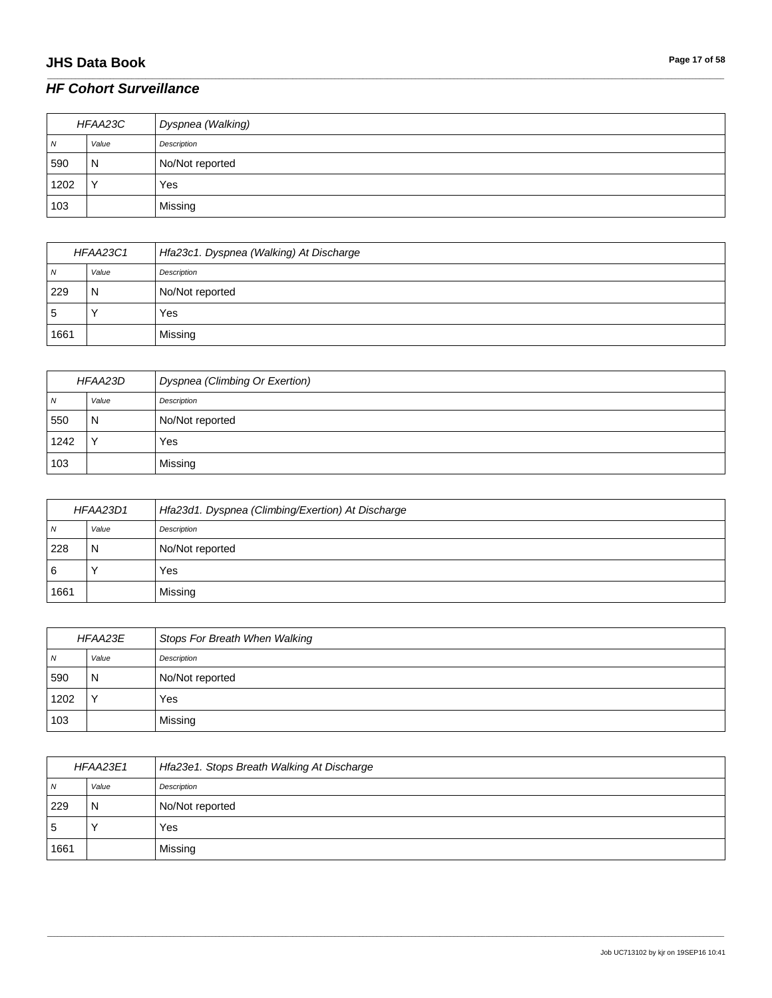## **JHS Data Book Page 17 of 58**

# *HF Cohort Surveillance*

| HFAA23C |       | Dyspnea (Walking) |
|---------|-------|-------------------|
| N       | Value | Description       |
| 590     | N     | No/Not reported   |
| 1202    |       | Yes               |
| 103     |       | Missing           |

\_\_\_\_\_\_\_\_\_\_\_\_\_\_\_\_\_\_\_\_\_\_\_\_\_\_\_\_\_\_\_\_\_\_\_\_\_\_\_\_\_\_\_\_\_\_\_\_\_\_\_\_\_\_\_\_\_\_\_\_\_\_\_\_\_\_\_\_\_\_\_\_\_\_\_\_\_\_\_\_\_\_\_\_\_\_\_\_\_\_\_\_\_\_\_\_\_\_\_\_\_\_\_\_\_\_\_\_\_\_\_\_\_\_\_\_\_\_\_\_\_\_\_\_\_\_\_\_\_\_\_\_\_\_\_\_\_\_\_\_\_\_\_\_\_\_\_\_\_\_\_\_\_\_\_\_\_\_\_\_\_\_\_\_\_\_\_\_\_\_\_\_\_\_\_\_\_\_\_\_\_\_\_\_\_\_\_\_\_\_\_\_\_

| HFAA23C1 |       | Hfa23c1. Dyspnea (Walking) At Discharge |
|----------|-------|-----------------------------------------|
| 7V       | Value | Description                             |
| 229      | N     | No/Not reported                         |
| G        |       | Yes                                     |
| 1661     |       | Missing                                 |

| HFAA23D |              | Dyspnea (Climbing Or Exertion) |
|---------|--------------|--------------------------------|
| N       | Value        | Description                    |
| 550     | N            | No/Not reported                |
| 1242    | $\checkmark$ | Yes                            |
| 103     |              | Missing                        |

| HFAA23D1 |       | Hfa23d1. Dyspnea (Climbing/Exertion) At Discharge |
|----------|-------|---------------------------------------------------|
| N        | Value | Description                                       |
| 228      | N     | No/Not reported                                   |
| 6        |       | Yes                                               |
| 1661     |       | Missing                                           |

| HFAA23E |              | Stops For Breath When Walking |
|---------|--------------|-------------------------------|
| N       | Value        | Description                   |
| 590     | N            | No/Not reported               |
| 1202    | $\checkmark$ | Yes                           |
| 103     |              | Missing                       |

| HFAA23E1 |       | Hfa23e1. Stops Breath Walking At Discharge |
|----------|-------|--------------------------------------------|
| 7V       | Value | Description                                |
| 229      | N     | No/Not reported                            |
| .5       |       | Yes                                        |
| 1661     |       | Missing                                    |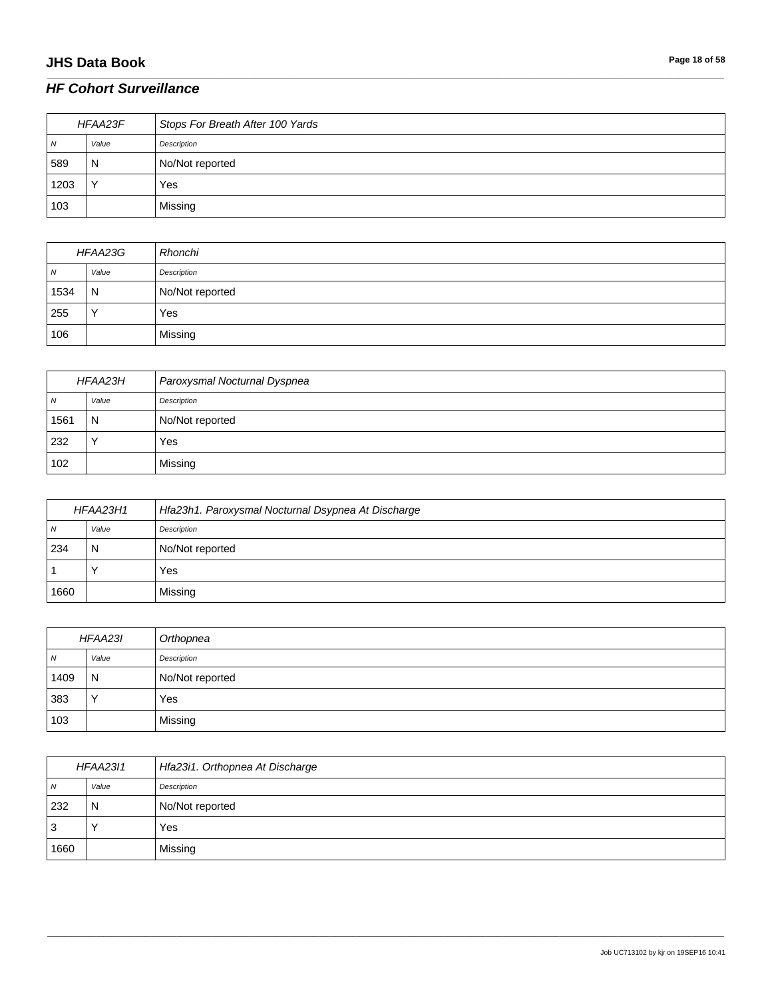## **JHS Data Book Page 18 of 58**

# *HF Cohort Surveillance*

| <b>HFAA23F</b> |       | Stops For Breath After 100 Yards |
|----------------|-------|----------------------------------|
| $\overline{N}$ | Value | Description                      |
| 589            | N     | No/Not reported                  |
| 1203           |       | Yes                              |
| 103            |       | Missing                          |

\_\_\_\_\_\_\_\_\_\_\_\_\_\_\_\_\_\_\_\_\_\_\_\_\_\_\_\_\_\_\_\_\_\_\_\_\_\_\_\_\_\_\_\_\_\_\_\_\_\_\_\_\_\_\_\_\_\_\_\_\_\_\_\_\_\_\_\_\_\_\_\_\_\_\_\_\_\_\_\_\_\_\_\_\_\_\_\_\_\_\_\_\_\_\_\_\_\_\_\_\_\_\_\_\_\_\_\_\_\_\_\_\_\_\_\_\_\_\_\_\_\_\_\_\_\_\_\_\_\_\_\_\_\_\_\_\_\_\_\_\_\_\_\_\_\_\_\_\_\_\_\_\_\_\_\_\_\_\_\_\_\_\_\_\_\_\_\_\_\_\_\_\_\_\_\_\_\_\_\_\_\_\_\_\_\_\_\_\_\_\_\_\_

| HFAA23G |           | Rhonchi         |
|---------|-----------|-----------------|
| N       | Value     | Description     |
| 1534    | N         | No/Not reported |
| 255     | $\lambda$ | Yes             |
| 106     |           | Missing         |

| HFAA23H |           | Paroxysmal Nocturnal Dyspnea |
|---------|-----------|------------------------------|
| 7V      | Value     | Description                  |
| 1561    | N         | No/Not reported              |
| 232     | $\lambda$ | Yes                          |
| 102     |           | Missing                      |

| HFAA23H1 |       | Hfa23h1. Paroxysmal Nocturnal Dsypnea At Discharge |
|----------|-------|----------------------------------------------------|
| N        | Value | Description                                        |
| 234      | N     | No/Not reported                                    |
|          |       | Yes                                                |
| 1660     |       | Missing                                            |

| HFAA23I |                | Orthopnea       |
|---------|----------------|-----------------|
| N       | Value          | Description     |
| 1409    | $\overline{N}$ | No/Not reported |
| 383     | $\check{ }$    | Yes             |
| 103     |                | Missing         |

| <b>HFAA2311</b> |       | Hfa23i1. Orthopnea At Discharge |
|-----------------|-------|---------------------------------|
| N               | Value | Description                     |
| 232             | N     | No/Not reported                 |
| 3               |       | Yes                             |
| 1660            |       | Missing                         |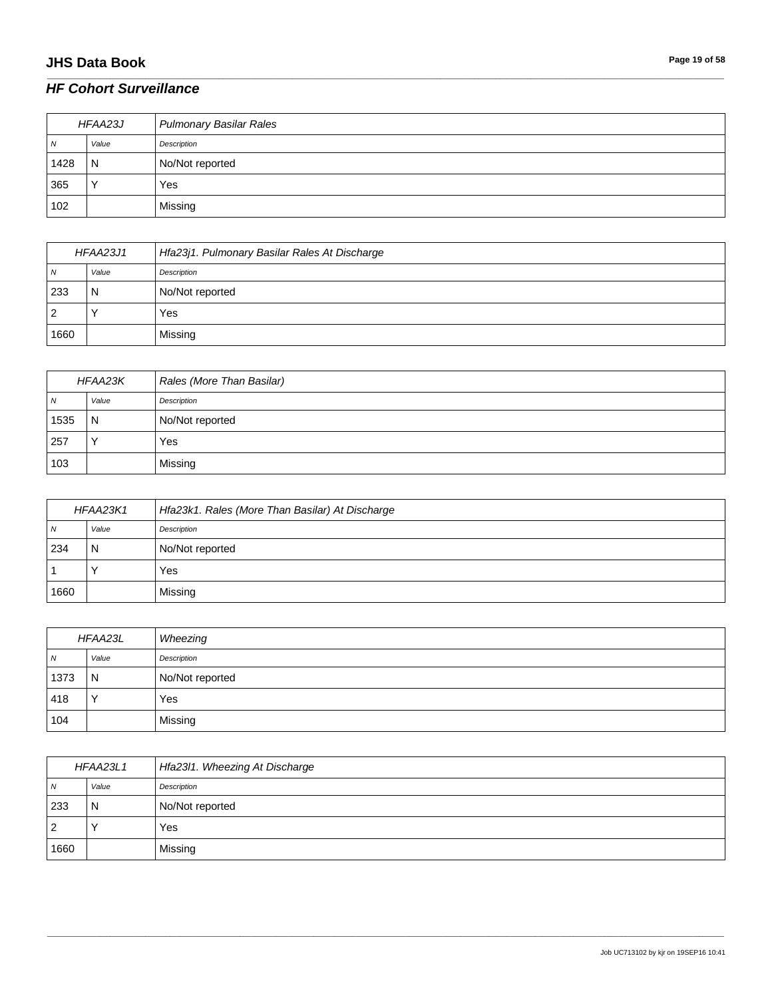## **JHS Data Book Page 19 of 58**

## *HF Cohort Surveillance*

| HFAA23J      |       | <b>Pulmonary Basilar Rales</b> |
|--------------|-------|--------------------------------|
| <sub>N</sub> | Value | Description                    |
| 1428         | N     | No/Not reported                |
| 365          |       | Yes                            |
| 102          |       | Missing                        |

\_\_\_\_\_\_\_\_\_\_\_\_\_\_\_\_\_\_\_\_\_\_\_\_\_\_\_\_\_\_\_\_\_\_\_\_\_\_\_\_\_\_\_\_\_\_\_\_\_\_\_\_\_\_\_\_\_\_\_\_\_\_\_\_\_\_\_\_\_\_\_\_\_\_\_\_\_\_\_\_\_\_\_\_\_\_\_\_\_\_\_\_\_\_\_\_\_\_\_\_\_\_\_\_\_\_\_\_\_\_\_\_\_\_\_\_\_\_\_\_\_\_\_\_\_\_\_\_\_\_\_\_\_\_\_\_\_\_\_\_\_\_\_\_\_\_\_\_\_\_\_\_\_\_\_\_\_\_\_\_\_\_\_\_\_\_\_\_\_\_\_\_\_\_\_\_\_\_\_\_\_\_\_\_\_\_\_\_\_\_\_\_\_

| HFAA23J1 |       | Hfa23j1. Pulmonary Basilar Rales At Discharge |
|----------|-------|-----------------------------------------------|
| 7V       | Value | Description                                   |
| 233      | N     | No/Not reported                               |
| ∠        |       | Yes                                           |
| 1660     |       | Missing                                       |

| HFAA23K |       | Rales (More Than Basilar) |
|---------|-------|---------------------------|
| 7V      | Value | Description               |
| 1535    | N     | No/Not reported           |
| 257     | v     | Yes                       |
| 103     |       | Missing                   |

| HFAA23K1 |       | Hfa23k1. Rales (More Than Basilar) At Discharge |
|----------|-------|-------------------------------------------------|
| N        | Value | Description                                     |
| 234      | N     | No/Not reported                                 |
|          |       | Yes                                             |
| 1660     |       | Missing                                         |

| HFAA23L |                | Wheezing        |
|---------|----------------|-----------------|
| N       | Value          | Description     |
| 1373    | $\overline{N}$ | No/Not reported |
| 418     | $\checkmark$   | Yes             |
| 104     |                | Missing         |

| HFAA23L1 |       | Hfa23I1. Wheezing At Discharge |
|----------|-------|--------------------------------|
| 7V       | Value | Description                    |
| 233      | N     | No/Not reported                |
| ▴        |       | Yes                            |
| 1660     |       | Missing                        |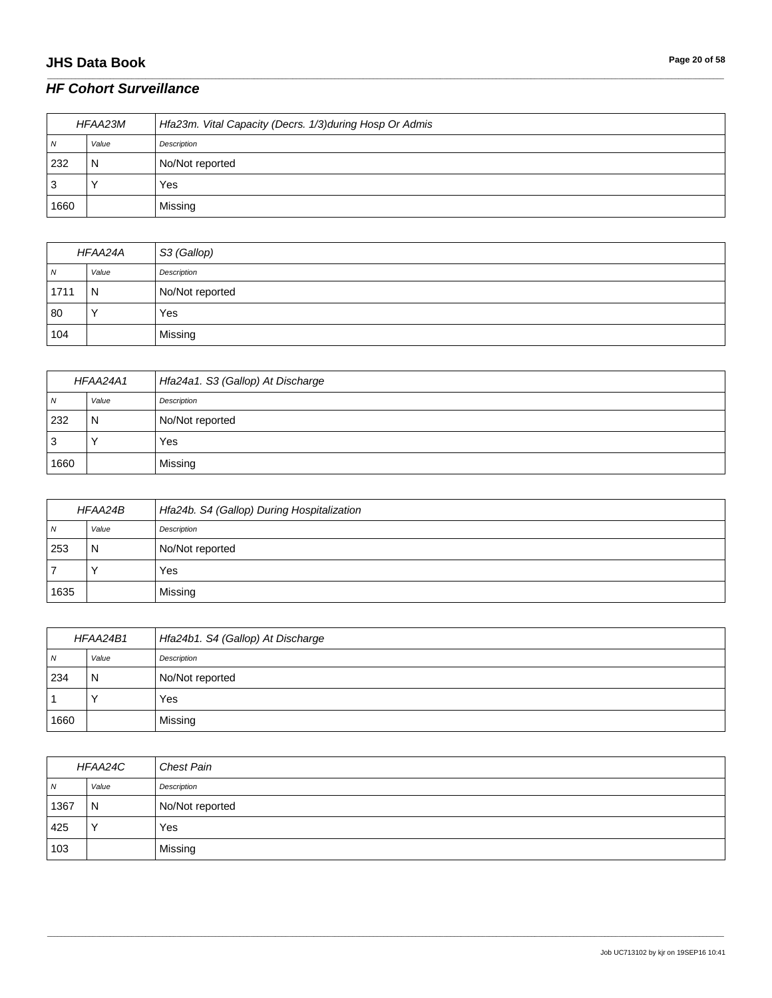## **JHS Data Book Page 20 of 58**

# *HF Cohort Surveillance*

| <b>HFAA23M</b> |       | Hfa23m. Vital Capacity (Decrs. 1/3) during Hosp Or Admis |
|----------------|-------|----------------------------------------------------------|
| N              | Value | Description                                              |
| 232            | N     | No/Not reported                                          |
| 3              |       | Yes                                                      |
| 1660           |       | Missing                                                  |

\_\_\_\_\_\_\_\_\_\_\_\_\_\_\_\_\_\_\_\_\_\_\_\_\_\_\_\_\_\_\_\_\_\_\_\_\_\_\_\_\_\_\_\_\_\_\_\_\_\_\_\_\_\_\_\_\_\_\_\_\_\_\_\_\_\_\_\_\_\_\_\_\_\_\_\_\_\_\_\_\_\_\_\_\_\_\_\_\_\_\_\_\_\_\_\_\_\_\_\_\_\_\_\_\_\_\_\_\_\_\_\_\_\_\_\_\_\_\_\_\_\_\_\_\_\_\_\_\_\_\_\_\_\_\_\_\_\_\_\_\_\_\_\_\_\_\_\_\_\_\_\_\_\_\_\_\_\_\_\_\_\_\_\_\_\_\_\_\_\_\_\_\_\_\_\_\_\_\_\_\_\_\_\_\_\_\_\_\_\_\_\_\_

| HFAA24A |       | S3 (Gallop)     |
|---------|-------|-----------------|
| N       | Value | Description     |
| 1711    | N     | No/Not reported |
| 80      |       | Yes             |
| 104     |       | Missing         |

| HFAA24A1 |       | Hfa24a1. S3 (Gallop) At Discharge |
|----------|-------|-----------------------------------|
| <b>N</b> | Value | Description                       |
| 232      | N     | No/Not reported                   |
| ت        |       | Yes                               |
| 1660     |       | Missing                           |

| HFAA24B |       | Hfa24b. S4 (Gallop) During Hospitalization |
|---------|-------|--------------------------------------------|
| N       | Value | Description                                |
| 253     | N     | No/Not reported                            |
|         |       | Yes                                        |
| 1635    |       | Missing                                    |

| HFAA24B1 |       | Hfa24b1. S4 (Gallop) At Discharge |
|----------|-------|-----------------------------------|
| N        | Value | Description                       |
| 234      | N     | No/Not reported                   |
|          |       | Yes                               |
| 1660     |       | Missing                           |

| HFAA24C |              | <b>Chest Pain</b> |
|---------|--------------|-------------------|
| N       | Value        | Description       |
| 1367    | N            | No/Not reported   |
| 425     | $\checkmark$ | Yes               |
| 103     |              | Missing           |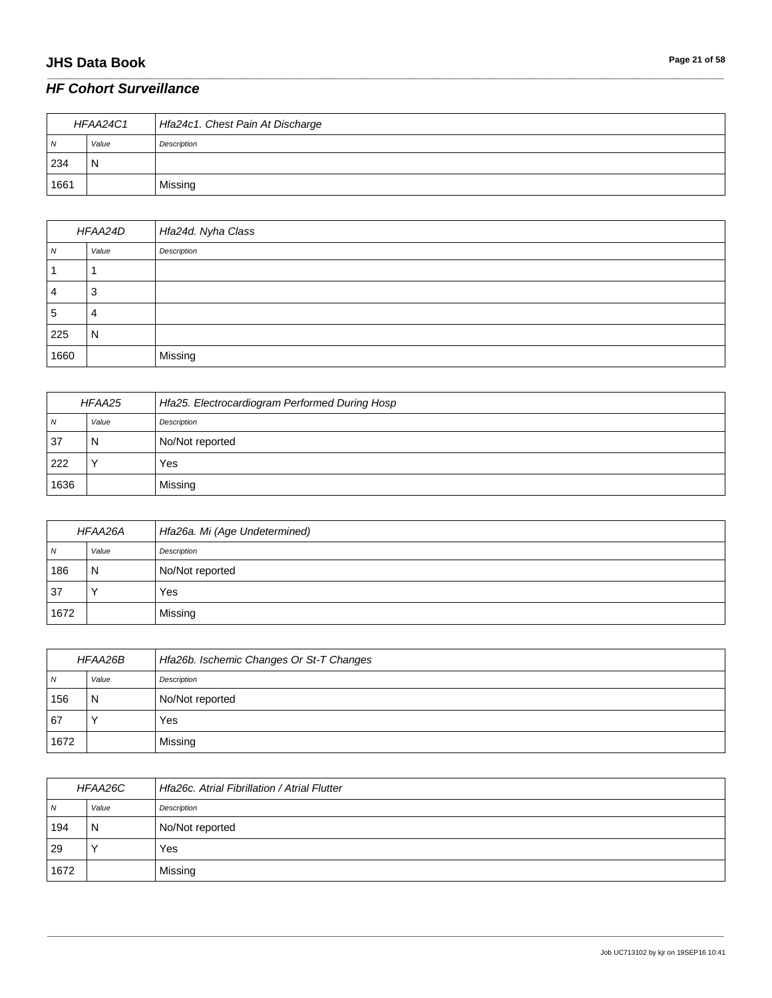## **JHS Data Book Page 21 of 58**

#### *HF Cohort Surveillance*

| HFAA24C1       |       | Hfa24c1. Chest Pain At Discharge |
|----------------|-------|----------------------------------|
| $\overline{N}$ | Value | Description                      |
| 234            | N     |                                  |
| 1661           |       | Missing                          |

\_\_\_\_\_\_\_\_\_\_\_\_\_\_\_\_\_\_\_\_\_\_\_\_\_\_\_\_\_\_\_\_\_\_\_\_\_\_\_\_\_\_\_\_\_\_\_\_\_\_\_\_\_\_\_\_\_\_\_\_\_\_\_\_\_\_\_\_\_\_\_\_\_\_\_\_\_\_\_\_\_\_\_\_\_\_\_\_\_\_\_\_\_\_\_\_\_\_\_\_\_\_\_\_\_\_\_\_\_\_\_\_\_\_\_\_\_\_\_\_\_\_\_\_\_\_\_\_\_\_\_\_\_\_\_\_\_\_\_\_\_\_\_\_\_\_\_\_\_\_\_\_\_\_\_\_\_\_\_\_\_\_\_\_\_\_\_\_\_\_\_\_\_\_\_\_\_\_\_\_\_\_\_\_\_\_\_\_\_\_\_\_\_

| HFAA24D        |       | Hfa24d. Nyha Class |
|----------------|-------|--------------------|
| $\overline{N}$ | Value | Description        |
|                |       |                    |
| 4              | 3     |                    |
| ່ວ             | 4     |                    |
| 225            | N     |                    |
| 1660           |       | Missing            |

| HFAA25 |       | Hfa25. Electrocardiogram Performed During Hosp |
|--------|-------|------------------------------------------------|
| 7V     | Value | Description                                    |
| 37     | N     | No/Not reported                                |
| 222    |       | Yes                                            |
| 1636   |       | Missing                                        |

| HFAA26A |       | Hfa26a. Mi (Age Undetermined) |
|---------|-------|-------------------------------|
| N       | Value | Description                   |
| 186     | N     | No/Not reported               |
| 37      |       | Yes                           |
| 1672    |       | Missing                       |

| HFAA26B        |       | Hfa26b. Ischemic Changes Or St-T Changes |
|----------------|-------|------------------------------------------|
| $\overline{N}$ | Value | Description                              |
| 156            | N     | No/Not reported                          |
| 67             |       | Yes                                      |
| 1672           |       | Missing                                  |

| HFAA26C    |       | Hfa26c. Atrial Fibrillation / Atrial Flutter |
|------------|-------|----------------------------------------------|
| $\sqrt{N}$ | Value | Description                                  |
| 194        | N     | No/Not reported                              |
| 29         |       | Yes                                          |
| 1672       |       | Missing                                      |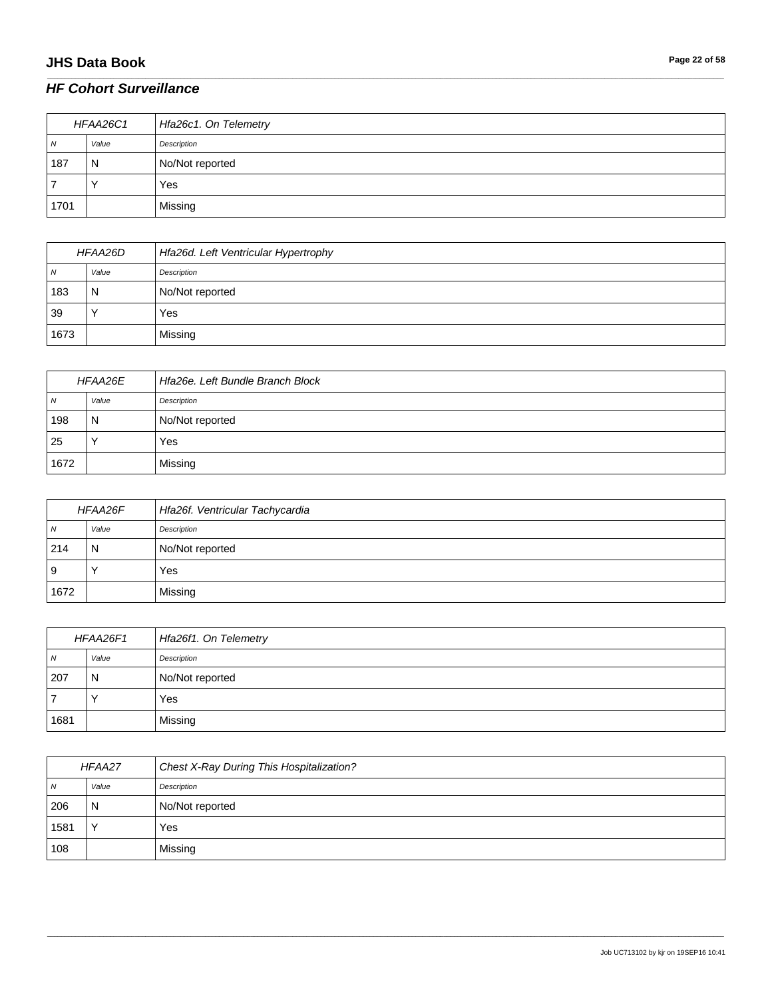## **JHS Data Book Page 22 of 58**

# *HF Cohort Surveillance*

| HFAA26C1       |       | Hfa26c1. On Telemetry |
|----------------|-------|-----------------------|
| $\overline{N}$ | Value | Description           |
| 187            | N     | No/Not reported       |
|                |       | Yes                   |
| 1701           |       | Missing               |

\_\_\_\_\_\_\_\_\_\_\_\_\_\_\_\_\_\_\_\_\_\_\_\_\_\_\_\_\_\_\_\_\_\_\_\_\_\_\_\_\_\_\_\_\_\_\_\_\_\_\_\_\_\_\_\_\_\_\_\_\_\_\_\_\_\_\_\_\_\_\_\_\_\_\_\_\_\_\_\_\_\_\_\_\_\_\_\_\_\_\_\_\_\_\_\_\_\_\_\_\_\_\_\_\_\_\_\_\_\_\_\_\_\_\_\_\_\_\_\_\_\_\_\_\_\_\_\_\_\_\_\_\_\_\_\_\_\_\_\_\_\_\_\_\_\_\_\_\_\_\_\_\_\_\_\_\_\_\_\_\_\_\_\_\_\_\_\_\_\_\_\_\_\_\_\_\_\_\_\_\_\_\_\_\_\_\_\_\_\_\_\_\_

| HFAA26D |       | Hfa26d. Left Ventricular Hypertrophy |
|---------|-------|--------------------------------------|
| 7V      | Value | Description                          |
| 183     | N     | No/Not reported                      |
| 39      |       | Yes                                  |
| 1673    |       | Missing                              |

| <b>HFAA26E</b> |           | Hfa26e, Left Bundle Branch Block |
|----------------|-----------|----------------------------------|
| N              | Value     | Description                      |
| 198            | N         | No/Not reported                  |
| 25             | $\lambda$ | Yes                              |
| 1672           |           | Missing                          |

| <b>HFAA26F</b> |       | Hfa26f. Ventricular Tachycardia |
|----------------|-------|---------------------------------|
| N              | Value | Description                     |
| 214            | N     | No/Not reported                 |
| 9              |       | Yes                             |
| 1672           |       | Missing                         |

| HFAA26F1       |       | Hfa26f1. On Telemetry |
|----------------|-------|-----------------------|
| $\overline{N}$ | Value | Description           |
| 207            | N     | No/Not reported       |
|                |       | Yes                   |
| 1681           |       | Missing               |

| HFAA27 |              | <b>Chest X-Ray During This Hospitalization?</b> |
|--------|--------------|-------------------------------------------------|
| N      | Value        | Description                                     |
| 206    | N            | No/Not reported                                 |
| 1581   | $\checkmark$ | Yes                                             |
| 108    |              | Missing                                         |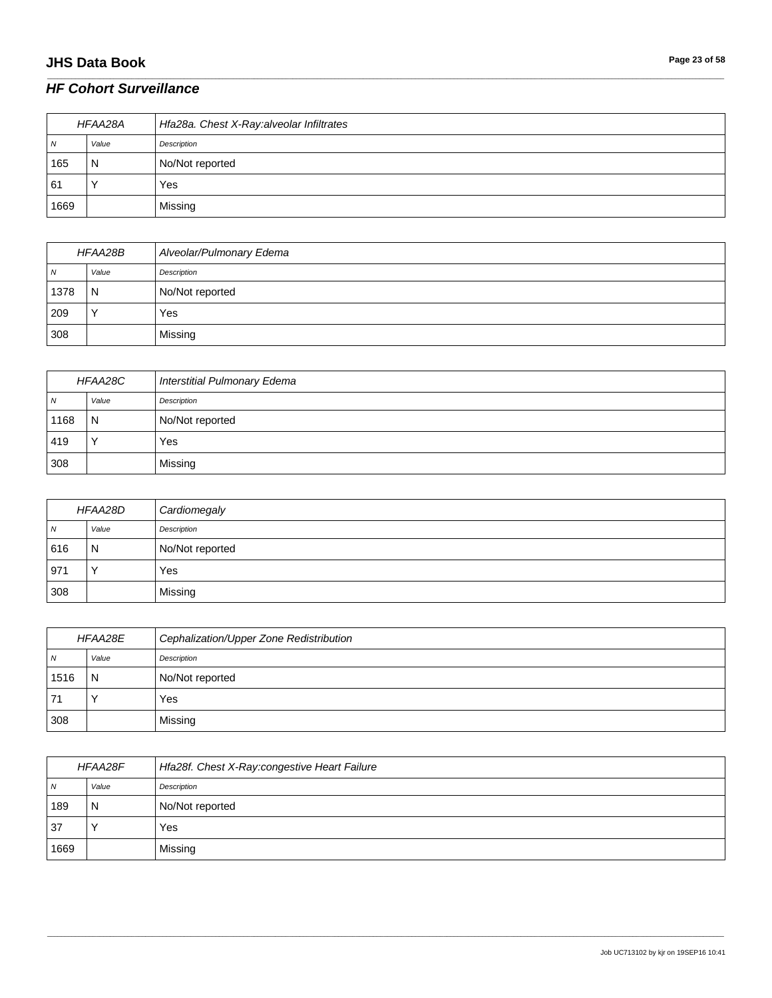## **JHS Data Book Page 23 of 58**

# *HF Cohort Surveillance*

| HFAA28A |       | Hfa28a. Chest X-Ray:alveolar Infiltrates |
|---------|-------|------------------------------------------|
| N       | Value | Description                              |
| 165     | N     | No/Not reported                          |
| 61      |       | Yes                                      |
| 1669    |       | Missing                                  |

\_\_\_\_\_\_\_\_\_\_\_\_\_\_\_\_\_\_\_\_\_\_\_\_\_\_\_\_\_\_\_\_\_\_\_\_\_\_\_\_\_\_\_\_\_\_\_\_\_\_\_\_\_\_\_\_\_\_\_\_\_\_\_\_\_\_\_\_\_\_\_\_\_\_\_\_\_\_\_\_\_\_\_\_\_\_\_\_\_\_\_\_\_\_\_\_\_\_\_\_\_\_\_\_\_\_\_\_\_\_\_\_\_\_\_\_\_\_\_\_\_\_\_\_\_\_\_\_\_\_\_\_\_\_\_\_\_\_\_\_\_\_\_\_\_\_\_\_\_\_\_\_\_\_\_\_\_\_\_\_\_\_\_\_\_\_\_\_\_\_\_\_\_\_\_\_\_\_\_\_\_\_\_\_\_\_\_\_\_\_\_\_\_

| HFAA28B  |             | Alveolar/Pulmonary Edema |
|----------|-------------|--------------------------|
| <b>N</b> | Value       | Description              |
| 1378     | N           | No/Not reported          |
| 209      | $\check{ }$ | Yes                      |
| 308      |             | Missing                  |

| HFAA28C |              | Interstitial Pulmonary Edema |
|---------|--------------|------------------------------|
| N       | Value        | Description                  |
| 1168    | N            | No/Not reported              |
| 419     | $\checkmark$ | Yes                          |
| 308     |              | Missing                      |

| HFAA28D    |       | Cardiomegaly    |
|------------|-------|-----------------|
| $\sqrt{N}$ | Value | Description     |
| 616        | N     | No/Not reported |
| 971        |       | Yes             |
| 308        |       | Missing         |

| <b>HFAA28E</b> |       | Cephalization/Upper Zone Redistribution |
|----------------|-------|-----------------------------------------|
| N              | Value | Description                             |
| 1516           | N     | No/Not reported                         |
| 71             |       | Yes                                     |
| 308            |       | Missing                                 |

| HFAA28F |       | Hfa28f. Chest X-Ray:congestive Heart Failure |
|---------|-------|----------------------------------------------|
| 7V      | Value | Description                                  |
| 189     | N     | No/Not reported                              |
| 37      |       | Yes                                          |
| 1669    |       | Missing                                      |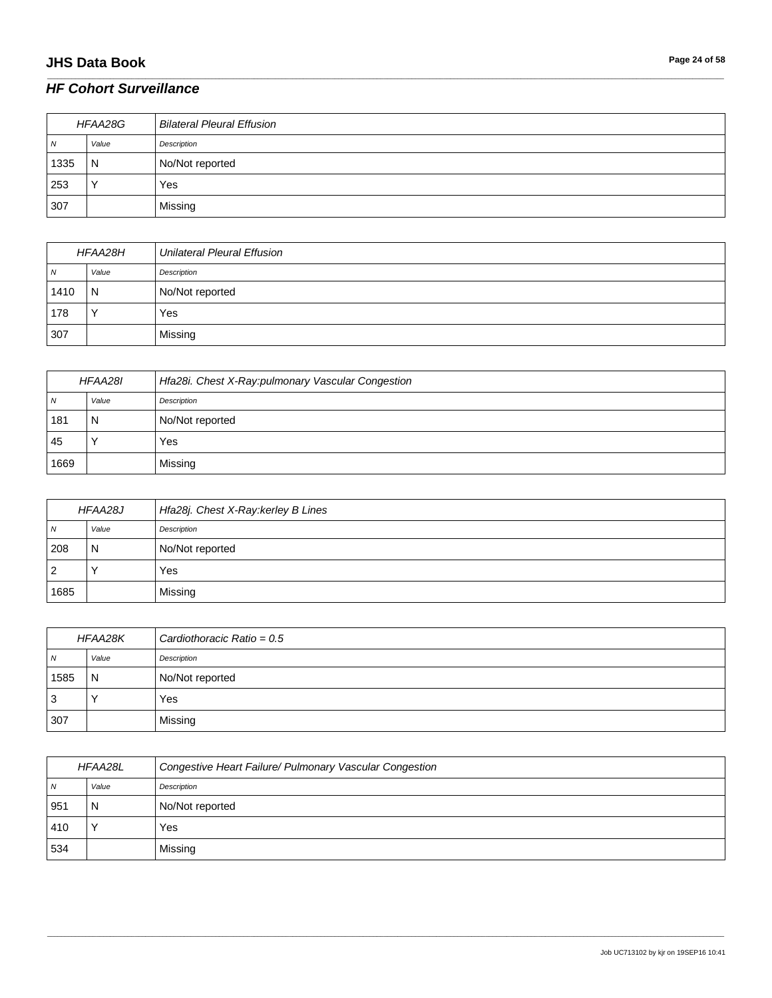## **JHS Data Book Page 24 of 58**

# *HF Cohort Surveillance*

| HFAA28G |       | <b>Bilateral Pleural Effusion</b> |
|---------|-------|-----------------------------------|
| N       | Value | Description                       |
| 1335    | N     | No/Not reported                   |
| 253     |       | Yes                               |
| 1307    |       | Missing                           |

\_\_\_\_\_\_\_\_\_\_\_\_\_\_\_\_\_\_\_\_\_\_\_\_\_\_\_\_\_\_\_\_\_\_\_\_\_\_\_\_\_\_\_\_\_\_\_\_\_\_\_\_\_\_\_\_\_\_\_\_\_\_\_\_\_\_\_\_\_\_\_\_\_\_\_\_\_\_\_\_\_\_\_\_\_\_\_\_\_\_\_\_\_\_\_\_\_\_\_\_\_\_\_\_\_\_\_\_\_\_\_\_\_\_\_\_\_\_\_\_\_\_\_\_\_\_\_\_\_\_\_\_\_\_\_\_\_\_\_\_\_\_\_\_\_\_\_\_\_\_\_\_\_\_\_\_\_\_\_\_\_\_\_\_\_\_\_\_\_\_\_\_\_\_\_\_\_\_\_\_\_\_\_\_\_\_\_\_\_\_\_\_\_

| HFAA28H  |       | <b>Unilateral Pleural Effusion</b> |
|----------|-------|------------------------------------|
| <b>N</b> | Value | Description                        |
| 1410     | N     | No/Not reported                    |
| 178      |       | Yes                                |
| 307      |       | Missing                            |

| HFAA28I |       | Hfa28i. Chest X-Ray:pulmonary Vascular Congestion |
|---------|-------|---------------------------------------------------|
| N       | Value | Description                                       |
| 181     | N     | No/Not reported                                   |
| 45      |       | Yes                                               |
| 1669    |       | Missing                                           |

| HFAA28J |       | Hfa28j. Chest X-Ray:kerley B Lines |
|---------|-------|------------------------------------|
| N       | Value | Description                        |
| 208     | N     | No/Not reported                    |
| 2       |       | Yes                                |
| 1685    |       | Missing                            |

| HFAA28K |                | Cardiothoracic Ratio = $0.5$ |
|---------|----------------|------------------------------|
| N       | Value          | Description                  |
| 1585    | $\overline{N}$ | No/Not reported              |
| 3       |                | Yes                          |
| 1307    |                | Missing                      |

| HFAA28L      |       | Congestive Heart Failure/ Pulmonary Vascular Congestion |
|--------------|-------|---------------------------------------------------------|
| <sub>N</sub> | Value | Description                                             |
| 951          | N     | No/Not reported                                         |
| 410          |       | Yes                                                     |
| 534          |       | Missing                                                 |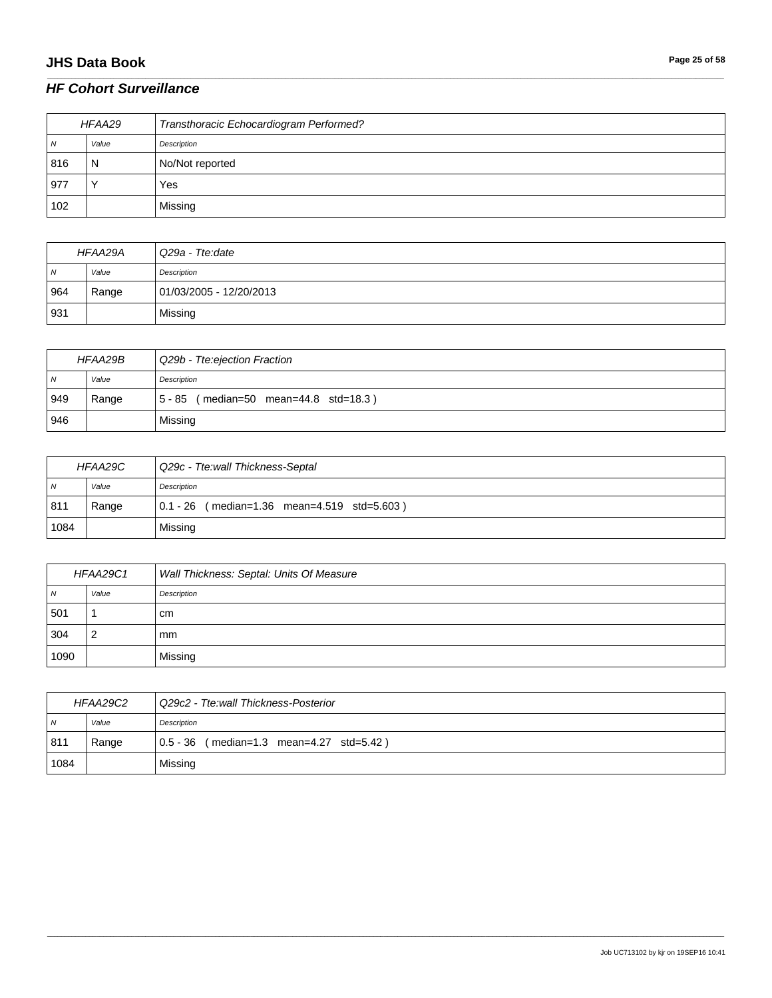## **JHS Data Book Page 25 of 58**

#### *HF Cohort Surveillance*

| HFAA29 |       | Transthoracic Echocardiogram Performed? |
|--------|-------|-----------------------------------------|
| N      | Value | Description                             |
| 816    | N     | No/Not reported                         |
| 977    |       | Yes                                     |
| 102    |       | Missing                                 |

\_\_\_\_\_\_\_\_\_\_\_\_\_\_\_\_\_\_\_\_\_\_\_\_\_\_\_\_\_\_\_\_\_\_\_\_\_\_\_\_\_\_\_\_\_\_\_\_\_\_\_\_\_\_\_\_\_\_\_\_\_\_\_\_\_\_\_\_\_\_\_\_\_\_\_\_\_\_\_\_\_\_\_\_\_\_\_\_\_\_\_\_\_\_\_\_\_\_\_\_\_\_\_\_\_\_\_\_\_\_\_\_\_\_\_\_\_\_\_\_\_\_\_\_\_\_\_\_\_\_\_\_\_\_\_\_\_\_\_\_\_\_\_\_\_\_\_\_\_\_\_\_\_\_\_\_\_\_\_\_\_\_\_\_\_\_\_\_\_\_\_\_\_\_\_\_\_\_\_\_\_\_\_\_\_\_\_\_\_\_\_\_\_

| HFAA29A        |       | Q29a - Tte:date         |
|----------------|-------|-------------------------|
| $\overline{N}$ | Value | Description             |
| 964            | Range | 01/03/2005 - 12/20/2013 |
| 931            |       | Missing                 |

| HFAA29B        |       | Q29b - Tte:ejection Fraction                               |
|----------------|-------|------------------------------------------------------------|
| $\overline{N}$ | Value | Description                                                |
| 949            | Range | $(median=50 \text{ mean}=44.8 \text{ std}=18.3)$<br>5 - 85 |
| 946            |       | Missing                                                    |

| HFAA29C        |       | Q29c - Tte:wall Thickness-Septal            |
|----------------|-------|---------------------------------------------|
| $\overline{M}$ | Value | Description                                 |
| 811            | Range | 0.1 - 26 (median=1.36 mean=4.519 std=5.603) |
| 1084           |       | Missing                                     |

| HFAA29C1 |       | Wall Thickness: Septal: Units Of Measure |
|----------|-------|------------------------------------------|
| N        | Value | Description                              |
| 501      |       | cm                                       |
| 304      | 2     | mm                                       |
| 1090     |       | Missing                                  |

| HFAA29C2       |       | Q29c2 - Tte:wall Thickness-Posterior     |
|----------------|-------|------------------------------------------|
| $\overline{M}$ | Value | Description                              |
| 811            | Range | 0.5 - 36 (median=1.3 mean=4.27 std=5.42) |
| 1084           |       | Missing                                  |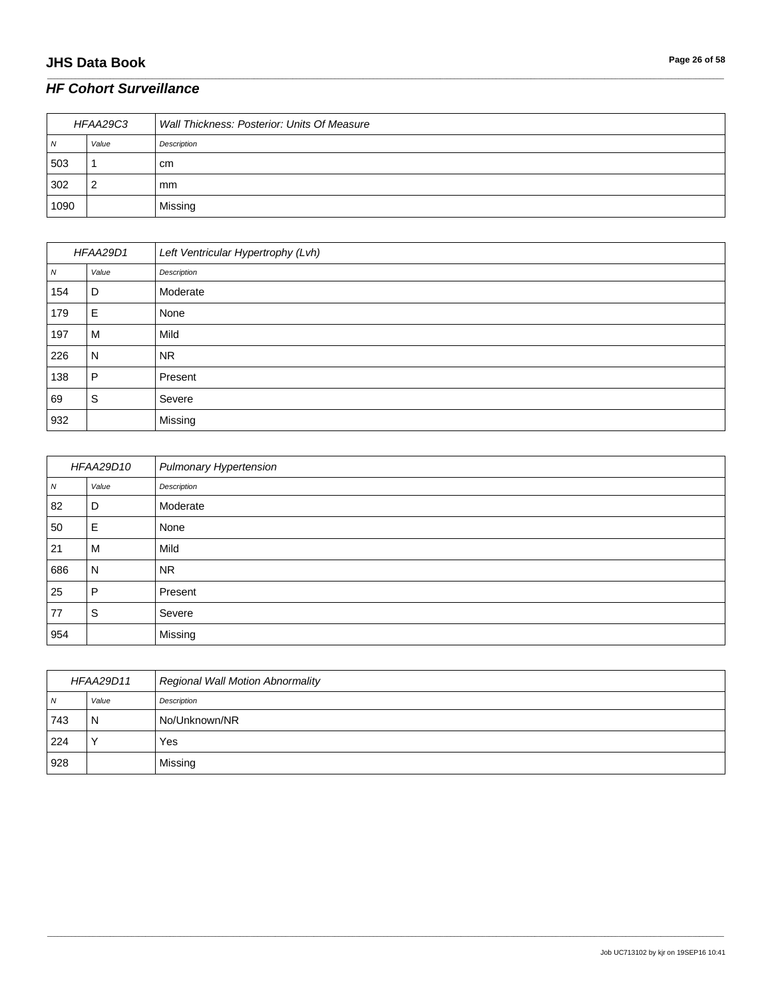## **JHS Data Book Page 26 of 58**

#### *HF Cohort Surveillance*

| HFAA29C3 |       | Wall Thickness: Posterior: Units Of Measure |
|----------|-------|---------------------------------------------|
| N        | Value | Description                                 |
| 503      |       | cm                                          |
| 302      |       | <sub>mm</sub>                               |
| 1090     |       | Missing                                     |

\_\_\_\_\_\_\_\_\_\_\_\_\_\_\_\_\_\_\_\_\_\_\_\_\_\_\_\_\_\_\_\_\_\_\_\_\_\_\_\_\_\_\_\_\_\_\_\_\_\_\_\_\_\_\_\_\_\_\_\_\_\_\_\_\_\_\_\_\_\_\_\_\_\_\_\_\_\_\_\_\_\_\_\_\_\_\_\_\_\_\_\_\_\_\_\_\_\_\_\_\_\_\_\_\_\_\_\_\_\_\_\_\_\_\_\_\_\_\_\_\_\_\_\_\_\_\_\_\_\_\_\_\_\_\_\_\_\_\_\_\_\_\_\_\_\_\_\_\_\_\_\_\_\_\_\_\_\_\_\_\_\_\_\_\_\_\_\_\_\_\_\_\_\_\_\_\_\_\_\_\_\_\_\_\_\_\_\_\_\_\_\_\_

| HFAA29D1 |       | Left Ventricular Hypertrophy (Lvh) |
|----------|-------|------------------------------------|
| N        | Value | Description                        |
| 154      | D     | Moderate                           |
| 179      | Е     | None                               |
| 197      | м     | Mild                               |
| 226      | N     | <b>NR</b>                          |
| 138      | P     | Present                            |
| 69       | S     | Severe                             |
| 932      |       | Missing                            |

| HFAA29D10  |       | <b>Pulmonary Hypertension</b> |
|------------|-------|-------------------------------|
| ${\cal N}$ | Value | Description                   |
| 82         | D     | Moderate                      |
| 50         | Е     | None                          |
| 21         | M     | Mild                          |
| 686        | N     | <b>NR</b>                     |
| 25         | P     | Present                       |
| 77         | S     | Severe                        |
| 954        |       | Missing                       |

| HFAA29D11 |       | <b>Regional Wall Motion Abnormality</b> |
|-----------|-------|-----------------------------------------|
| N         | Value | Description                             |
| 743       | N     | No/Unknown/NR                           |
| 224       |       | Yes                                     |
| 928       |       | Missing                                 |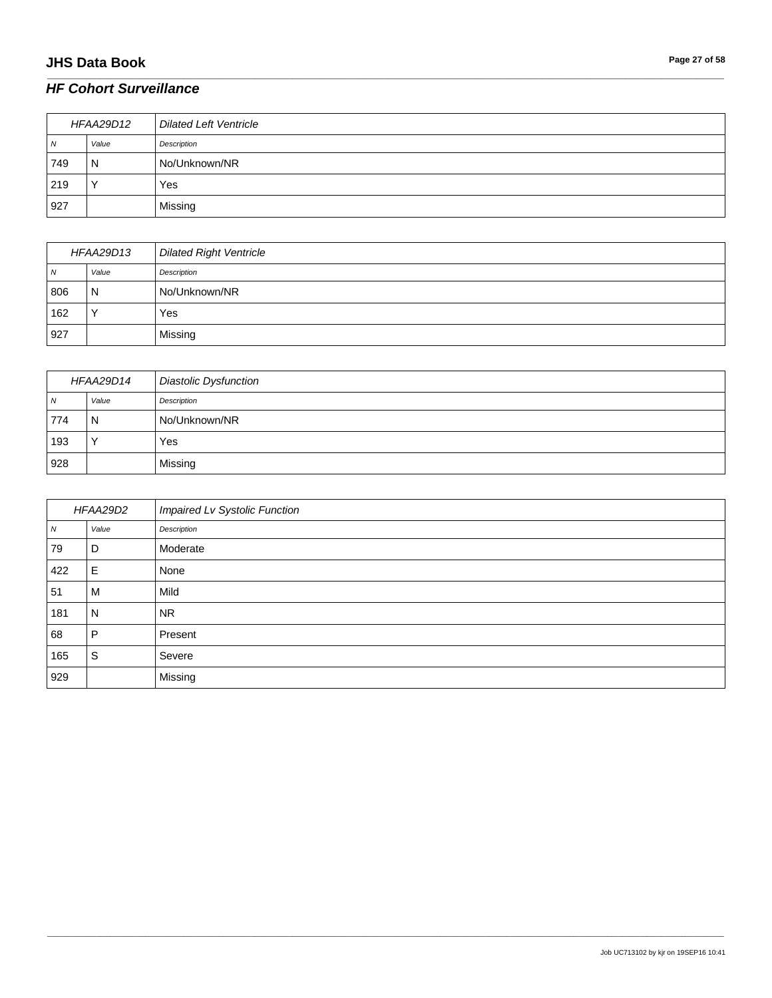## **JHS Data Book Page 27 of 58**

## *HF Cohort Surveillance*

| HFAA29D12      |       | <b>Dilated Left Ventricle</b> |
|----------------|-------|-------------------------------|
| $\overline{N}$ | Value | Description                   |
| 749            | N     | No/Unknown/NR                 |
| 219            |       | Yes                           |
| 927            |       | Missing                       |

\_\_\_\_\_\_\_\_\_\_\_\_\_\_\_\_\_\_\_\_\_\_\_\_\_\_\_\_\_\_\_\_\_\_\_\_\_\_\_\_\_\_\_\_\_\_\_\_\_\_\_\_\_\_\_\_\_\_\_\_\_\_\_\_\_\_\_\_\_\_\_\_\_\_\_\_\_\_\_\_\_\_\_\_\_\_\_\_\_\_\_\_\_\_\_\_\_\_\_\_\_\_\_\_\_\_\_\_\_\_\_\_\_\_\_\_\_\_\_\_\_\_\_\_\_\_\_\_\_\_\_\_\_\_\_\_\_\_\_\_\_\_\_\_\_\_\_\_\_\_\_\_\_\_\_\_\_\_\_\_\_\_\_\_\_\_\_\_\_\_\_\_\_\_\_\_\_\_\_\_\_\_\_\_\_\_\_\_\_\_\_\_\_

| HFAA29D13 |       | <b>Dilated Right Ventricle</b> |
|-----------|-------|--------------------------------|
| N         | Value | Description                    |
| 806       | N     | No/Unknown/NR                  |
| 162       |       | Yes                            |
| 927       |       | Missing                        |

| HFAA29D14 |              | <b>Diastolic Dysfunction</b> |
|-----------|--------------|------------------------------|
| <b>N</b>  | Value        | Description                  |
| 774       | N            | No/Unknown/NR                |
| 193       | $\checkmark$ | Yes                          |
| 928       |              | Missing                      |

| HFAA29D2   |       | Impaired Lv Systolic Function |
|------------|-------|-------------------------------|
| ${\cal N}$ | Value | Description                   |
| 79         | D     | Moderate                      |
| 422        | Е     | None                          |
| 51         | M     | Mild                          |
| 181        | N     | <b>NR</b>                     |
| 68         | P     | Present                       |
| 165        | S     | Severe                        |
| 929        |       | Missing                       |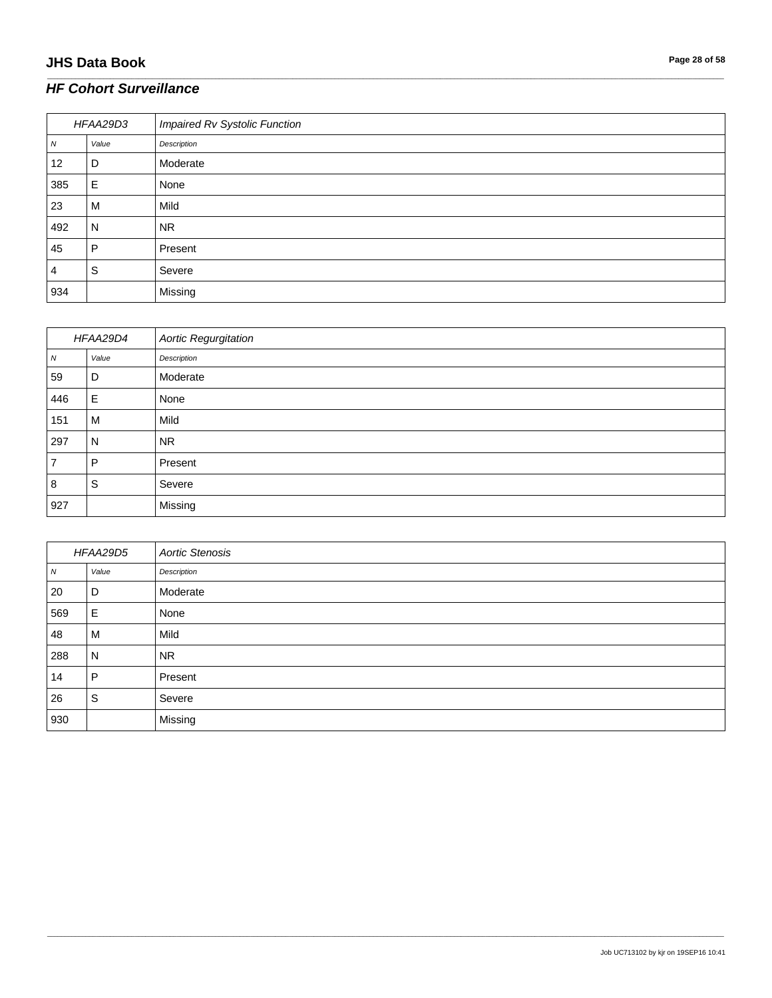## *HF Cohort Surveillance*

| HFAA29D3         |       | Impaired Rv Systolic Function |
|------------------|-------|-------------------------------|
| $\boldsymbol{N}$ | Value | Description                   |
| 12               | D     | Moderate                      |
| 385              | Е     | None                          |
| 23               | M     | Mild                          |
| 492              | N     | <b>NR</b>                     |
| 45               | P     | Present                       |
| 4                | S     | Severe                        |
| 934              |       | Missing                       |

\_\_\_\_\_\_\_\_\_\_\_\_\_\_\_\_\_\_\_\_\_\_\_\_\_\_\_\_\_\_\_\_\_\_\_\_\_\_\_\_\_\_\_\_\_\_\_\_\_\_\_\_\_\_\_\_\_\_\_\_\_\_\_\_\_\_\_\_\_\_\_\_\_\_\_\_\_\_\_\_\_\_\_\_\_\_\_\_\_\_\_\_\_\_\_\_\_\_\_\_\_\_\_\_\_\_\_\_\_\_\_\_\_\_\_\_\_\_\_\_\_\_\_\_\_\_\_\_\_\_\_\_\_\_\_\_\_\_\_\_\_\_\_\_\_\_\_\_\_\_\_\_\_\_\_\_\_\_\_\_\_\_\_\_\_\_\_\_\_\_\_\_\_\_\_\_\_\_\_\_\_\_\_\_\_\_\_\_\_\_\_\_\_

| HFAA29D4   |                | <b>Aortic Regurgitation</b> |
|------------|----------------|-----------------------------|
| ${\cal N}$ | Value          | Description                 |
| 59         | D              | Moderate                    |
| 446        | Ε              | None                        |
| 151        | M              | Mild                        |
| 297        | $\overline{N}$ | <b>NR</b>                   |
| 7          | P              | Present                     |
| 8          | S              | Severe                      |
| 927        |                | Missing                     |

| HFAA29D5         |       | <b>Aortic Stenosis</b> |
|------------------|-------|------------------------|
| $\boldsymbol{N}$ | Value | Description            |
| 20               | D     | Moderate               |
| 569              | Е     | None                   |
| 48               | M     | Mild                   |
| 288              | N     | <b>NR</b>              |
| 14               | P     | Present                |
| 26               | S     | Severe                 |
| 930              |       | Missing                |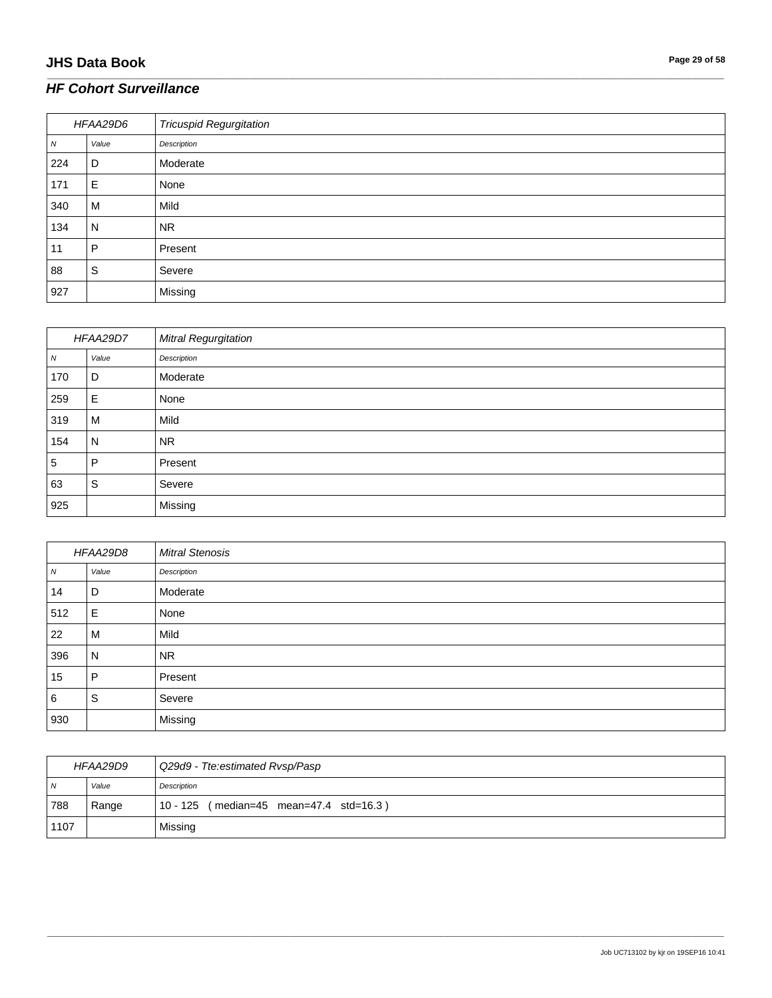## *HF Cohort Surveillance*

| HFAA29D6 |       | <b>Tricuspid Regurgitation</b> |
|----------|-------|--------------------------------|
| N        | Value | Description                    |
| 224      | D     | Moderate                       |
| 171      | Е     | None                           |
| 340      | м     | Mild                           |
| 134      | N     | <b>NR</b>                      |
| 11       | P     | Present                        |
| 88       | S     | Severe                         |
| 927      |       | Missing                        |

\_\_\_\_\_\_\_\_\_\_\_\_\_\_\_\_\_\_\_\_\_\_\_\_\_\_\_\_\_\_\_\_\_\_\_\_\_\_\_\_\_\_\_\_\_\_\_\_\_\_\_\_\_\_\_\_\_\_\_\_\_\_\_\_\_\_\_\_\_\_\_\_\_\_\_\_\_\_\_\_\_\_\_\_\_\_\_\_\_\_\_\_\_\_\_\_\_\_\_\_\_\_\_\_\_\_\_\_\_\_\_\_\_\_\_\_\_\_\_\_\_\_\_\_\_\_\_\_\_\_\_\_\_\_\_\_\_\_\_\_\_\_\_\_\_\_\_\_\_\_\_\_\_\_\_\_\_\_\_\_\_\_\_\_\_\_\_\_\_\_\_\_\_\_\_\_\_\_\_\_\_\_\_\_\_\_\_\_\_\_\_\_\_

| HFAA29D7   |       | <b>Mitral Regurgitation</b> |
|------------|-------|-----------------------------|
| ${\cal N}$ | Value | Description                 |
| 170        | D     | Moderate                    |
| 259        | Е     | None                        |
| 319        | M     | Mild                        |
| 154        | N     | <b>NR</b>                   |
| $\sqrt{5}$ | P     | Present                     |
| 63         | S     | Severe                      |
| 925        |       | Missing                     |

| HFAA29D8         |       | <b>Mitral Stenosis</b> |
|------------------|-------|------------------------|
| $\boldsymbol{N}$ | Value | Description            |
| 14               | D     | Moderate               |
| 512              | Е     | None                   |
| 22               | M     | Mild                   |
| 396              | N     | <b>NR</b>              |
| 15               | P     | Present                |
| 6                | S     | Severe                 |
| 930              |       | Missing                |

| HFAA29D9       |       | Q29d9 - Tte:estimated Rvsp/Pasp              |
|----------------|-------|----------------------------------------------|
| $\overline{N}$ | Value | Description                                  |
| 788            | Range | $(median=45 mean=47.4 std=16.3)$<br>10 - 125 |
| 1107           |       | Missing                                      |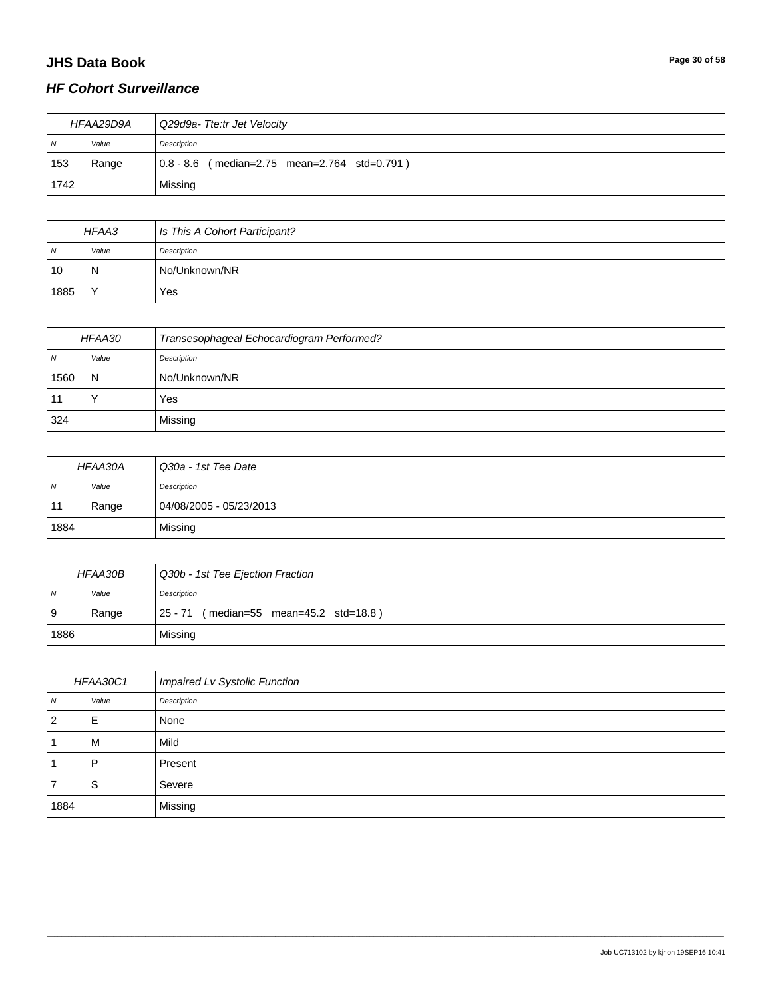## **JHS Data Book Page 30 of 58**

#### *HF Cohort Surveillance*

| HFAA29D9A      |       | Q29d9a-Tte:tr Jet Velocity                     |
|----------------|-------|------------------------------------------------|
| N <sub>N</sub> | Value | Description                                    |
| 153            | Range | $0.8 - 8.6$ (median=2.75 mean=2.764 std=0.791) |
| 1742           |       | Missing                                        |

\_\_\_\_\_\_\_\_\_\_\_\_\_\_\_\_\_\_\_\_\_\_\_\_\_\_\_\_\_\_\_\_\_\_\_\_\_\_\_\_\_\_\_\_\_\_\_\_\_\_\_\_\_\_\_\_\_\_\_\_\_\_\_\_\_\_\_\_\_\_\_\_\_\_\_\_\_\_\_\_\_\_\_\_\_\_\_\_\_\_\_\_\_\_\_\_\_\_\_\_\_\_\_\_\_\_\_\_\_\_\_\_\_\_\_\_\_\_\_\_\_\_\_\_\_\_\_\_\_\_\_\_\_\_\_\_\_\_\_\_\_\_\_\_\_\_\_\_\_\_\_\_\_\_\_\_\_\_\_\_\_\_\_\_\_\_\_\_\_\_\_\_\_\_\_\_\_\_\_\_\_\_\_\_\_\_\_\_\_\_\_\_\_

| HFAA3    |              | Is This A Cohort Participant? |
|----------|--------------|-------------------------------|
| <b>N</b> | Value        | Description                   |
| 10       | N            | No/Unknown/NR                 |
| 1885     | $\checkmark$ | Yes                           |

| HFAA30 |       | Transesophageal Echocardiogram Performed? |
|--------|-------|-------------------------------------------|
| N      | Value | Description                               |
| 1560   | N     | No/Unknown/NR                             |
|        |       | Yes                                       |
| 324    |       | Missing                                   |

| HFAA30A        |       | Q30a - 1st Tee Date     |
|----------------|-------|-------------------------|
| $\overline{N}$ | Value | Description             |
| 11             | Range | 04/08/2005 - 05/23/2013 |
| 1884           |       | Missing                 |

| HFAA30B |       | Q30b - 1st Tee Ejection Fraction            |
|---------|-------|---------------------------------------------|
| i N     | Value | Description                                 |
| و ا     | Range | (median=55 mean=45.2 std=18.8)<br>$25 - 71$ |
| 1886    |       | Missing                                     |

| HFAA30C1       |       | <b>Impaired Lv Systolic Function</b> |
|----------------|-------|--------------------------------------|
| Ν              | Value | Description                          |
| $\overline{2}$ | E     | None                                 |
|                | м     | Mild                                 |
|                | D     | Present                              |
|                | S     | Severe                               |
| 1884           |       | Missing                              |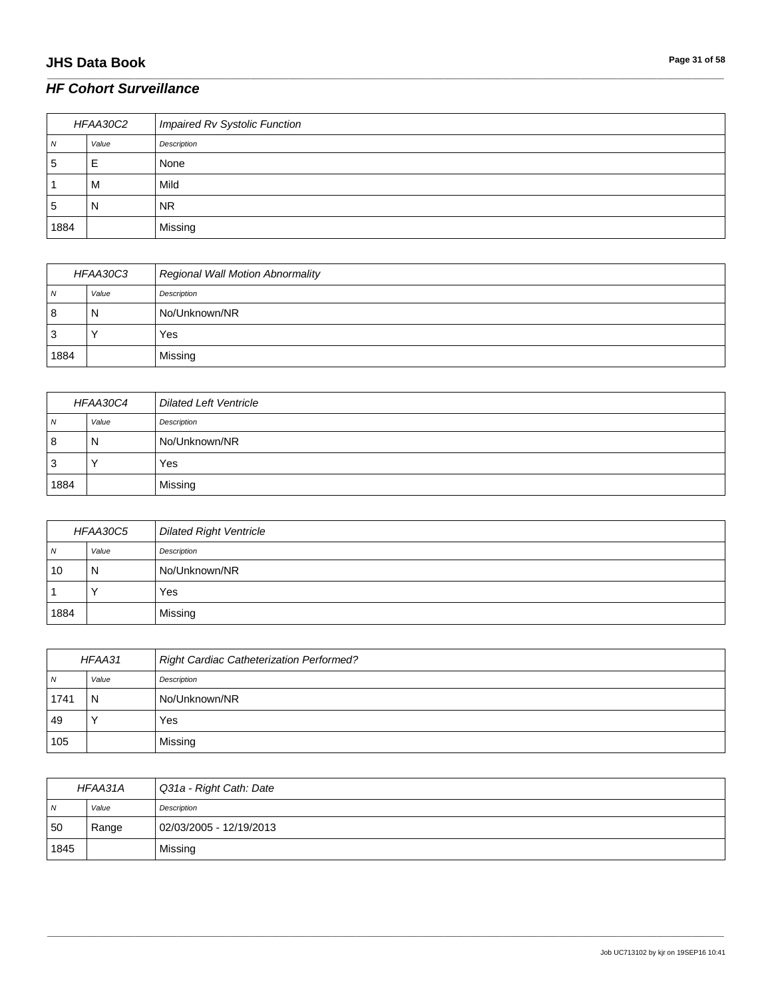## **JHS Data Book Page 31 of 58**

# *HF Cohort Surveillance*

| HFAA30C2 |       | Impaired Rv Systolic Function |
|----------|-------|-------------------------------|
| N        | Value | Description                   |
| 5        | Ε     | None                          |
|          | м     | Mild                          |
| 5        | N     | <b>NR</b>                     |
| 1884     |       | Missing                       |

\_\_\_\_\_\_\_\_\_\_\_\_\_\_\_\_\_\_\_\_\_\_\_\_\_\_\_\_\_\_\_\_\_\_\_\_\_\_\_\_\_\_\_\_\_\_\_\_\_\_\_\_\_\_\_\_\_\_\_\_\_\_\_\_\_\_\_\_\_\_\_\_\_\_\_\_\_\_\_\_\_\_\_\_\_\_\_\_\_\_\_\_\_\_\_\_\_\_\_\_\_\_\_\_\_\_\_\_\_\_\_\_\_\_\_\_\_\_\_\_\_\_\_\_\_\_\_\_\_\_\_\_\_\_\_\_\_\_\_\_\_\_\_\_\_\_\_\_\_\_\_\_\_\_\_\_\_\_\_\_\_\_\_\_\_\_\_\_\_\_\_\_\_\_\_\_\_\_\_\_\_\_\_\_\_\_\_\_\_\_\_\_\_

| HFAA30C3 |       | <b>Regional Wall Motion Abnormality</b> |
|----------|-------|-----------------------------------------|
| 7V       | Value | Description                             |
| 8        | N     | No/Unknown/NR                           |
| J        |       | Yes                                     |
| 1884     |       | Missing                                 |

| HFAA30C4 |       | <b>Dilated Left Ventricle</b> |
|----------|-------|-------------------------------|
| N        | Value | Description                   |
| 8        | N     | No/Unknown/NR                 |
| 3        |       | Yes                           |
| 1884     |       | Missing                       |

| HFAA30C5 |       | <b>Dilated Right Ventricle</b> |
|----------|-------|--------------------------------|
| N        | Value | Description                    |
| 10       | N     | No/Unknown/NR                  |
|          |       | Yes                            |
| 1884     |       | Missing                        |

| HFAA31         |       | <b>Right Cardiac Catheterization Performed?</b> |
|----------------|-------|-------------------------------------------------|
| $\overline{N}$ | Value | Description                                     |
| 1741           | N     | No/Unknown/NR                                   |
| 49             |       | Yes                                             |
| 105            |       | Missing                                         |

| HFAA31A        |       | Q31a - Right Cath: Date |
|----------------|-------|-------------------------|
| $\overline{N}$ | Value | Description             |
| 50             | Range | 02/03/2005 - 12/19/2013 |
| 1845           |       | Missing                 |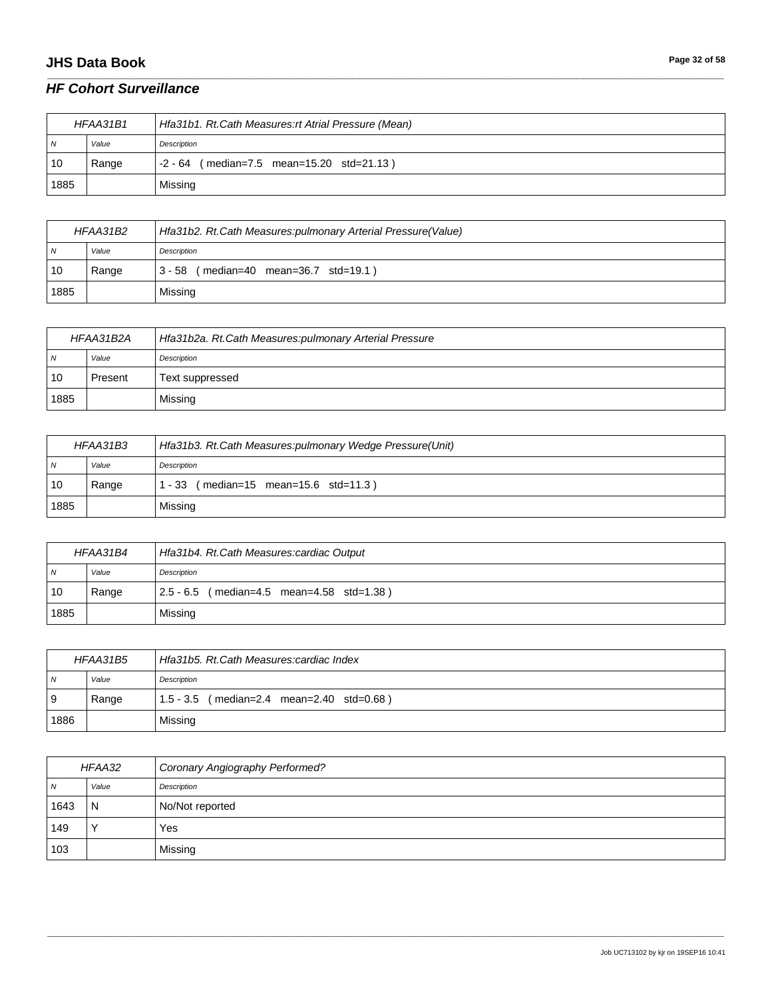# **JHS Data Book Page 32 of 58**

#### *HF Cohort Surveillance*

| HFAA31B1       |       | Hfa31b1. Rt.Cath Measures: rt Atrial Pressure (Mean) |
|----------------|-------|------------------------------------------------------|
| $\overline{N}$ | Value | Description                                          |
| 10             | Range | (median=7.5 mean=15.20 std=21.13)<br>-2 - 64         |
| 1885           |       | Missing                                              |

\_\_\_\_\_\_\_\_\_\_\_\_\_\_\_\_\_\_\_\_\_\_\_\_\_\_\_\_\_\_\_\_\_\_\_\_\_\_\_\_\_\_\_\_\_\_\_\_\_\_\_\_\_\_\_\_\_\_\_\_\_\_\_\_\_\_\_\_\_\_\_\_\_\_\_\_\_\_\_\_\_\_\_\_\_\_\_\_\_\_\_\_\_\_\_\_\_\_\_\_\_\_\_\_\_\_\_\_\_\_\_\_\_\_\_\_\_\_\_\_\_\_\_\_\_\_\_\_\_\_\_\_\_\_\_\_\_\_\_\_\_\_\_\_\_\_\_\_\_\_\_\_\_\_\_\_\_\_\_\_\_\_\_\_\_\_\_\_\_\_\_\_\_\_\_\_\_\_\_\_\_\_\_\_\_\_\_\_\_\_\_\_\_

| HFAA31B2 |       | Hfa31b2. Rt.Cath Measures: pulmonary Arterial Pressure (Value) |
|----------|-------|----------------------------------------------------------------|
| N        | Value | Description                                                    |
| 10       | Range | (median=40 mean=36.7 std=19.1)<br>$3 - 58$                     |
| 1885     |       | Missing                                                        |

| HFAA31B2A      |         | Hfa31b2a. Rt.Cath Measures: pulmonary Arterial Pressure |
|----------------|---------|---------------------------------------------------------|
| $\overline{N}$ | Value   | Description                                             |
| 10             | Present | Text suppressed                                         |
| 1885           |         | Missing                                                 |

| HFAA31B3       |       | Hfa31b3. Rt.Cath Measures: pulmonary Wedge Pressure (Unit) |
|----------------|-------|------------------------------------------------------------|
| $\overline{N}$ | Value | Description                                                |
| 10             | Range | $(median=15 \text{ mean}=15.6 \text{ std}=11.3)$<br>1 - 33 |
| 1885           |       | Missing                                                    |

| HFAA31B4       |       | Hfa31b4. Rt.Cath Measures:cardiac Output       |
|----------------|-------|------------------------------------------------|
| $\overline{M}$ | Value | Description                                    |
| 10             | Range | (median=4.5 mean=4.58 std=1.38)<br>$2.5 - 6.5$ |
| 1885           |       | Missing                                        |

| HFAA31B5 |       | Hfa31b5, Rt.Cath Measures:cardiac Index     |
|----------|-------|---------------------------------------------|
| N        | Value | Description                                 |
| <b>9</b> | Range | $1.5 - 3.5$ (median=2.4 mean=2.40 std=0.68) |
| 1886     |       | Missing                                     |

| HFAA32         |       | Coronary Angiography Performed? |
|----------------|-------|---------------------------------|
| $\overline{N}$ | Value | Description                     |
| 1643           | N     | No/Not reported                 |
| 149            |       | Yes                             |
| 103            |       | Missing                         |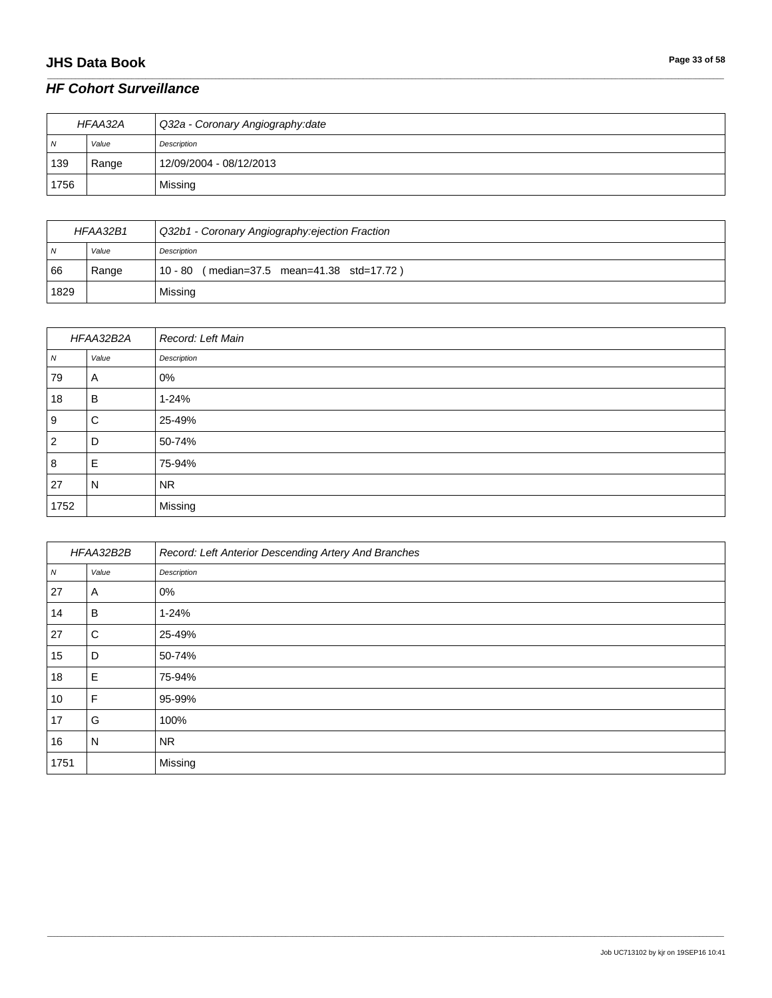## **JHS Data Book Page 33 of 58**

#### *HF Cohort Surveillance*

| HFAA32A        |       | Q32a - Coronary Angiography: date |
|----------------|-------|-----------------------------------|
| $\overline{N}$ | Value | Description                       |
| 139            | Range | 12/09/2004 - 08/12/2013           |
| 1756           |       | Missing                           |

\_\_\_\_\_\_\_\_\_\_\_\_\_\_\_\_\_\_\_\_\_\_\_\_\_\_\_\_\_\_\_\_\_\_\_\_\_\_\_\_\_\_\_\_\_\_\_\_\_\_\_\_\_\_\_\_\_\_\_\_\_\_\_\_\_\_\_\_\_\_\_\_\_\_\_\_\_\_\_\_\_\_\_\_\_\_\_\_\_\_\_\_\_\_\_\_\_\_\_\_\_\_\_\_\_\_\_\_\_\_\_\_\_\_\_\_\_\_\_\_\_\_\_\_\_\_\_\_\_\_\_\_\_\_\_\_\_\_\_\_\_\_\_\_\_\_\_\_\_\_\_\_\_\_\_\_\_\_\_\_\_\_\_\_\_\_\_\_\_\_\_\_\_\_\_\_\_\_\_\_\_\_\_\_\_\_\_\_\_\_\_\_\_

| HFAA32B1 |       | Q32b1 - Coronary Angiography: ejection Fraction |
|----------|-------|-------------------------------------------------|
| I N      | Value | Description                                     |
| 66       | Range | 10 - 80 (median=37.5 mean=41.38 std=17.72)      |
| 1829     |       | Missing                                         |

| HFAA32B2A      |                | Record: Left Main |
|----------------|----------------|-------------------|
| N              | Value          | Description       |
| 79             | $\overline{A}$ | 0%                |
| 18             | В              | $1 - 24%$         |
| 9              | С              | 25-49%            |
| $\overline{2}$ | D              | 50-74%            |
| 8              | Е              | 75-94%            |
| 27             | N              | <b>NR</b>         |
| 1752           |                | Missing           |

| HFAA32B2B |       | Record: Left Anterior Descending Artery And Branches |
|-----------|-------|------------------------------------------------------|
| N         | Value | Description                                          |
| 27        | A     | 0%                                                   |
| 14        | B     | $1 - 24%$                                            |
| 27        | С     | 25-49%                                               |
| 15        | D     | 50-74%                                               |
| 18        | E     | 75-94%                                               |
| 10        | F     | 95-99%                                               |
| 17        | G     | 100%                                                 |
| 16        | N     | <b>NR</b>                                            |
| 1751      |       | Missing                                              |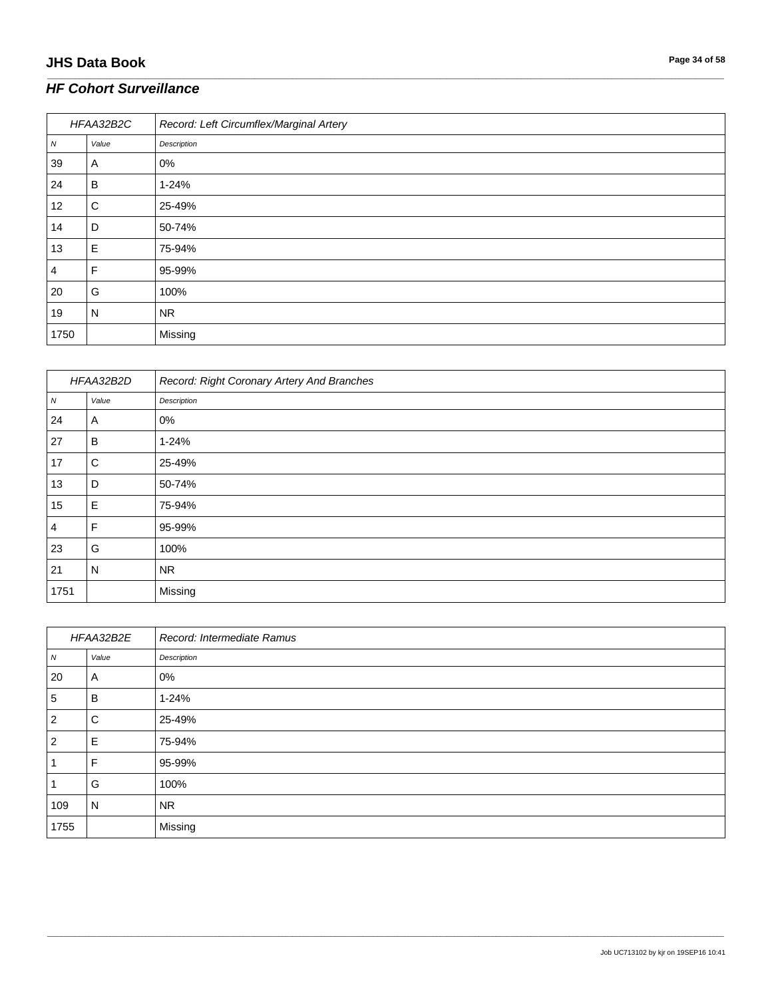#### *HF Cohort Surveillance*

| HFAA32B2C        |       | Record: Left Circumflex/Marginal Artery |
|------------------|-------|-----------------------------------------|
| $\boldsymbol{N}$ | Value | Description                             |
| 39               | A     | 0%                                      |
| 24               | В     | $1 - 24%$                               |
| 12               | C     | 25-49%                                  |
| 14               | D     | 50-74%                                  |
| 13               | Е     | 75-94%                                  |
| $\overline{4}$   | F     | 95-99%                                  |
| 20               | G     | 100%                                    |
| 19               | N     | <b>NR</b>                               |
| 1750             |       | Missing                                 |

\_\_\_\_\_\_\_\_\_\_\_\_\_\_\_\_\_\_\_\_\_\_\_\_\_\_\_\_\_\_\_\_\_\_\_\_\_\_\_\_\_\_\_\_\_\_\_\_\_\_\_\_\_\_\_\_\_\_\_\_\_\_\_\_\_\_\_\_\_\_\_\_\_\_\_\_\_\_\_\_\_\_\_\_\_\_\_\_\_\_\_\_\_\_\_\_\_\_\_\_\_\_\_\_\_\_\_\_\_\_\_\_\_\_\_\_\_\_\_\_\_\_\_\_\_\_\_\_\_\_\_\_\_\_\_\_\_\_\_\_\_\_\_\_\_\_\_\_\_\_\_\_\_\_\_\_\_\_\_\_\_\_\_\_\_\_\_\_\_\_\_\_\_\_\_\_\_\_\_\_\_\_\_\_\_\_\_\_\_\_\_\_\_

| HFAA32B2D        |       | Record: Right Coronary Artery And Branches |
|------------------|-------|--------------------------------------------|
| $\boldsymbol{N}$ | Value | Description                                |
| 24               | A     | 0%                                         |
| 27               | В     | $1 - 24%$                                  |
| 17               | C     | 25-49%                                     |
| 13               | D     | 50-74%                                     |
| 15               | Е     | 75-94%                                     |
| 4                | F     | 95-99%                                     |
| 23               | G     | 100%                                       |
| 21               | N     | <b>NR</b>                                  |
| 1751             |       | Missing                                    |

| HFAA32B2E      |       | Record: Intermediate Ramus |
|----------------|-------|----------------------------|
| ${\cal N}$     | Value | Description                |
| 20             | A     | 0%                         |
| 5              | в     | $1 - 24%$                  |
| $\overline{2}$ | C     | 25-49%                     |
| 2              | Е     | 75-94%                     |
|                | F     | 95-99%                     |
|                | G     | 100%                       |
| 109            | N     | <b>NR</b>                  |
| 1755           |       | Missing                    |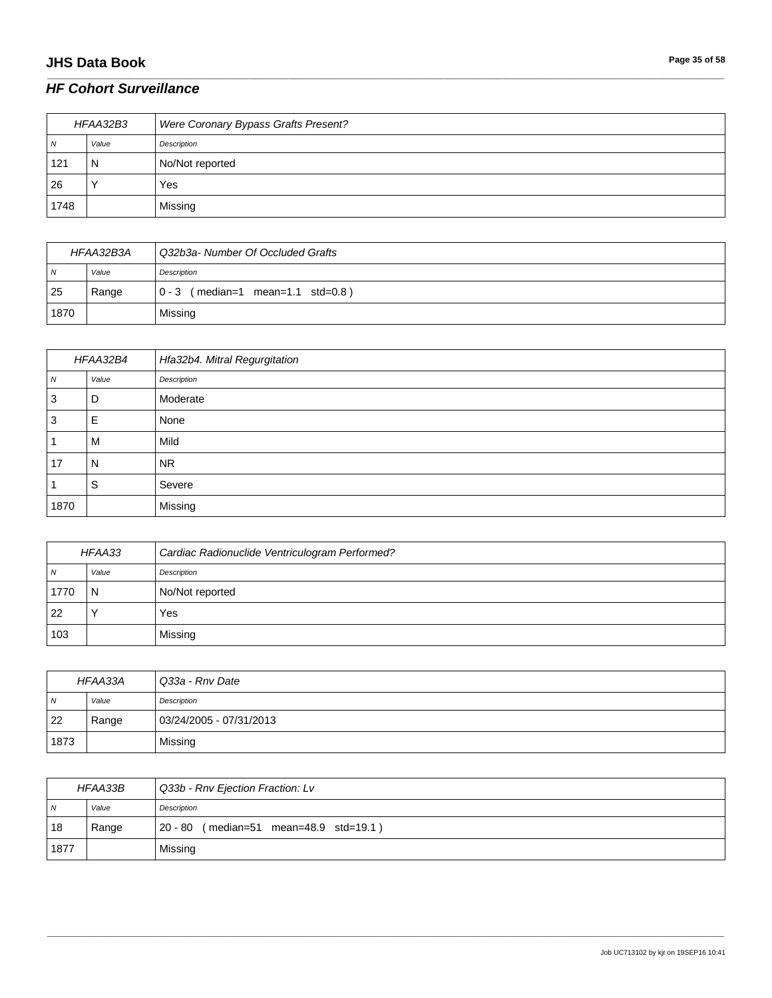## **JHS Data Book Page 35 of 58**

#### *HF Cohort Surveillance*

| HFAA32B3     |       | Were Coronary Bypass Grafts Present? |
|--------------|-------|--------------------------------------|
| <sub>N</sub> | Value | Description                          |
| 121          | N     | No/Not reported                      |
| 26           |       | Yes                                  |
| 1748         |       | Missing                              |

\_\_\_\_\_\_\_\_\_\_\_\_\_\_\_\_\_\_\_\_\_\_\_\_\_\_\_\_\_\_\_\_\_\_\_\_\_\_\_\_\_\_\_\_\_\_\_\_\_\_\_\_\_\_\_\_\_\_\_\_\_\_\_\_\_\_\_\_\_\_\_\_\_\_\_\_\_\_\_\_\_\_\_\_\_\_\_\_\_\_\_\_\_\_\_\_\_\_\_\_\_\_\_\_\_\_\_\_\_\_\_\_\_\_\_\_\_\_\_\_\_\_\_\_\_\_\_\_\_\_\_\_\_\_\_\_\_\_\_\_\_\_\_\_\_\_\_\_\_\_\_\_\_\_\_\_\_\_\_\_\_\_\_\_\_\_\_\_\_\_\_\_\_\_\_\_\_\_\_\_\_\_\_\_\_\_\_\_\_\_\_\_\_

| HFAA32B3A      |       | Q32b3a- Number Of Occluded Grafts            |
|----------------|-------|----------------------------------------------|
| $\overline{N}$ | Value | Description                                  |
| 25             | Range | mean=1.1 $std=0.8$ )<br>median=1)<br>$0 - 3$ |
| 1870           |       | Missing                                      |

| HFAA32B4 |       | Hfa32b4. Mitral Regurgitation |
|----------|-------|-------------------------------|
| N        | Value | Description                   |
| 3        | D     | Moderate                      |
| 3        | Е     | None                          |
|          | M     | Mild                          |
| 17       | N     | <b>NR</b>                     |
|          | S     | Severe                        |
| 1870     |       | Missing                       |

| HFAA33 |       | Cardiac Radionuclide Ventriculogram Performed? |
|--------|-------|------------------------------------------------|
| N      | Value | Description                                    |
| 1770   | N     | No/Not reported                                |
| -22    |       | Yes                                            |
| 103    |       | Missing                                        |

| HFAA33A        |       | Q33a - Rnv Date         |
|----------------|-------|-------------------------|
| $\overline{N}$ | Value | Description             |
| 22             | Range | 03/24/2005 - 07/31/2013 |
| 1873           |       | Missing                 |

| HFAA33B        |       | Q33b - Rnv Ejection Fraction: Lv       |
|----------------|-------|----------------------------------------|
| N <sub>N</sub> | Value | Description                            |
| 18             | Range | 20 - 80 (median=51 mean=48.9 std=19.1) |
| 1877           |       | Missing                                |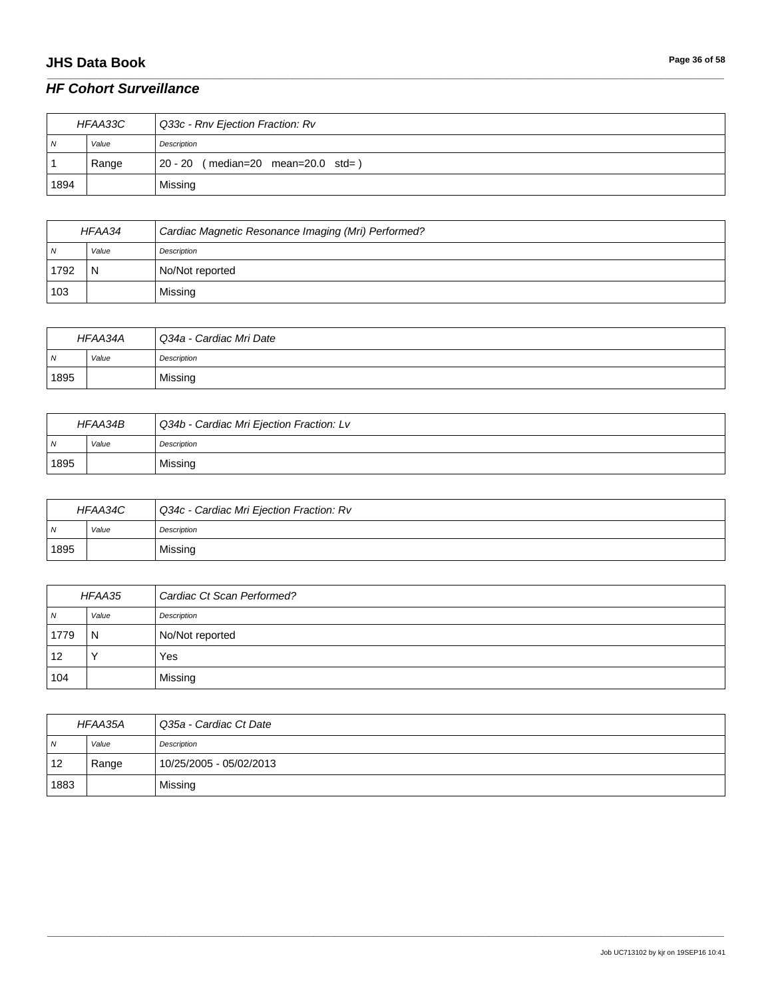## **JHS Data Book Page 36 of 58**

#### *HF Cohort Surveillance*

| HFAA33C        |       | Q33c - Rnv Ejection Fraction: Rv   |
|----------------|-------|------------------------------------|
| $\overline{N}$ | Value | Description                        |
|                | Range | 20 - 20 (median=20 mean=20.0 std=) |
| 1894           |       | Missing                            |

\_\_\_\_\_\_\_\_\_\_\_\_\_\_\_\_\_\_\_\_\_\_\_\_\_\_\_\_\_\_\_\_\_\_\_\_\_\_\_\_\_\_\_\_\_\_\_\_\_\_\_\_\_\_\_\_\_\_\_\_\_\_\_\_\_\_\_\_\_\_\_\_\_\_\_\_\_\_\_\_\_\_\_\_\_\_\_\_\_\_\_\_\_\_\_\_\_\_\_\_\_\_\_\_\_\_\_\_\_\_\_\_\_\_\_\_\_\_\_\_\_\_\_\_\_\_\_\_\_\_\_\_\_\_\_\_\_\_\_\_\_\_\_\_\_\_\_\_\_\_\_\_\_\_\_\_\_\_\_\_\_\_\_\_\_\_\_\_\_\_\_\_\_\_\_\_\_\_\_\_\_\_\_\_\_\_\_\_\_\_\_\_\_

| HFAA34   |       | Cardiac Magnetic Resonance Imaging (Mri) Performed? |
|----------|-------|-----------------------------------------------------|
| <b>N</b> | Value | Description                                         |
| 1792     | N     | No/Not reported                                     |
| 103      |       | Missing                                             |

| HFAA34A        |       | Q34a - Cardiac Mri Date |
|----------------|-------|-------------------------|
| $\overline{N}$ | Value | Description             |
| 1895           |       | Missing                 |

| HFAA34B |       | Q34b - Cardiac Mri Ejection Fraction: Lv |
|---------|-------|------------------------------------------|
| N       | Value | Description                              |
| 1895    |       | Missing                                  |

| HFAA34C        |       | Q34c - Cardiac Mri Ejection Fraction: Rv |
|----------------|-------|------------------------------------------|
| $\overline{N}$ | Value | Description                              |
| 1895           |       | Missing                                  |

| HFAA35         |                | Cardiac Ct Scan Performed? |
|----------------|----------------|----------------------------|
| $\overline{N}$ | Value          | Description                |
| 1779           | $\overline{N}$ | No/Not reported            |
| 12             |                | Yes                        |
| 104            |                | Missing                    |

| HFAA35A        |       | Q35a - Cardiac Ct Date  |
|----------------|-------|-------------------------|
| $\overline{N}$ | Value | Description             |
| 12             | Range | 10/25/2005 - 05/02/2013 |
| 1883           |       | Missing                 |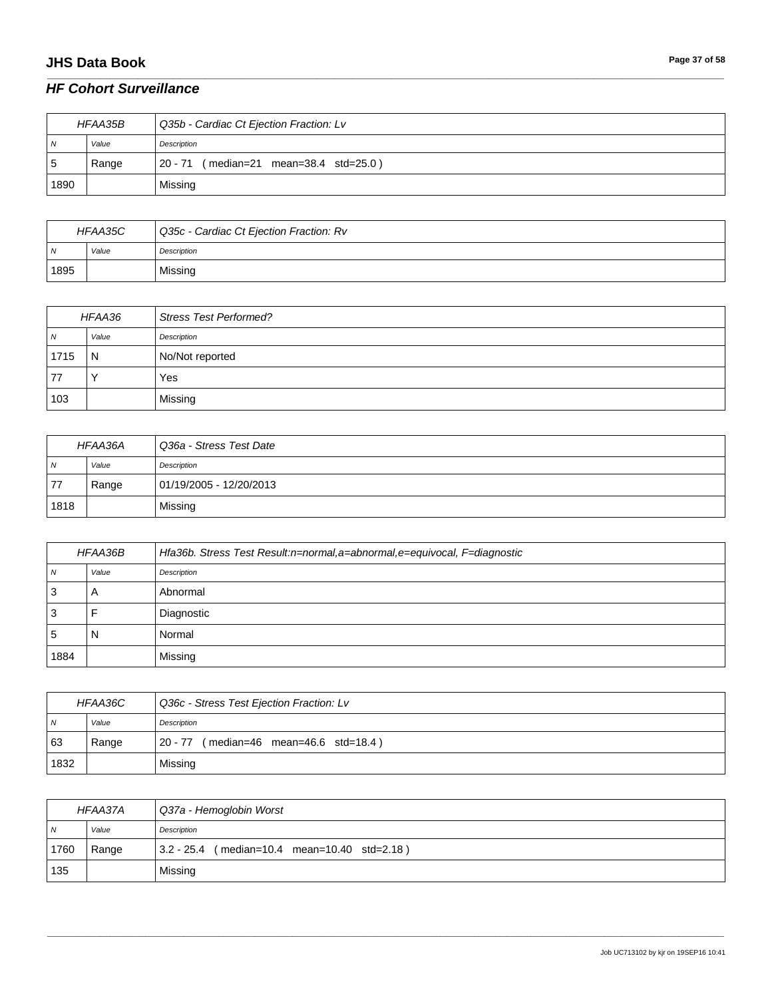# **JHS Data Book Page 37 of 58**

## *HF Cohort Surveillance*

| HFAA35B |       | Q35b - Cardiac Ct Ejection Fraction: Lv   |
|---------|-------|-------------------------------------------|
| - N     | Value | Description                               |
| 15      | Range | (median=21 mean=38.4 std=25.0)<br>20 - 71 |
| 1890    |       | Missing                                   |

\_\_\_\_\_\_\_\_\_\_\_\_\_\_\_\_\_\_\_\_\_\_\_\_\_\_\_\_\_\_\_\_\_\_\_\_\_\_\_\_\_\_\_\_\_\_\_\_\_\_\_\_\_\_\_\_\_\_\_\_\_\_\_\_\_\_\_\_\_\_\_\_\_\_\_\_\_\_\_\_\_\_\_\_\_\_\_\_\_\_\_\_\_\_\_\_\_\_\_\_\_\_\_\_\_\_\_\_\_\_\_\_\_\_\_\_\_\_\_\_\_\_\_\_\_\_\_\_\_\_\_\_\_\_\_\_\_\_\_\_\_\_\_\_\_\_\_\_\_\_\_\_\_\_\_\_\_\_\_\_\_\_\_\_\_\_\_\_\_\_\_\_\_\_\_\_\_\_\_\_\_\_\_\_\_\_\_\_\_\_\_\_\_

| HFAA35C      |       | Q35c - Cardiac Ct Ejection Fraction: Rv |
|--------------|-------|-----------------------------------------|
| $\mathbf{v}$ | Value | Description                             |
| 1895         |       | Missing                                 |

| HFAA36 |       | <b>Stress Test Performed?</b> |
|--------|-------|-------------------------------|
| N      | Value | Description                   |
| 1715   | N     | No/Not reported               |
| -77    |       | Yes                           |
| 103    |       | Missing                       |

| HFAA36A        |       | Q36a - Stress Test Date |
|----------------|-------|-------------------------|
| N <sub>N</sub> | Value | Description             |
| 77             | Range | 01/19/2005 - 12/20/2013 |
| 1818           |       | Missing                 |

| HFAA36B |       | Hfa36b. Stress Test Result:n=normal,a=abnormal,e=equivocal, F=diagnostic |
|---------|-------|--------------------------------------------------------------------------|
| N       | Value | Description                                                              |
| 3       | A     | Abnormal                                                                 |
| 3       |       | Diagnostic                                                               |
| 5       | N     | Normal                                                                   |
| 1884    |       | Missing                                                                  |

| HFAA36C |       | Q36c - Stress Test Ejection Fraction: Lv          |
|---------|-------|---------------------------------------------------|
| N       | Value | Description                                       |
| 63      | Range | $(median=46 \, mean=46.6 \, std=18.4)$<br>20 - 77 |
| 1832    |       | Missing                                           |

| HFAA37A        |       | Q37a - Hemoglobin Worst                      |
|----------------|-------|----------------------------------------------|
| $\overline{N}$ | Value | Description                                  |
| 1760           | Range | 3.2 - 25.4 (median=10.4 mean=10.40 std=2.18) |
| 135            |       | Missing                                      |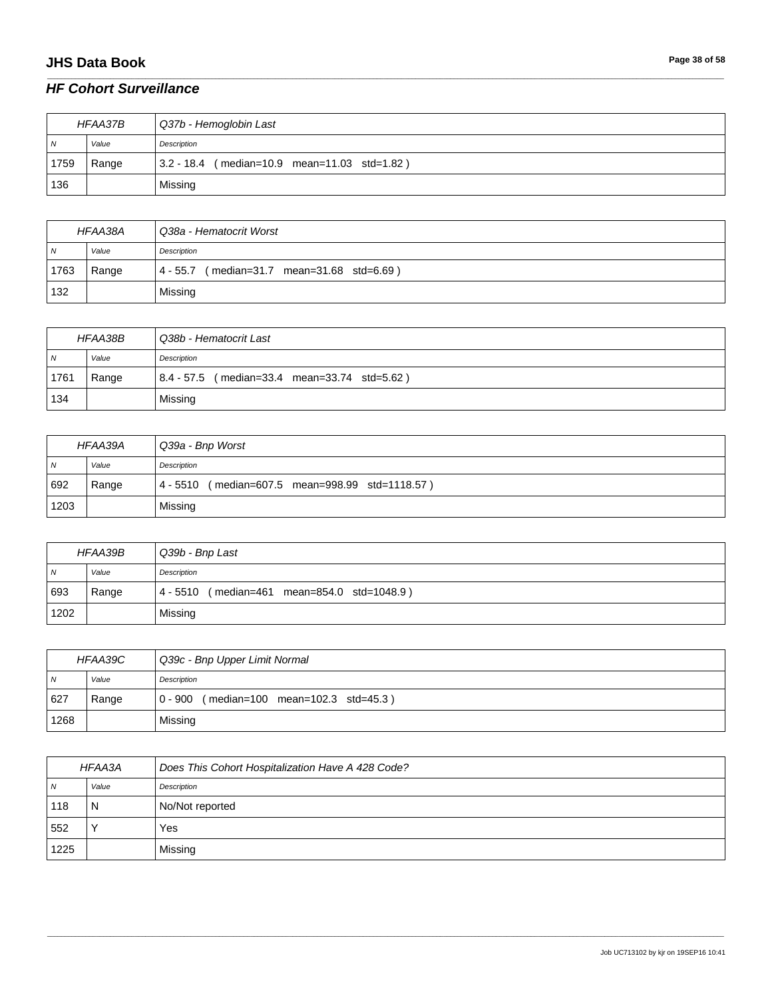## **JHS Data Book Page 38 of 58**

## *HF Cohort Surveillance*

| HFAA37B        |       | Q37b - Hemoglobin Last                       |
|----------------|-------|----------------------------------------------|
| $\overline{N}$ | Value | Description                                  |
| 1759           | Range | 3.2 - 18.4 (median=10.9 mean=11.03 std=1.82) |
| 136            |       | Missing                                      |

\_\_\_\_\_\_\_\_\_\_\_\_\_\_\_\_\_\_\_\_\_\_\_\_\_\_\_\_\_\_\_\_\_\_\_\_\_\_\_\_\_\_\_\_\_\_\_\_\_\_\_\_\_\_\_\_\_\_\_\_\_\_\_\_\_\_\_\_\_\_\_\_\_\_\_\_\_\_\_\_\_\_\_\_\_\_\_\_\_\_\_\_\_\_\_\_\_\_\_\_\_\_\_\_\_\_\_\_\_\_\_\_\_\_\_\_\_\_\_\_\_\_\_\_\_\_\_\_\_\_\_\_\_\_\_\_\_\_\_\_\_\_\_\_\_\_\_\_\_\_\_\_\_\_\_\_\_\_\_\_\_\_\_\_\_\_\_\_\_\_\_\_\_\_\_\_\_\_\_\_\_\_\_\_\_\_\_\_\_\_\_\_\_

| HFAA38A        |       | Q38a - Hematocrit Worst                       |
|----------------|-------|-----------------------------------------------|
| $\overline{N}$ | Value | Description                                   |
| 1763           | Range | (median=31.7 mean=31.68 std=6.69)<br>4 - 55.7 |
| 132            |       | Missing                                       |

| HFAA38B        |       | Q38b - Hematocrit Last                       |
|----------------|-------|----------------------------------------------|
| N <sub>N</sub> | Value | Description                                  |
| 1761           | Range | 8.4 - 57.5 (median=33.4 mean=33.74 std=5.62) |
| 134            |       | Missing                                      |

| HFAA39A        |       | Q39a - Bnp Worst                                   |
|----------------|-------|----------------------------------------------------|
| N <sub>N</sub> | Value | Description                                        |
| 692            | Range | (median=607.5 mean=998.99 std=1118.57)<br>4 - 5510 |
| 1203           |       | Missing                                            |

| HFAA39B        |       | Q39b - Bnp Last                                |
|----------------|-------|------------------------------------------------|
| $\overline{M}$ | Value | Description                                    |
| 693            | Range | (median=461 mean=854.0 std=1048.9)<br>4 - 5510 |
| 1202           |       | Missing                                        |

| HFAA39C        |       | Q39c - Bnp Upper Limit Normal              |
|----------------|-------|--------------------------------------------|
| $\overline{N}$ | Value | Description                                |
| 627            | Range | $0 - 900$ (median=100 mean=102.3 std=45.3) |
| 1268           |       | Missing                                    |

| HFAA3A   |       | Does This Cohort Hospitalization Have A 428 Code? |
|----------|-------|---------------------------------------------------|
| <b>N</b> | Value | Description                                       |
| 118      | N     | No/Not reported                                   |
| 552      |       | Yes                                               |
| 1225     |       | Missing                                           |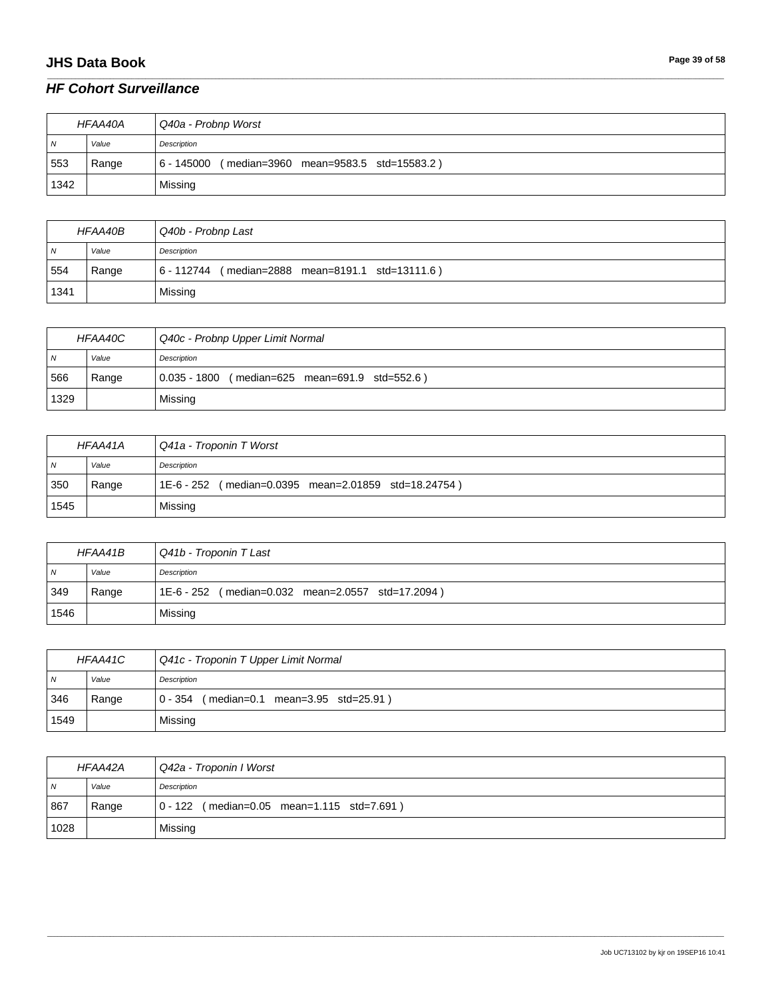## **JHS Data Book Page 39 of 58**

## *HF Cohort Surveillance*

| HFAA40A        |       | Q40a - Probnp Worst                              |
|----------------|-------|--------------------------------------------------|
| $\overline{M}$ | Value | Description                                      |
| 553            | Range | 6 - 145000 (median=3960 mean=9583.5 std=15583.2) |
| 1342           |       | Missing                                          |

\_\_\_\_\_\_\_\_\_\_\_\_\_\_\_\_\_\_\_\_\_\_\_\_\_\_\_\_\_\_\_\_\_\_\_\_\_\_\_\_\_\_\_\_\_\_\_\_\_\_\_\_\_\_\_\_\_\_\_\_\_\_\_\_\_\_\_\_\_\_\_\_\_\_\_\_\_\_\_\_\_\_\_\_\_\_\_\_\_\_\_\_\_\_\_\_\_\_\_\_\_\_\_\_\_\_\_\_\_\_\_\_\_\_\_\_\_\_\_\_\_\_\_\_\_\_\_\_\_\_\_\_\_\_\_\_\_\_\_\_\_\_\_\_\_\_\_\_\_\_\_\_\_\_\_\_\_\_\_\_\_\_\_\_\_\_\_\_\_\_\_\_\_\_\_\_\_\_\_\_\_\_\_\_\_\_\_\_\_\_\_\_\_

| <b>HFAA40B</b> |       | Q40b - Probnp Last                               |
|----------------|-------|--------------------------------------------------|
| N              | Value | Description                                      |
| 554            | Range | 6 - 112744 (median=2888 mean=8191.1 std=13111.6) |
| 1341           |       | Missing                                          |

| HFAA40C        |       | Q40c - Probnp Upper Limit Normal               |
|----------------|-------|------------------------------------------------|
| N <sub>N</sub> | Value | Description                                    |
| 566            | Range | 0.035 - 1800 (median=625 mean=691.9 std=552.6) |
| 1329           |       | Missing                                        |

| HFAA41A        |       | Q41a - Troponin T Worst                              |
|----------------|-------|------------------------------------------------------|
| $\overline{N}$ | Value | Description                                          |
| 350            | Range | 1E-6 - 252 (median=0.0395 mean=2.01859 std=18.24754) |
| 1545           |       | Missing                                              |

| <b>HFAA41B</b> |       | Q41b - Troponin T Last                            |
|----------------|-------|---------------------------------------------------|
| $\overline{M}$ | Value | Description                                       |
| 349            | Range | 1E-6 - 252 (median=0.032 mean=2.0557 std=17.2094) |
| 1546           |       | Missing                                           |

| HFAA41C |       | Q41c - Troponin T Upper Limit Normal     |
|---------|-------|------------------------------------------|
| . N     | Value | Description                              |
| 346     | Range | 0 - 354 (median=0.1 mean=3.95 std=25.91) |
| 1549    |       | Missing                                  |

| HFAA42A        |       | Q42a - Troponin I Worst                    |
|----------------|-------|--------------------------------------------|
| $\overline{N}$ | Value | Description                                |
| 867            | Range | 0 - 122 (median=0.05 mean=1.115 std=7.691) |
| 1028           |       | Missing                                    |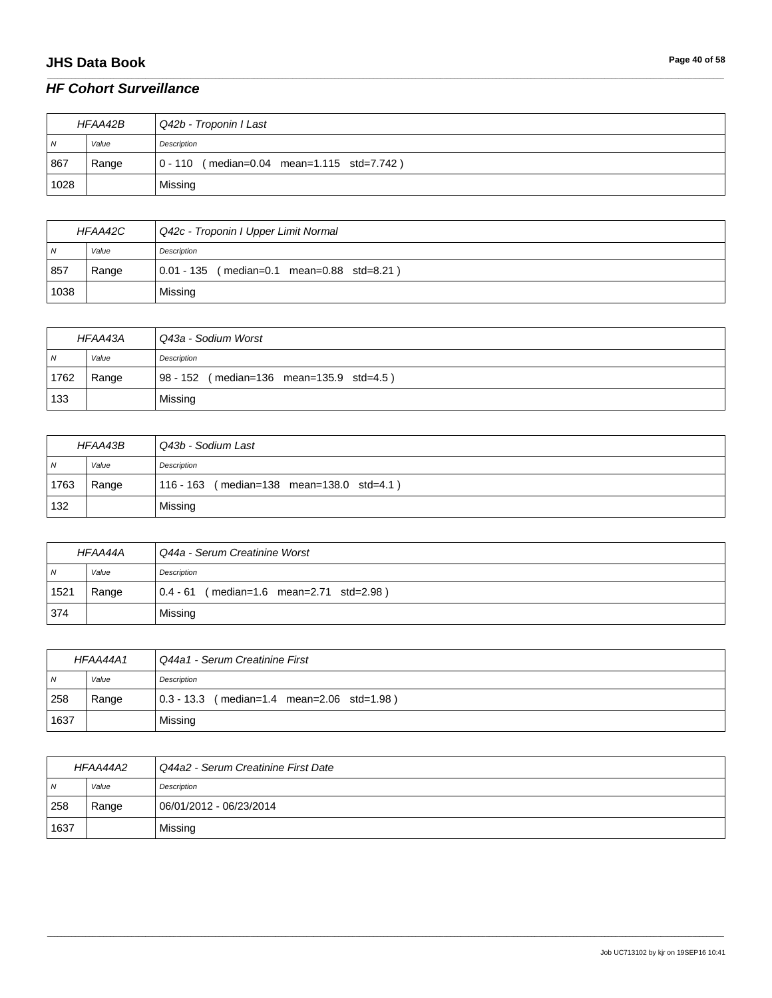## **JHS Data Book Page 40 of 58**

#### *HF Cohort Surveillance*

| HFAA42B |       | Q42b - Troponin I Last                        |
|---------|-------|-----------------------------------------------|
| N       | Value | Description                                   |
| 867     | Range | $ 0 - 110$ (median=0.04 mean=1.115 std=7.742) |
| 1028    |       | Missing                                       |

\_\_\_\_\_\_\_\_\_\_\_\_\_\_\_\_\_\_\_\_\_\_\_\_\_\_\_\_\_\_\_\_\_\_\_\_\_\_\_\_\_\_\_\_\_\_\_\_\_\_\_\_\_\_\_\_\_\_\_\_\_\_\_\_\_\_\_\_\_\_\_\_\_\_\_\_\_\_\_\_\_\_\_\_\_\_\_\_\_\_\_\_\_\_\_\_\_\_\_\_\_\_\_\_\_\_\_\_\_\_\_\_\_\_\_\_\_\_\_\_\_\_\_\_\_\_\_\_\_\_\_\_\_\_\_\_\_\_\_\_\_\_\_\_\_\_\_\_\_\_\_\_\_\_\_\_\_\_\_\_\_\_\_\_\_\_\_\_\_\_\_\_\_\_\_\_\_\_\_\_\_\_\_\_\_\_\_\_\_\_\_\_\_

| HFAA42C        |       | Q42c - Troponin I Upper Limit Normal       |
|----------------|-------|--------------------------------------------|
| $\overline{N}$ | Value | Description                                |
| 857            | Range | 0.01 - 135 (median=0.1 mean=0.88 std=8.21) |
| 1038           |       | Missing                                    |

| HFAA43A        |       | Q43a - Sodium Worst                         |
|----------------|-------|---------------------------------------------|
| N <sub>N</sub> | Value | Description                                 |
| 1762           | Range | (median=136 mean=135.9 std=4.5)<br>98 - 152 |
| 133            |       | Missing                                     |

| HFAA43B        |       | Q43b - Sodium Last                        |
|----------------|-------|-------------------------------------------|
| N <sub>N</sub> | Value | Description                               |
| 1763           | Range | 116 - 163 (median=138 mean=138.0 std=4.1) |
| 132            |       | Missing                                   |

| HFAA44A        |       | Q44a - Serum Creatinine Worst            |
|----------------|-------|------------------------------------------|
| N <sub>N</sub> | Value | Description                              |
| 1521           | Range | 0.4 - 61 (median=1.6 mean=2.71 std=2.98) |
| 374            |       | Missing                                  |

| HFAA44A1       |       | Q44a1 - Serum Creatinine First                 |
|----------------|-------|------------------------------------------------|
| N <sub>N</sub> | Value | Description                                    |
| 258            | Range | $(0.3 - 13.3)$ (median=1.4 mean=2.06 std=1.98) |
| 1637           |       | Missing                                        |

| HFAA44A2       |       | Q44a2 - Serum Creatinine First Date |
|----------------|-------|-------------------------------------|
| N <sub>N</sub> | Value | Description                         |
| 258            | Range | 06/01/2012 - 06/23/2014             |
| 1637           |       | Missing                             |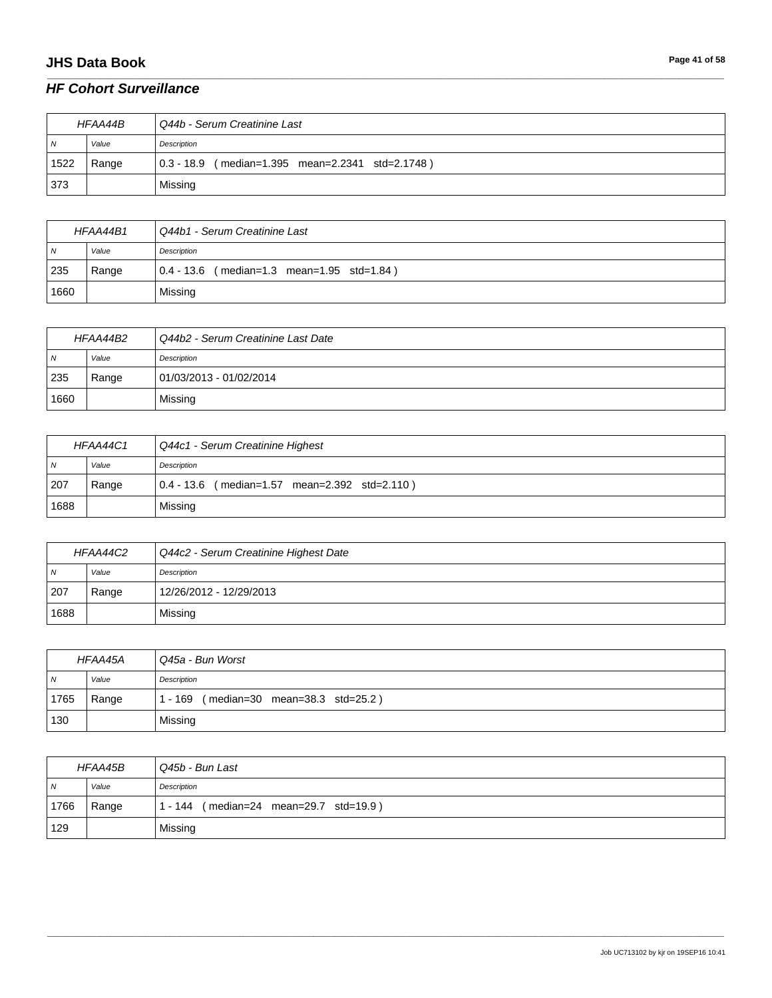## **JHS Data Book Page 41 of 58**

## *HF Cohort Surveillance*

| HFAA44B        |       | Q44b - Serum Creatinine Last                     |
|----------------|-------|--------------------------------------------------|
| $\overline{N}$ | Value | Description                                      |
| 1522           | Range | 0.3 - 18.9 (median=1.395 mean=2.2341 std=2.1748) |
| 373            |       | Missing                                          |

\_\_\_\_\_\_\_\_\_\_\_\_\_\_\_\_\_\_\_\_\_\_\_\_\_\_\_\_\_\_\_\_\_\_\_\_\_\_\_\_\_\_\_\_\_\_\_\_\_\_\_\_\_\_\_\_\_\_\_\_\_\_\_\_\_\_\_\_\_\_\_\_\_\_\_\_\_\_\_\_\_\_\_\_\_\_\_\_\_\_\_\_\_\_\_\_\_\_\_\_\_\_\_\_\_\_\_\_\_\_\_\_\_\_\_\_\_\_\_\_\_\_\_\_\_\_\_\_\_\_\_\_\_\_\_\_\_\_\_\_\_\_\_\_\_\_\_\_\_\_\_\_\_\_\_\_\_\_\_\_\_\_\_\_\_\_\_\_\_\_\_\_\_\_\_\_\_\_\_\_\_\_\_\_\_\_\_\_\_\_\_\_\_

| HFAA44B1       |       | Q44b1 - Serum Creatinine Last                   |
|----------------|-------|-------------------------------------------------|
| $\overline{N}$ | Value | Description                                     |
| 235            | Range | (median=1.3 mean=1.95 std=1.84)<br>$0.4 - 13.6$ |
| 1660           |       | Missing                                         |

| HFAA44B2       |       | Q44b2 - Serum Creatinine Last Date |
|----------------|-------|------------------------------------|
| $\overline{N}$ | Value | Description                        |
| 235            | Range | 01/03/2013 - 01/02/2014            |
| 1660           |       | Missing                            |

| HFAA44C1       |       | Q44c1 - Serum Creatinine Highest              |
|----------------|-------|-----------------------------------------------|
| $\overline{M}$ | Value | Description                                   |
| 207            | Range | 0.4 - 13.6 (median=1.57 mean=2.392 std=2.110) |
| 1688           |       | Missing                                       |

| HFAA44C2       |       | Q44c2 - Serum Creatinine Highest Date |
|----------------|-------|---------------------------------------|
| $\overline{N}$ | Value | Description                           |
| 207            | Range | 12/26/2012 - 12/29/2013               |
| 1688           |       | Missing                               |

| HFAA45A        |       | Q45a - Bun Worst                       |
|----------------|-------|----------------------------------------|
| $\overline{N}$ | Value | Description                            |
| 1765           | Range | 1 - 169 (median=30 mean=38.3 std=25.2) |
| 130            |       | Missing                                |

| HFAA45B |       | Q45b - Bun Last                        |
|---------|-------|----------------------------------------|
| N       | Value | Description                            |
| 1766    | Range | 1 - 144 (median=24 mean=29.7 std=19.9) |
| 129     |       | Missing                                |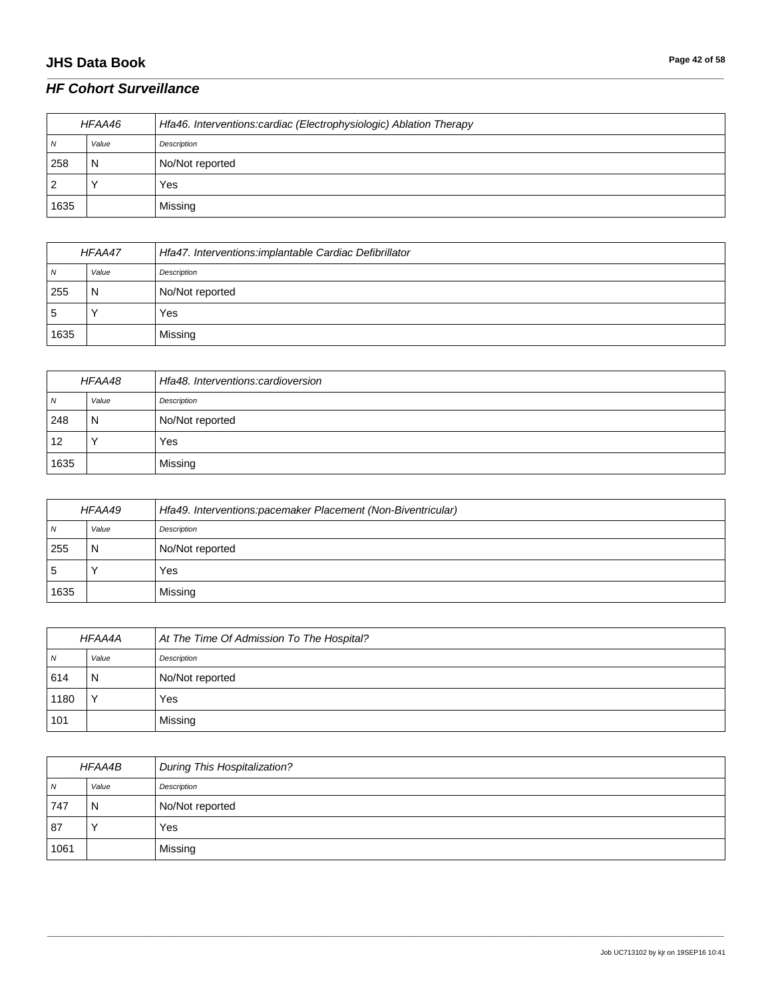## **JHS Data Book Page 42 of 58**

## *HF Cohort Surveillance*

| HFAA46 |       | Hfa46. Interventions: cardiac (Electrophysiologic) Ablation Therapy |
|--------|-------|---------------------------------------------------------------------|
| N      | Value | Description                                                         |
| 258    | N     | No/Not reported                                                     |
| 2      |       | Yes                                                                 |
| 1635   |       | Missing                                                             |

\_\_\_\_\_\_\_\_\_\_\_\_\_\_\_\_\_\_\_\_\_\_\_\_\_\_\_\_\_\_\_\_\_\_\_\_\_\_\_\_\_\_\_\_\_\_\_\_\_\_\_\_\_\_\_\_\_\_\_\_\_\_\_\_\_\_\_\_\_\_\_\_\_\_\_\_\_\_\_\_\_\_\_\_\_\_\_\_\_\_\_\_\_\_\_\_\_\_\_\_\_\_\_\_\_\_\_\_\_\_\_\_\_\_\_\_\_\_\_\_\_\_\_\_\_\_\_\_\_\_\_\_\_\_\_\_\_\_\_\_\_\_\_\_\_\_\_\_\_\_\_\_\_\_\_\_\_\_\_\_\_\_\_\_\_\_\_\_\_\_\_\_\_\_\_\_\_\_\_\_\_\_\_\_\_\_\_\_\_\_\_\_\_

| HFAA47       |       | Hfa47. Interventions:implantable Cardiac Defibrillator |
|--------------|-------|--------------------------------------------------------|
| <sub>N</sub> | Value | Description                                            |
| 255          | N     | No/Not reported                                        |
| 5            |       | Yes                                                    |
| 1635         |       | Missing                                                |

| HFAA48 |       | Hfa48. Interventions:cardioversion |
|--------|-------|------------------------------------|
| N      | Value | Description                        |
| 248    | N     | No/Not reported                    |
| 12     |       | Yes                                |
| 1635   |       | Missing                            |

| HFAA49 |       | Hfa49. Interventions:pacemaker Placement (Non-Biventricular) |
|--------|-------|--------------------------------------------------------------|
| N      | Value | Description                                                  |
| 255    | N     | No/Not reported                                              |
| 5      |       | Yes                                                          |
| 1635   |       | Missing                                                      |

| HFAA4A |              | At The Time Of Admission To The Hospital? |
|--------|--------------|-------------------------------------------|
| N      | Value        | Description                               |
| 614    | N            | No/Not reported                           |
| 1180   | $\checkmark$ | Yes                                       |
| 101    |              | Missing                                   |

| <b>HFAA4B</b> |           | <b>During This Hospitalization?</b> |
|---------------|-----------|-------------------------------------|
| N             | Value     | Description                         |
| 747           | N         | No/Not reported                     |
| 87            | $\sqrt{}$ | Yes                                 |
| 1061          |           | Missing                             |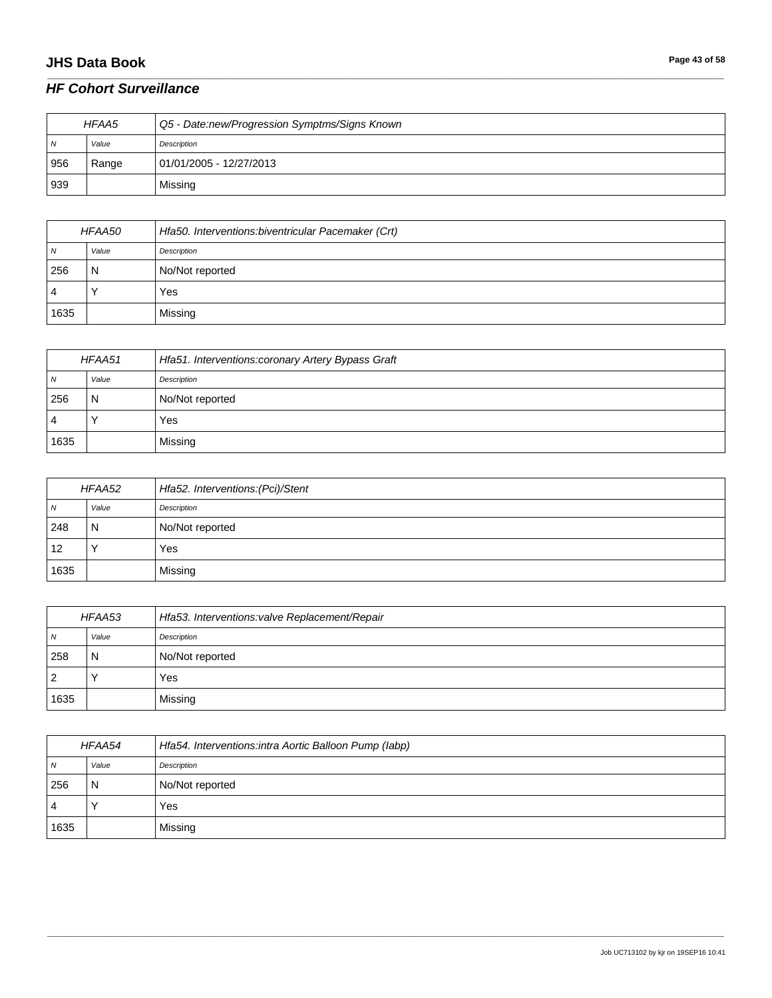# **JHS Data Book Page 43 of 58**

#### *HF Cohort Surveillance*

| HFAA5          |       | Q5 - Date:new/Progression Symptms/Signs Known |
|----------------|-------|-----------------------------------------------|
| N <sub>N</sub> | Value | Description                                   |
| 956            | Range | 01/01/2005 - 12/27/2013                       |
| 939            |       | Missing                                       |

\_\_\_\_\_\_\_\_\_\_\_\_\_\_\_\_\_\_\_\_\_\_\_\_\_\_\_\_\_\_\_\_\_\_\_\_\_\_\_\_\_\_\_\_\_\_\_\_\_\_\_\_\_\_\_\_\_\_\_\_\_\_\_\_\_\_\_\_\_\_\_\_\_\_\_\_\_\_\_\_\_\_\_\_\_\_\_\_\_\_\_\_\_\_\_\_\_\_\_\_\_\_\_\_\_\_\_\_\_\_\_\_\_\_\_\_\_\_\_\_\_\_\_\_\_\_\_\_\_\_\_\_\_\_\_\_\_\_\_\_\_\_\_\_\_\_\_\_\_\_\_\_\_\_\_\_\_\_\_\_\_\_\_\_\_\_\_\_\_\_\_\_\_\_\_\_\_\_\_\_\_\_\_\_\_\_\_\_\_\_\_\_\_

| <i>HFAA50</i> |       | Hfa50. Interventions: biventricular Pacemaker (Crt) |
|---------------|-------|-----------------------------------------------------|
| N             | Value | Description                                         |
| 256           | N     | No/Not reported                                     |
| 4             |       | Yes                                                 |
| 1635          |       | Missing                                             |

| HFAA51 |       | Hfa51. Interventions: coronary Artery Bypass Graft |
|--------|-------|----------------------------------------------------|
| N      | Value | Description                                        |
| 256    | N     | No/Not reported                                    |
| 4      |       | Yes                                                |
| 1635   |       | Missing                                            |

| HFAA52 |       | Hfa52. Interventions: (Pci)/Stent |
|--------|-------|-----------------------------------|
| N      | Value | Description                       |
| 248    | N     | No/Not reported                   |
| 12     |       | Yes                               |
| 1635   |       | Missing                           |

| HFAA53         |       | Hfa53. Interventions: valve Replacement/Repair |
|----------------|-------|------------------------------------------------|
| N              | Value | Description                                    |
| 258            | N     | No/Not reported                                |
| $\overline{2}$ |       | Yes                                            |
| 1635           |       | Missing                                        |

| HFAA54         |       | Hfa54. Interventions: intra Aortic Balloon Pump (labp) |
|----------------|-------|--------------------------------------------------------|
| N              | Value | Description                                            |
| 256            | N     | No/Not reported                                        |
| $\overline{4}$ |       | Yes                                                    |
| 1635           |       | Missing                                                |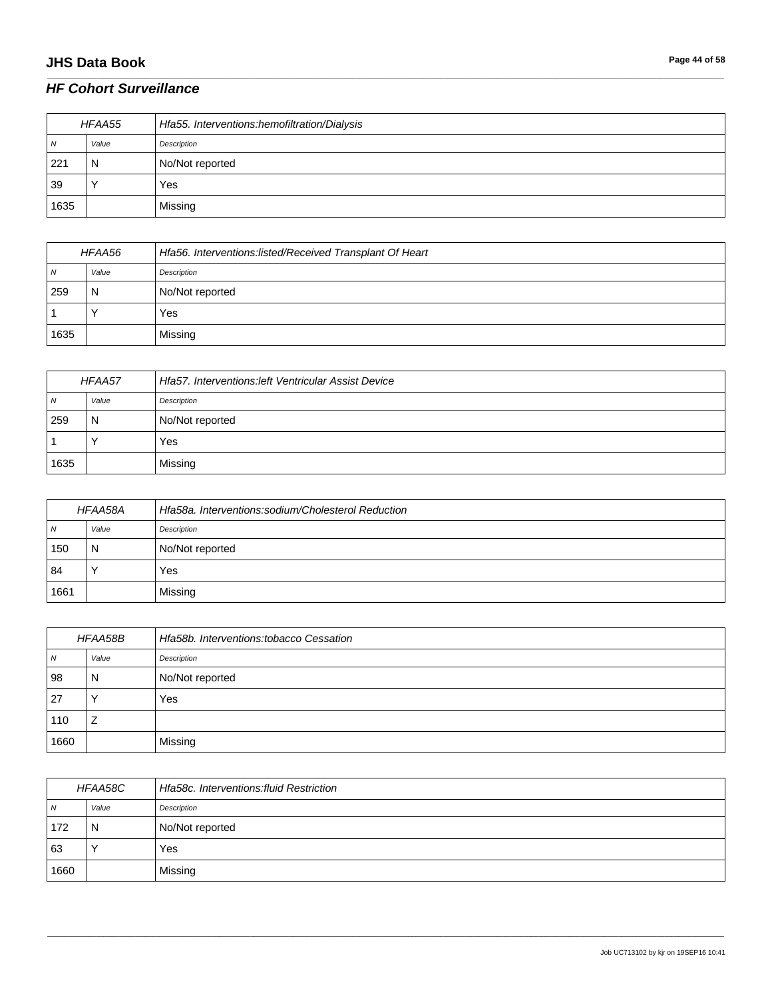## **JHS Data Book Page 44 of 58**

## *HF Cohort Surveillance*

| HFAA55 |       | Hfa55. Interventions:hemofiltration/Dialysis |
|--------|-------|----------------------------------------------|
| N      | Value | Description                                  |
| 221    | N     | No/Not reported                              |
| 39     |       | Yes                                          |
| 1635   |       | Missing                                      |

\_\_\_\_\_\_\_\_\_\_\_\_\_\_\_\_\_\_\_\_\_\_\_\_\_\_\_\_\_\_\_\_\_\_\_\_\_\_\_\_\_\_\_\_\_\_\_\_\_\_\_\_\_\_\_\_\_\_\_\_\_\_\_\_\_\_\_\_\_\_\_\_\_\_\_\_\_\_\_\_\_\_\_\_\_\_\_\_\_\_\_\_\_\_\_\_\_\_\_\_\_\_\_\_\_\_\_\_\_\_\_\_\_\_\_\_\_\_\_\_\_\_\_\_\_\_\_\_\_\_\_\_\_\_\_\_\_\_\_\_\_\_\_\_\_\_\_\_\_\_\_\_\_\_\_\_\_\_\_\_\_\_\_\_\_\_\_\_\_\_\_\_\_\_\_\_\_\_\_\_\_\_\_\_\_\_\_\_\_\_\_\_\_

| HFAA56 |       | Hfa56. Interventions:listed/Received Transplant Of Heart |
|--------|-------|----------------------------------------------------------|
| N      | Value | Description                                              |
| 259    | N     | No/Not reported                                          |
|        |       | Yes                                                      |
| 1635   |       | Missing                                                  |

| HFAA57 |       | Hfa57. Interventions: left Ventricular Assist Device |
|--------|-------|------------------------------------------------------|
| N      | Value | Description                                          |
| 259    | N     | No/Not reported                                      |
|        |       | Yes                                                  |
| 1635   |       | Missing                                              |

| HFAA58A |       | Hfa58a. Interventions:sodium/Cholesterol Reduction |
|---------|-------|----------------------------------------------------|
| N       | Value | Description                                        |
| 150     | N     | No/Not reported                                    |
| 84      |       | Yes                                                |
| 1661    |       | Missing                                            |

| HFAA58B |       | Hfa58b. Interventions:tobacco Cessation |
|---------|-------|-----------------------------------------|
| Ν       | Value | Description                             |
| 98      | N     | No/Not reported                         |
| 27      |       | Yes                                     |
| 110     |       |                                         |
| 1660    |       | Missing                                 |

| HFAA58C        |       | Hfa58c. Interventions: fluid Restriction |
|----------------|-------|------------------------------------------|
| $\overline{N}$ | Value | Description                              |
| 172            | N     | No/Not reported                          |
| 63             |       | Yes                                      |
| 1660           |       | Missing                                  |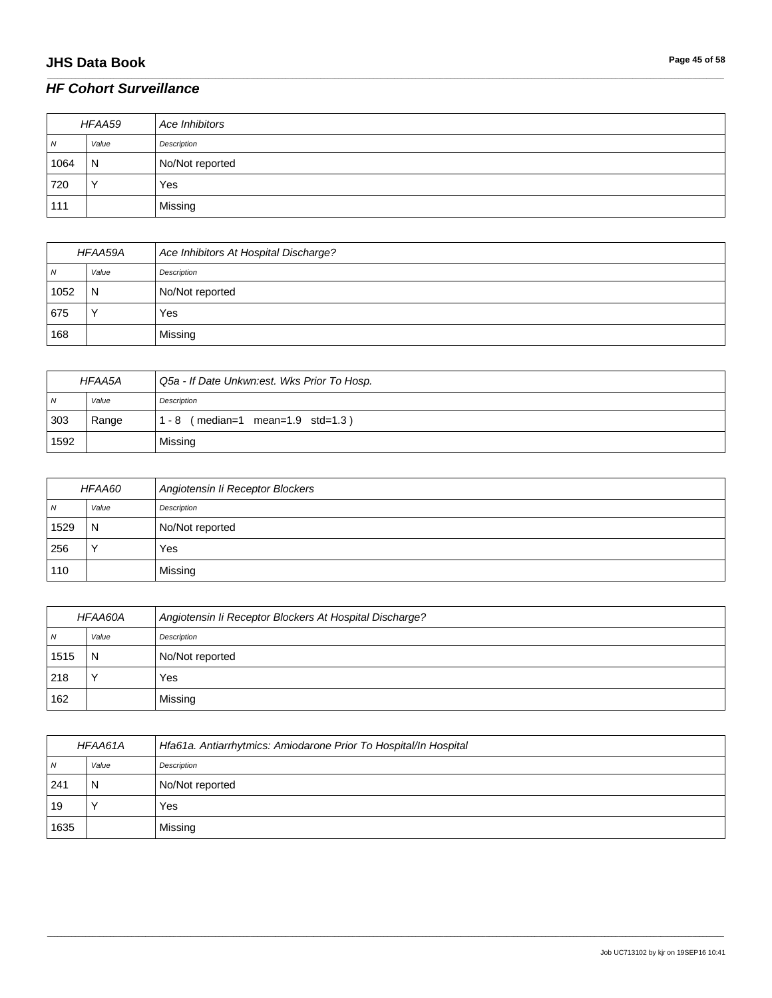## **JHS Data Book Page 45 of 58**

## *HF Cohort Surveillance*

| HFAA59         |                | Ace Inhibitors  |
|----------------|----------------|-----------------|
| $\overline{N}$ | Value          | Description     |
| 1064           | $\overline{N}$ | No/Not reported |
| 720            |                | Yes             |
| 111            |                | Missing         |

\_\_\_\_\_\_\_\_\_\_\_\_\_\_\_\_\_\_\_\_\_\_\_\_\_\_\_\_\_\_\_\_\_\_\_\_\_\_\_\_\_\_\_\_\_\_\_\_\_\_\_\_\_\_\_\_\_\_\_\_\_\_\_\_\_\_\_\_\_\_\_\_\_\_\_\_\_\_\_\_\_\_\_\_\_\_\_\_\_\_\_\_\_\_\_\_\_\_\_\_\_\_\_\_\_\_\_\_\_\_\_\_\_\_\_\_\_\_\_\_\_\_\_\_\_\_\_\_\_\_\_\_\_\_\_\_\_\_\_\_\_\_\_\_\_\_\_\_\_\_\_\_\_\_\_\_\_\_\_\_\_\_\_\_\_\_\_\_\_\_\_\_\_\_\_\_\_\_\_\_\_\_\_\_\_\_\_\_\_\_\_\_\_

| HFAA59A |       | Ace Inhibitors At Hospital Discharge? |
|---------|-------|---------------------------------------|
| 7V      | Value | Description                           |
| 1052    | N     | No/Not reported                       |
| 675     |       | Yes                                   |
| 168     |       | Missing                               |

| HFAA5A         |       | Q5a - If Date Unkwn:est. Wks Prior To Hosp. |
|----------------|-------|---------------------------------------------|
| $\overline{N}$ | Value | Description                                 |
| 303            | Range | (median=1 mean=1.9 std=1.3)<br>- 8          |
| 1592           |       | Missing                                     |

| HFAA60 |       | Angiotensin li Receptor Blockers |
|--------|-------|----------------------------------|
| N      | Value | Description                      |
| 1529   | N     | No/Not reported                  |
| 256    |       | Yes                              |
| 110    |       | Missing                          |

| HFAA60A |       | Angiotensin Ii Receptor Blockers At Hospital Discharge? |
|---------|-------|---------------------------------------------------------|
| N       | Value | Description                                             |
| 1515    | N     | No/Not reported                                         |
| 218     |       | Yes                                                     |
| 162     |       | Missing                                                 |

| HFAA61A |       | Hfa61a. Antiarrhytmics: Amiodarone Prior To Hospital/In Hospital |
|---------|-------|------------------------------------------------------------------|
| N       | Value | Description                                                      |
| 241     | N     | No/Not reported                                                  |
| 19      |       | Yes                                                              |
| 1635    |       | Missing                                                          |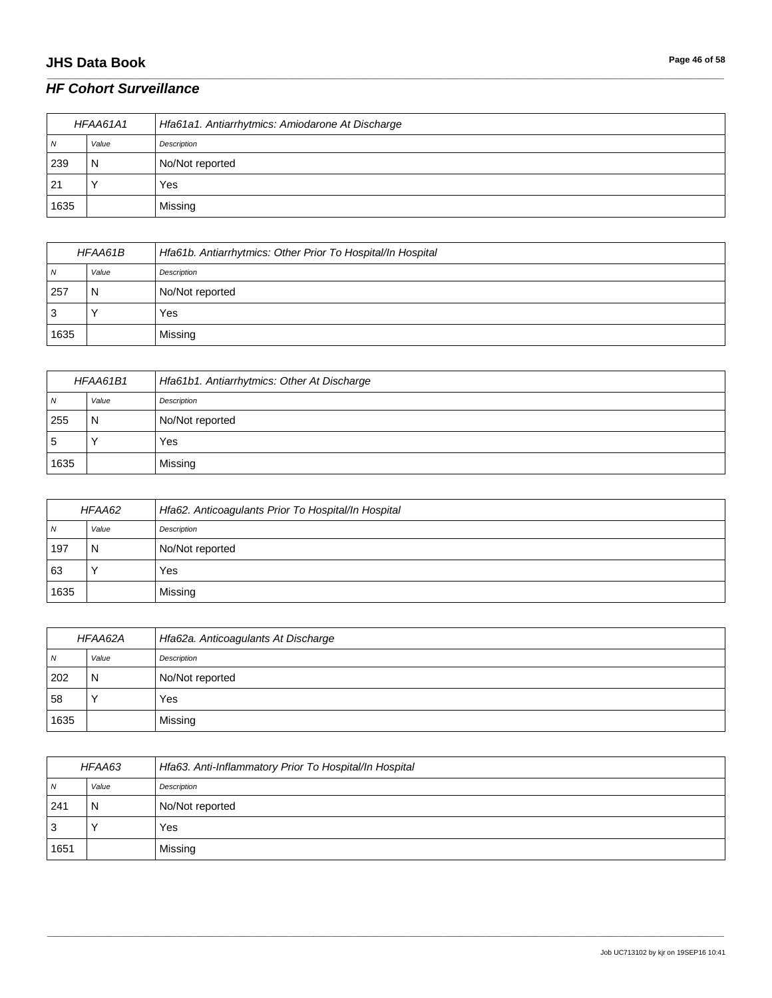## **JHS Data Book Page 46 of 58**

## *HF Cohort Surveillance*

| HFAA61A1 |       | Hfa61a1. Antiarrhytmics: Amiodarone At Discharge |
|----------|-------|--------------------------------------------------|
| N        | Value | Description                                      |
| 239      | N     | No/Not reported                                  |
| 21       |       | Yes                                              |
| 1635     |       | Missing                                          |

\_\_\_\_\_\_\_\_\_\_\_\_\_\_\_\_\_\_\_\_\_\_\_\_\_\_\_\_\_\_\_\_\_\_\_\_\_\_\_\_\_\_\_\_\_\_\_\_\_\_\_\_\_\_\_\_\_\_\_\_\_\_\_\_\_\_\_\_\_\_\_\_\_\_\_\_\_\_\_\_\_\_\_\_\_\_\_\_\_\_\_\_\_\_\_\_\_\_\_\_\_\_\_\_\_\_\_\_\_\_\_\_\_\_\_\_\_\_\_\_\_\_\_\_\_\_\_\_\_\_\_\_\_\_\_\_\_\_\_\_\_\_\_\_\_\_\_\_\_\_\_\_\_\_\_\_\_\_\_\_\_\_\_\_\_\_\_\_\_\_\_\_\_\_\_\_\_\_\_\_\_\_\_\_\_\_\_\_\_\_\_\_\_

| HFAA61B |       | Hfa61b. Antiarrhytmics: Other Prior To Hospital/In Hospital |
|---------|-------|-------------------------------------------------------------|
| N       | Value | Description                                                 |
| 257     | N     | No/Not reported                                             |
| 3       |       | Yes                                                         |
| 1635    |       | Missing                                                     |

| HFAA61B1     |       | Hfa61b1. Antiarrhytmics: Other At Discharge |
|--------------|-------|---------------------------------------------|
| <sub>N</sub> | Value | Description                                 |
| 255          | N     | No/Not reported                             |
| 5            |       | Yes                                         |
| 1635         |       | Missing                                     |

| HFAA62 |       | Hfa62. Anticoagulants Prior To Hospital/In Hospital |
|--------|-------|-----------------------------------------------------|
| N      | Value | Description                                         |
| 197    | N     | No/Not reported                                     |
| 63     |       | Yes                                                 |
| 1635   |       | Missing                                             |

| HFAA62A        |       | Hfa62a. Anticoagulants At Discharge |
|----------------|-------|-------------------------------------|
| N <sub>N</sub> | Value | Description                         |
| 202            | N     | No/Not reported                     |
| 58             |       | Yes                                 |
| 1635           |       | Missing                             |

| HFAA63       |       | Hfa63. Anti-Inflammatory Prior To Hospital/In Hospital |
|--------------|-------|--------------------------------------------------------|
| <sub>N</sub> | Value | Description                                            |
| 241          | N     | No/Not reported                                        |
| 3            |       | Yes                                                    |
| 1651         |       | Missing                                                |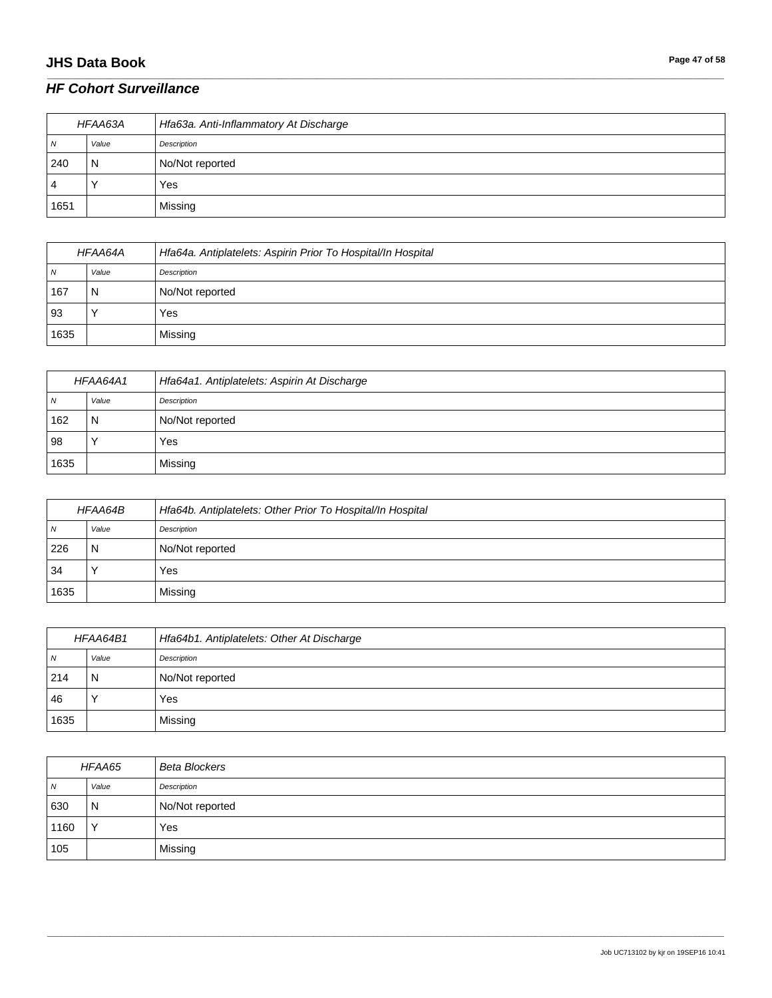## **JHS Data Book Page 47 of 58**

## *HF Cohort Surveillance*

| HFAA63A |       | Hfa63a. Anti-Inflammatory At Discharge |
|---------|-------|----------------------------------------|
| 7V      | Value | Description                            |
| 240     | N     | No/Not reported                        |
| 4       |       | Yes                                    |
| 1651    |       | Missing                                |

\_\_\_\_\_\_\_\_\_\_\_\_\_\_\_\_\_\_\_\_\_\_\_\_\_\_\_\_\_\_\_\_\_\_\_\_\_\_\_\_\_\_\_\_\_\_\_\_\_\_\_\_\_\_\_\_\_\_\_\_\_\_\_\_\_\_\_\_\_\_\_\_\_\_\_\_\_\_\_\_\_\_\_\_\_\_\_\_\_\_\_\_\_\_\_\_\_\_\_\_\_\_\_\_\_\_\_\_\_\_\_\_\_\_\_\_\_\_\_\_\_\_\_\_\_\_\_\_\_\_\_\_\_\_\_\_\_\_\_\_\_\_\_\_\_\_\_\_\_\_\_\_\_\_\_\_\_\_\_\_\_\_\_\_\_\_\_\_\_\_\_\_\_\_\_\_\_\_\_\_\_\_\_\_\_\_\_\_\_\_\_\_\_

| HFAA64A |       | Hfa64a. Antiplatelets: Aspirin Prior To Hospital/In Hospital |
|---------|-------|--------------------------------------------------------------|
| 7V      | Value | Description                                                  |
| 167     | N     | No/Not reported                                              |
| 93      |       | Yes                                                          |
| 1635    |       | Missing                                                      |

| HFAA64A1 |           | Hfa64a1. Antiplatelets: Aspirin At Discharge |
|----------|-----------|----------------------------------------------|
| <b>N</b> | Value     | Description                                  |
| 162      | N         | No/Not reported                              |
| 98       | $\lambda$ | Yes                                          |
| 1635     |           | Missing                                      |

| HFAA64B |       | Hfa64b. Antiplatelets: Other Prior To Hospital/In Hospital |
|---------|-------|------------------------------------------------------------|
| N       | Value | Description                                                |
| 226     | N     | No/Not reported                                            |
| 34      |       | Yes                                                        |
| 1635    |       | Missing                                                    |

| HFAA64B1 |       | Hfa64b1. Antiplatelets: Other At Discharge |
|----------|-------|--------------------------------------------|
| N        | Value | Description                                |
| 214      | N     | No/Not reported                            |
| 46       |       | Yes                                        |
| 1635     |       | Missing                                    |

| HFAA65 |              | <b>Beta Blockers</b> |
|--------|--------------|----------------------|
| N      | Value        | Description          |
| 630    | N            | No/Not reported      |
| 1160   | $\checkmark$ | Yes                  |
| 105    |              | Missing              |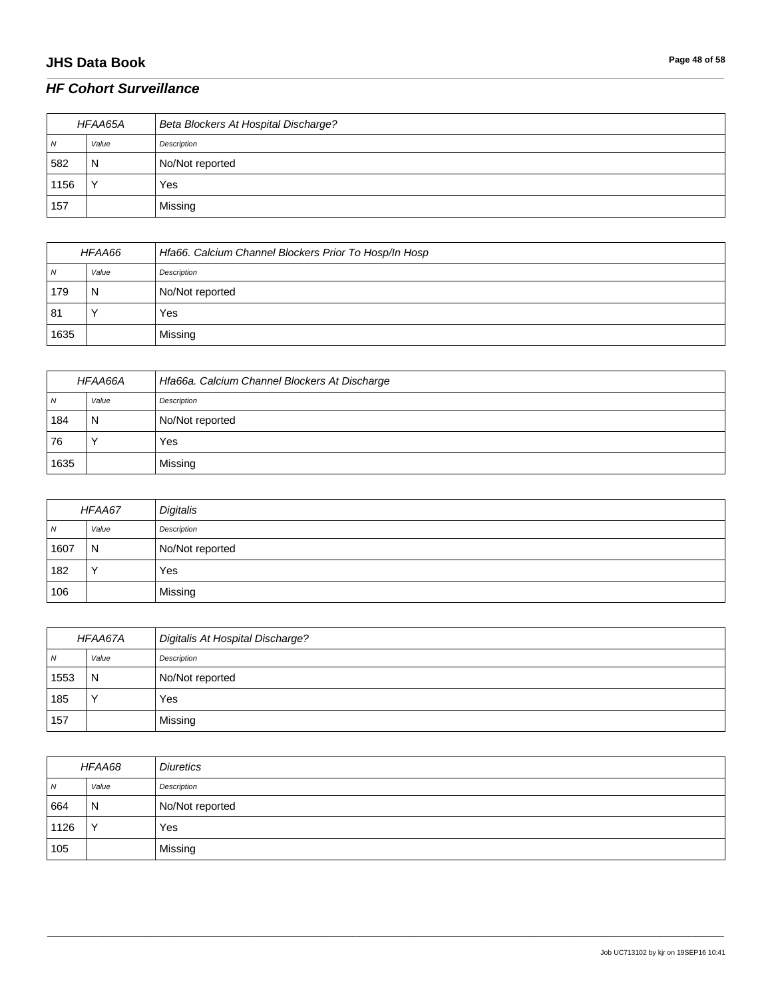## **JHS Data Book Page 48 of 58**

# *HF Cohort Surveillance*

| HFAA65A        |       | Beta Blockers At Hospital Discharge? |
|----------------|-------|--------------------------------------|
| $\overline{N}$ | Value | Description                          |
| 582            | N     | No/Not reported                      |
| 1156           |       | Yes                                  |
| 157            |       | Missing                              |

\_\_\_\_\_\_\_\_\_\_\_\_\_\_\_\_\_\_\_\_\_\_\_\_\_\_\_\_\_\_\_\_\_\_\_\_\_\_\_\_\_\_\_\_\_\_\_\_\_\_\_\_\_\_\_\_\_\_\_\_\_\_\_\_\_\_\_\_\_\_\_\_\_\_\_\_\_\_\_\_\_\_\_\_\_\_\_\_\_\_\_\_\_\_\_\_\_\_\_\_\_\_\_\_\_\_\_\_\_\_\_\_\_\_\_\_\_\_\_\_\_\_\_\_\_\_\_\_\_\_\_\_\_\_\_\_\_\_\_\_\_\_\_\_\_\_\_\_\_\_\_\_\_\_\_\_\_\_\_\_\_\_\_\_\_\_\_\_\_\_\_\_\_\_\_\_\_\_\_\_\_\_\_\_\_\_\_\_\_\_\_\_\_

| HFAA66 |       | Hfa66. Calcium Channel Blockers Prior To Hosp/In Hosp |
|--------|-------|-------------------------------------------------------|
| 7V     | Value | Description                                           |
| 179    | N     | No/Not reported                                       |
| 81     |       | Yes                                                   |
| 1635   |       | Missing                                               |

| HFAA66A |       | Hfa66a. Calcium Channel Blockers At Discharge |
|---------|-------|-----------------------------------------------|
| N       | Value | Description                                   |
| 184     | N     | No/Not reported                               |
| 76      |       | Yes                                           |
| 1635    |       | Missing                                       |

| HFAA67         |       | Digitalis       |
|----------------|-------|-----------------|
| $\overline{N}$ | Value | Description     |
| 1607           | N     | No/Not reported |
| 182            |       | Yes             |
| 106            |       | Missing         |

| HFAA67A        |       | <b>Digitalis At Hospital Discharge?</b> |
|----------------|-------|-----------------------------------------|
| $\overline{N}$ | Value | Description                             |
| 1553           | N     | No/Not reported                         |
| 185            |       | Yes                                     |
| 157            |       | Missing                                 |

| HFAA68 |              | <b>Diuretics</b> |
|--------|--------------|------------------|
| N      | Value        | Description      |
| 664    | N            | No/Not reported  |
| 1126   | $\checkmark$ | Yes              |
| 105    |              | Missing          |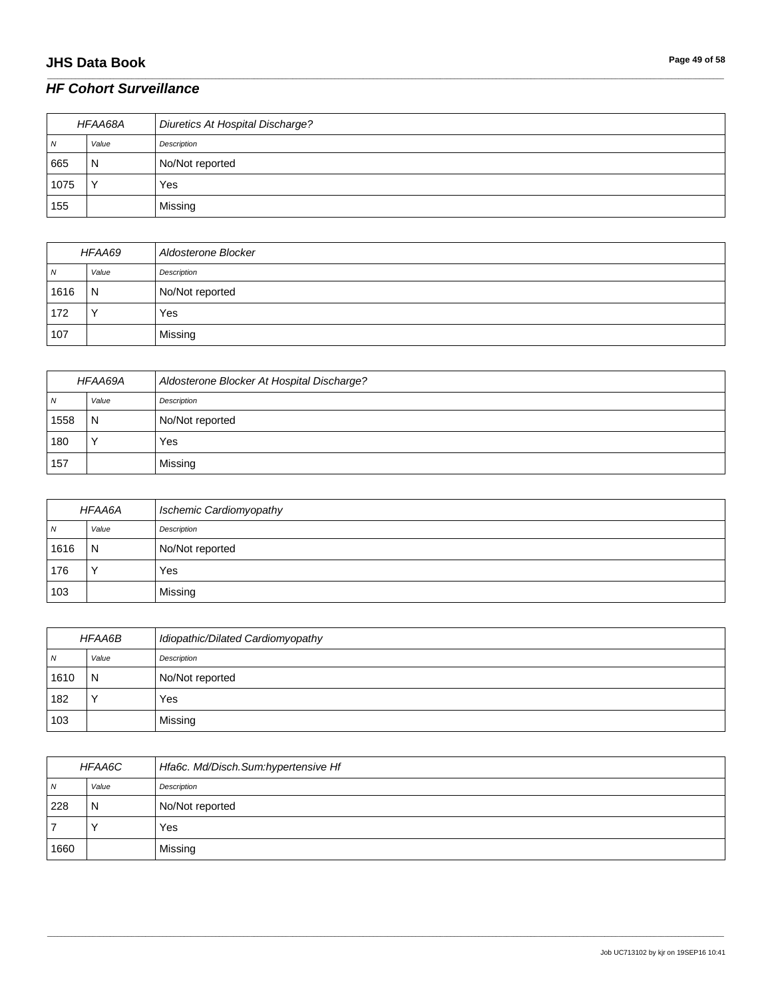## **JHS Data Book Page 49 of 58**

# *HF Cohort Surveillance*

| HFAA68A |       | <b>Diuretics At Hospital Discharge?</b> |
|---------|-------|-----------------------------------------|
| N       | Value | Description                             |
| 665     | N     | No/Not reported                         |
| 1075    |       | Yes                                     |
| 155     |       | Missing                                 |

\_\_\_\_\_\_\_\_\_\_\_\_\_\_\_\_\_\_\_\_\_\_\_\_\_\_\_\_\_\_\_\_\_\_\_\_\_\_\_\_\_\_\_\_\_\_\_\_\_\_\_\_\_\_\_\_\_\_\_\_\_\_\_\_\_\_\_\_\_\_\_\_\_\_\_\_\_\_\_\_\_\_\_\_\_\_\_\_\_\_\_\_\_\_\_\_\_\_\_\_\_\_\_\_\_\_\_\_\_\_\_\_\_\_\_\_\_\_\_\_\_\_\_\_\_\_\_\_\_\_\_\_\_\_\_\_\_\_\_\_\_\_\_\_\_\_\_\_\_\_\_\_\_\_\_\_\_\_\_\_\_\_\_\_\_\_\_\_\_\_\_\_\_\_\_\_\_\_\_\_\_\_\_\_\_\_\_\_\_\_\_\_\_

| HFAA69 |             | Aldosterone Blocker |
|--------|-------------|---------------------|
| N      | Value       | Description         |
| 1616   | N           | No/Not reported     |
| 172    | $\check{ }$ | Yes                 |
| 107    |             | Missing             |

| HFAA69A  |             | Aldosterone Blocker At Hospital Discharge? |
|----------|-------------|--------------------------------------------|
| <b>N</b> | Value       | Description                                |
| 1558     | N           | No/Not reported                            |
| 180      | $\check{ }$ | Yes                                        |
| 157      |             | Missing                                    |

| HFAA6A |       | <b>Ischemic Cardiomyopathy</b> |
|--------|-------|--------------------------------|
| N      | Value | Description                    |
| 1616   | N     | No/Not reported                |
| 176    |       | Yes                            |
| 103    |       | Missing                        |

| HFAA6B |                | Idiopathic/Dilated Cardiomyopathy |
|--------|----------------|-----------------------------------|
| N      | Value          | Description                       |
| 1610   | $\overline{N}$ | No/Not reported                   |
| 182    |                | Yes                               |
| 103    |                | Missing                           |

| HFAA6C |       | Hfa6c. Md/Disch.Sum:hypertensive Hf |
|--------|-------|-------------------------------------|
| N      | Value | Description                         |
| 228    | N     | No/Not reported                     |
|        |       | Yes                                 |
| 1660   |       | Missina                             |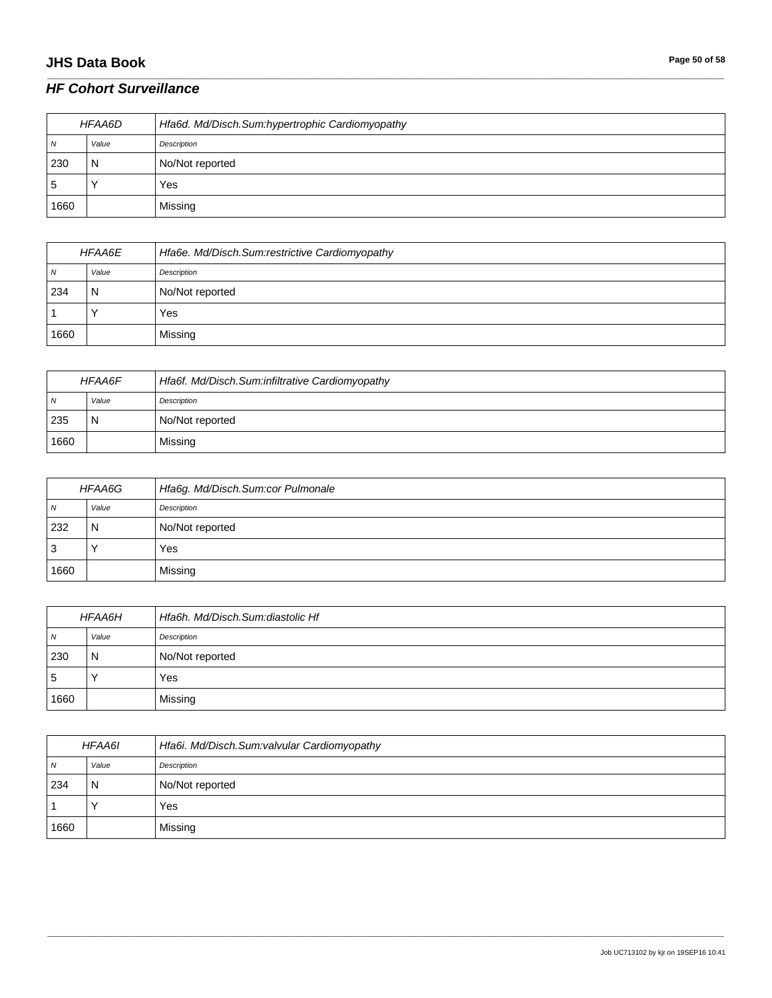## **JHS Data Book Page 50 of 58**

#### *HF Cohort Surveillance*

| HFAA6D |       | Hfa6d. Md/Disch. Sum:hypertrophic Cardiomyopathy |
|--------|-------|--------------------------------------------------|
| N      | Value | Description                                      |
| 230    | N     | No/Not reported                                  |
| 5      |       | Yes                                              |
| 1660   |       | Missing                                          |

\_\_\_\_\_\_\_\_\_\_\_\_\_\_\_\_\_\_\_\_\_\_\_\_\_\_\_\_\_\_\_\_\_\_\_\_\_\_\_\_\_\_\_\_\_\_\_\_\_\_\_\_\_\_\_\_\_\_\_\_\_\_\_\_\_\_\_\_\_\_\_\_\_\_\_\_\_\_\_\_\_\_\_\_\_\_\_\_\_\_\_\_\_\_\_\_\_\_\_\_\_\_\_\_\_\_\_\_\_\_\_\_\_\_\_\_\_\_\_\_\_\_\_\_\_\_\_\_\_\_\_\_\_\_\_\_\_\_\_\_\_\_\_\_\_\_\_\_\_\_\_\_\_\_\_\_\_\_\_\_\_\_\_\_\_\_\_\_\_\_\_\_\_\_\_\_\_\_\_\_\_\_\_\_\_\_\_\_\_\_\_\_\_

| <b>HFAA6E</b> |       | Hfa6e. Md/Disch.Sum:restrictive Cardiomyopathy |
|---------------|-------|------------------------------------------------|
| N             | Value | Description                                    |
| 234           | N     | No/Not reported                                |
|               |       | Yes                                            |
| 1660          |       | Missing                                        |

| <b>HFAA6F</b> |       | Hfa6f. Md/Disch.Sum:infiltrative Cardiomyopathy |
|---------------|-------|-------------------------------------------------|
| - N           | Value | Description                                     |
| 235           | N     | No/Not reported                                 |
| 1660          |       | Missing                                         |

| HFAA6G         |       | Hfa6g. Md/Disch.Sum:cor Pulmonale |
|----------------|-------|-----------------------------------|
| $\overline{N}$ | Value | Description                       |
| 232            | N     | No/Not reported                   |
| 3              |       | Yes                               |
| 1660           |       | Missing                           |

| HFAA6H         |       | Hfa6h. Md/Disch.Sum:diastolic Hf |
|----------------|-------|----------------------------------|
| $\overline{N}$ | Value | Description                      |
| 230            | N     | No/Not reported                  |
| 5              |       | Yes                              |
| 1660           |       | Missing                          |

| HFAA6I         |       | Hfa6i. Md/Disch.Sum:valvular Cardiomyopathy |
|----------------|-------|---------------------------------------------|
| $\overline{N}$ | Value | Description                                 |
| 234            | N     | No/Not reported                             |
|                |       | Yes                                         |
| 1660           |       | Missing                                     |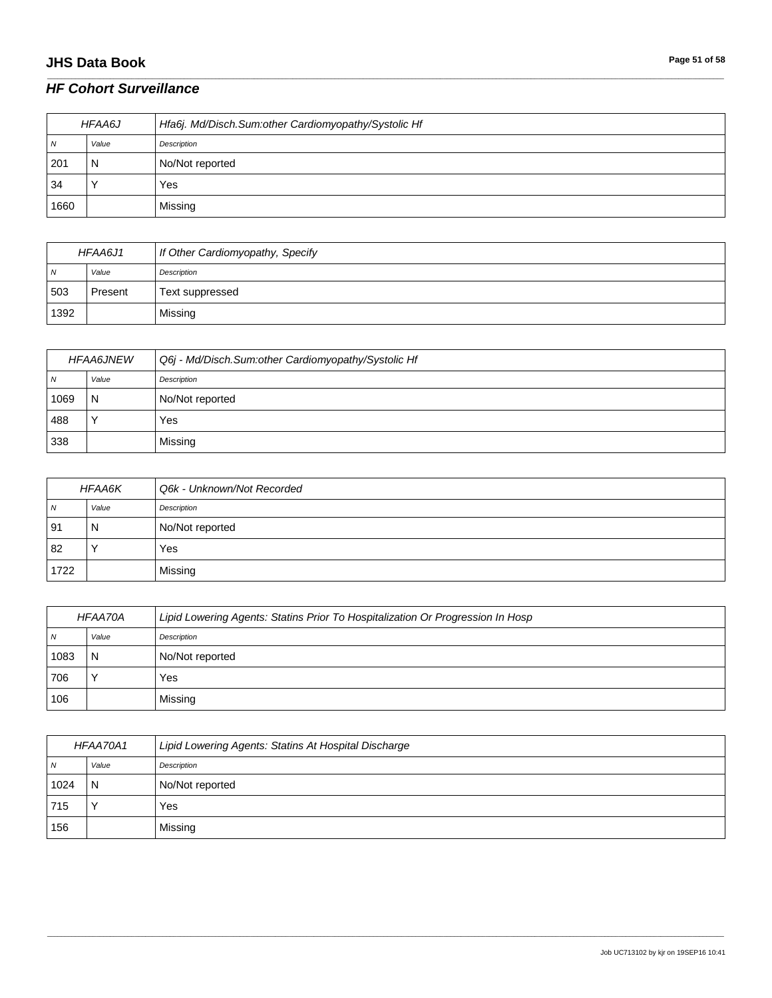## **JHS Data Book Page 51 of 58**

#### *HF Cohort Surveillance*

| HFAA6J |       | Hfa6j. Md/Disch.Sum:other Cardiomyopathy/Systolic Hf |
|--------|-------|------------------------------------------------------|
| N      | Value | Description                                          |
| 201    | N     | No/Not reported                                      |
| 34     |       | Yes                                                  |
| 1660   |       | Missing                                              |

\_\_\_\_\_\_\_\_\_\_\_\_\_\_\_\_\_\_\_\_\_\_\_\_\_\_\_\_\_\_\_\_\_\_\_\_\_\_\_\_\_\_\_\_\_\_\_\_\_\_\_\_\_\_\_\_\_\_\_\_\_\_\_\_\_\_\_\_\_\_\_\_\_\_\_\_\_\_\_\_\_\_\_\_\_\_\_\_\_\_\_\_\_\_\_\_\_\_\_\_\_\_\_\_\_\_\_\_\_\_\_\_\_\_\_\_\_\_\_\_\_\_\_\_\_\_\_\_\_\_\_\_\_\_\_\_\_\_\_\_\_\_\_\_\_\_\_\_\_\_\_\_\_\_\_\_\_\_\_\_\_\_\_\_\_\_\_\_\_\_\_\_\_\_\_\_\_\_\_\_\_\_\_\_\_\_\_\_\_\_\_\_\_

| HFAA6J1 |         | If Other Cardiomyopathy, Specify |
|---------|---------|----------------------------------|
| N       | Value   | Description                      |
| 503     | Present | Text suppressed                  |
| 1392    |         | Missing                          |

| <b>HFAA6JNEW</b> |       | Q6j - Md/Disch.Sum:other Cardiomyopathy/Systolic Hf |
|------------------|-------|-----------------------------------------------------|
| N                | Value | Description                                         |
| 1069             | N     | No/Not reported                                     |
| 488              |       | Yes                                                 |
| 338              |       | Missing                                             |

| <b>HFAA6K</b>  |       | Q6k - Unknown/Not Recorded |
|----------------|-------|----------------------------|
| $\overline{N}$ | Value | Description                |
| 91             | N     | No/Not reported            |
| 82             |       | Yes                        |
| 1722           |       | Missing                    |

| HFAA70A |       | Lipid Lowering Agents: Statins Prior To Hospitalization Or Progression In Hosp |
|---------|-------|--------------------------------------------------------------------------------|
| N       | Value | Description                                                                    |
| 1083    | N     | No/Not reported                                                                |
| 706     |       | Yes                                                                            |
| 106     |       | Missing                                                                        |

| HFAA70A1       |       | Lipid Lowering Agents: Statins At Hospital Discharge |
|----------------|-------|------------------------------------------------------|
| $\overline{N}$ | Value | Description                                          |
| 1024           | N     | No/Not reported                                      |
| 715            |       | Yes                                                  |
| 156            |       | Missing                                              |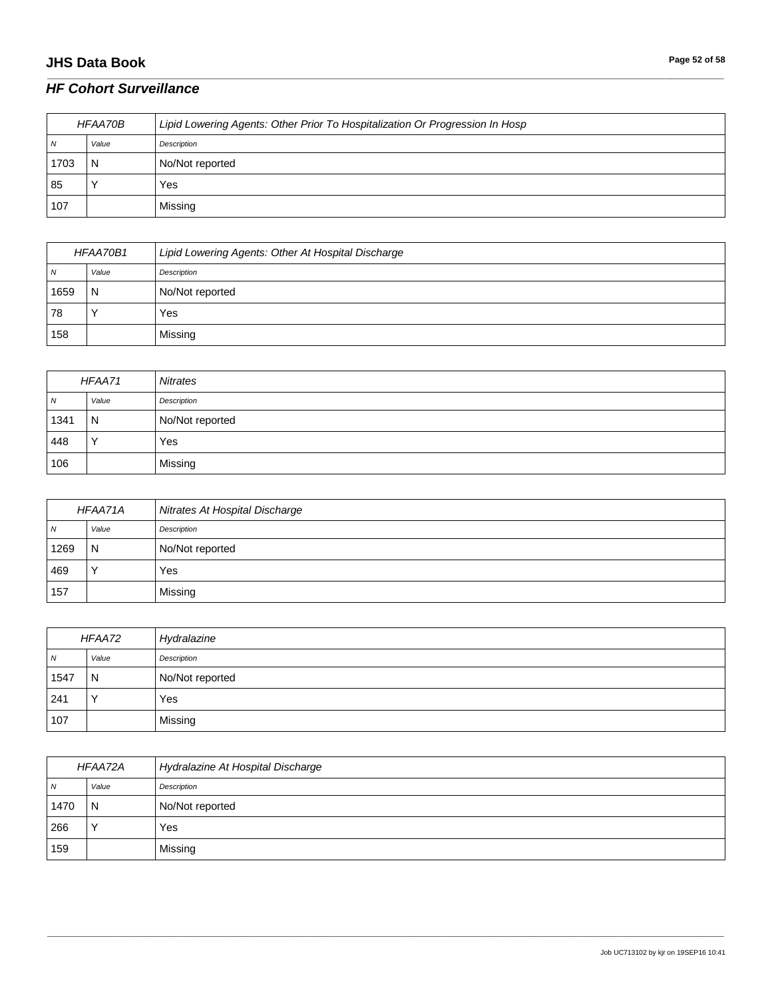## **JHS Data Book Page 52 of 58**

# *HF Cohort Surveillance*

| <b>HFAA70B</b> |       | Lipid Lowering Agents: Other Prior To Hospitalization Or Progression In Hosp |
|----------------|-------|------------------------------------------------------------------------------|
| N              | Value | Description                                                                  |
| 1703           | N     | No/Not reported                                                              |
| 85             |       | Yes                                                                          |
| 107            |       | Missing                                                                      |

\_\_\_\_\_\_\_\_\_\_\_\_\_\_\_\_\_\_\_\_\_\_\_\_\_\_\_\_\_\_\_\_\_\_\_\_\_\_\_\_\_\_\_\_\_\_\_\_\_\_\_\_\_\_\_\_\_\_\_\_\_\_\_\_\_\_\_\_\_\_\_\_\_\_\_\_\_\_\_\_\_\_\_\_\_\_\_\_\_\_\_\_\_\_\_\_\_\_\_\_\_\_\_\_\_\_\_\_\_\_\_\_\_\_\_\_\_\_\_\_\_\_\_\_\_\_\_\_\_\_\_\_\_\_\_\_\_\_\_\_\_\_\_\_\_\_\_\_\_\_\_\_\_\_\_\_\_\_\_\_\_\_\_\_\_\_\_\_\_\_\_\_\_\_\_\_\_\_\_\_\_\_\_\_\_\_\_\_\_\_\_\_\_

| HFAA70B1 |       | Lipid Lowering Agents: Other At Hospital Discharge |
|----------|-------|----------------------------------------------------|
| N        | Value | Description                                        |
| 1659     | N     | No/Not reported                                    |
| 78       |       | Yes                                                |
| 158      |       | Missing                                            |

| HFAA71 |           | <b>Nitrates</b> |
|--------|-----------|-----------------|
| N      | Value     | Description     |
| 1341   | N         | No/Not reported |
| 448    | $\sqrt{}$ | Yes             |
| 106    |           | Missing         |

| HFAA71A        |       | Nitrates At Hospital Discharge |
|----------------|-------|--------------------------------|
| $\overline{N}$ | Value | Description                    |
| 1269           | N     | No/Not reported                |
| 469            |       | Yes                            |
| 157            |       | Missing                        |

| HFAA72         |       | Hydralazine     |
|----------------|-------|-----------------|
| $\overline{N}$ | Value | Description     |
| 1547           | N     | No/Not reported |
| 241            |       | Yes             |
| 107            |       | Missing         |

| HFAA72A  |           | Hydralazine At Hospital Discharge |
|----------|-----------|-----------------------------------|
| <b>N</b> | Value     | Description                       |
| 1470     | N         | No/Not reported                   |
| 266      | $\sqrt{}$ | Yes                               |
| 159      |           | Missing                           |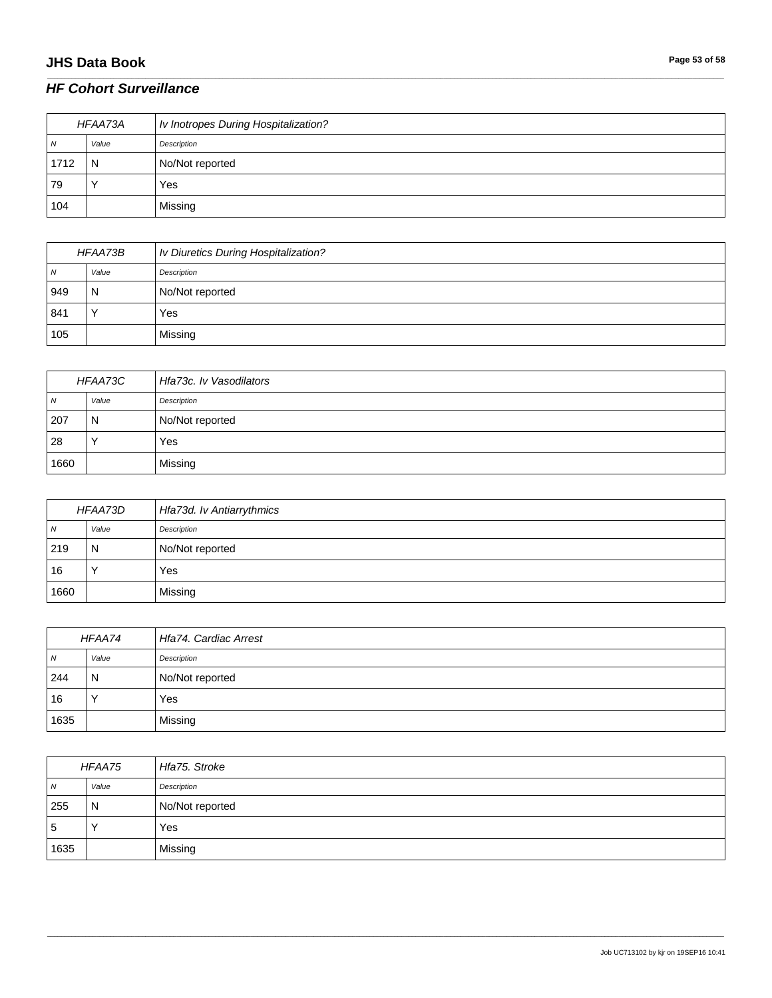## **JHS Data Book Page 53 of 58**

# *HF Cohort Surveillance*

| HFAA73A |       | Iv Inotropes During Hospitalization? |
|---------|-------|--------------------------------------|
| N       | Value | Description                          |
| 1712    | N     | No/Not reported                      |
| 79      |       | Yes                                  |
| 104     |       | Missing                              |

\_\_\_\_\_\_\_\_\_\_\_\_\_\_\_\_\_\_\_\_\_\_\_\_\_\_\_\_\_\_\_\_\_\_\_\_\_\_\_\_\_\_\_\_\_\_\_\_\_\_\_\_\_\_\_\_\_\_\_\_\_\_\_\_\_\_\_\_\_\_\_\_\_\_\_\_\_\_\_\_\_\_\_\_\_\_\_\_\_\_\_\_\_\_\_\_\_\_\_\_\_\_\_\_\_\_\_\_\_\_\_\_\_\_\_\_\_\_\_\_\_\_\_\_\_\_\_\_\_\_\_\_\_\_\_\_\_\_\_\_\_\_\_\_\_\_\_\_\_\_\_\_\_\_\_\_\_\_\_\_\_\_\_\_\_\_\_\_\_\_\_\_\_\_\_\_\_\_\_\_\_\_\_\_\_\_\_\_\_\_\_\_\_

| HFAA73B |       | Iv Diuretics During Hospitalization? |
|---------|-------|--------------------------------------|
| 7V      | Value | Description                          |
| 949     | N     | No/Not reported                      |
| 841     |       | Yes                                  |
| 105     |       | Missing                              |

| HFAA73C  |           | Hfa73c. Iv Vasodilators |
|----------|-----------|-------------------------|
| <b>N</b> | Value     | Description             |
| 207      | N         | No/Not reported         |
| 28       | $\lambda$ | Yes                     |
| 1660     |           | Missing                 |

| HFAA73D |       | Hfa73d. Iv Antiarrythmics |
|---------|-------|---------------------------|
| N       | Value | Description               |
| 219     | N     | No/Not reported           |
| 16      |       | Yes                       |
| 1660    |       | Missing                   |

| HFAA74         |       | <b>Hfa74, Cardiac Arrest</b> |
|----------------|-------|------------------------------|
| $\overline{N}$ | Value | Description                  |
| 244            | N     | No/Not reported              |
| 16             |       | Yes                          |
| 1635           |       | Missing                      |

| HFAA75       |       | Hfa75. Stroke   |
|--------------|-------|-----------------|
| <sub>N</sub> | Value | Description     |
| 255          | N     | No/Not reported |
| 5            |       | Yes             |
| 1635         |       | Missing         |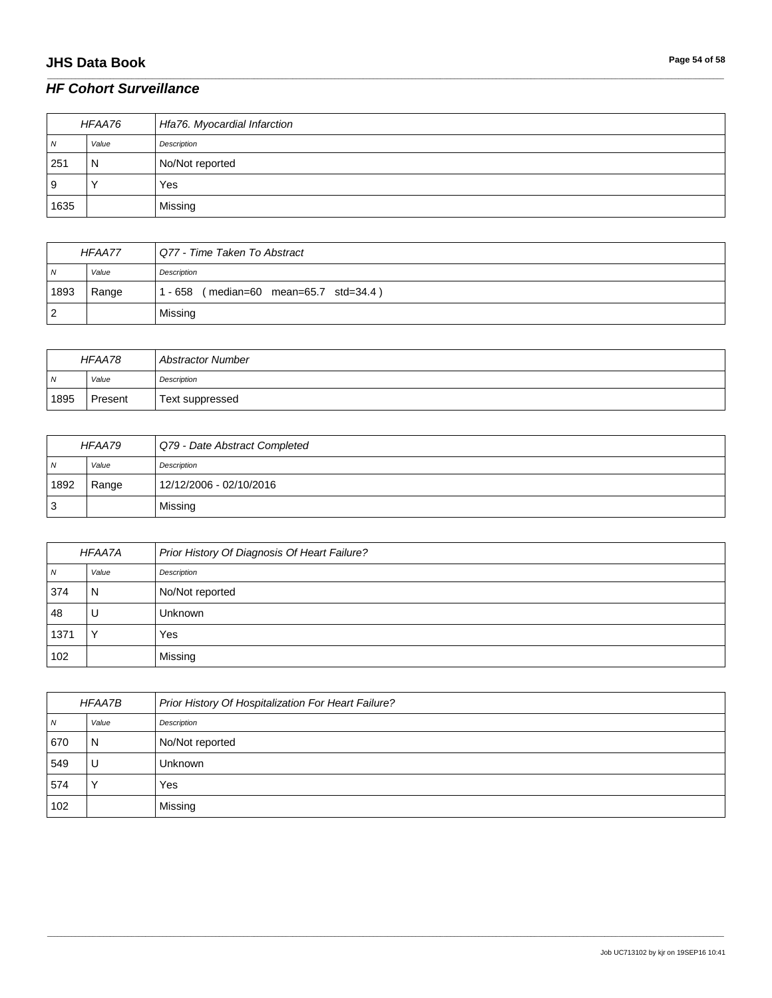## **JHS Data Book Page 54 of 58**

## *HF Cohort Surveillance*

| HFAA76 |       | Hfa76. Myocardial Infarction |
|--------|-------|------------------------------|
| N      | Value | Description                  |
| 251    | N     | No/Not reported              |
| 9      |       | Yes                          |
| 1635   |       | Missing                      |

\_\_\_\_\_\_\_\_\_\_\_\_\_\_\_\_\_\_\_\_\_\_\_\_\_\_\_\_\_\_\_\_\_\_\_\_\_\_\_\_\_\_\_\_\_\_\_\_\_\_\_\_\_\_\_\_\_\_\_\_\_\_\_\_\_\_\_\_\_\_\_\_\_\_\_\_\_\_\_\_\_\_\_\_\_\_\_\_\_\_\_\_\_\_\_\_\_\_\_\_\_\_\_\_\_\_\_\_\_\_\_\_\_\_\_\_\_\_\_\_\_\_\_\_\_\_\_\_\_\_\_\_\_\_\_\_\_\_\_\_\_\_\_\_\_\_\_\_\_\_\_\_\_\_\_\_\_\_\_\_\_\_\_\_\_\_\_\_\_\_\_\_\_\_\_\_\_\_\_\_\_\_\_\_\_\_\_\_\_\_\_\_\_

| HFAA77         |       | Q77 - Time Taken To Abstract           |
|----------------|-------|----------------------------------------|
| $\overline{N}$ | Value | Description                            |
| 1893           | Range | 1 - 658 (median=60 mean=65.7 std=34.4) |
| $\overline{2}$ |       | Missing                                |

| HFAA78         |         | <b>Abstractor Number</b> |
|----------------|---------|--------------------------|
| N <sub>1</sub> | Value   | Description              |
| 1895           | Present | Text suppressed          |

| HFAA79         |       | Q79 - Date Abstract Completed |
|----------------|-------|-------------------------------|
| $\overline{N}$ | Value | Description                   |
| 1892           | Range | 12/12/2006 - 02/10/2016       |
| Ι3             |       | Missing                       |

| HFAA7A         |       | Prior History Of Diagnosis Of Heart Failure? |
|----------------|-------|----------------------------------------------|
| $\overline{N}$ | Value | Description                                  |
| 374            | N     | No/Not reported                              |
| 48             |       | <b>Unknown</b>                               |
| 1371           |       | Yes                                          |
| 102            |       | Missing                                      |

| <i>HFAA7B</i> |       | Prior History Of Hospitalization For Heart Failure? |
|---------------|-------|-----------------------------------------------------|
| N             | Value | Description                                         |
| 670           | N     | No/Not reported                                     |
| 549           |       | Unknown                                             |
| 574           |       | Yes                                                 |
| 102           |       | Missing                                             |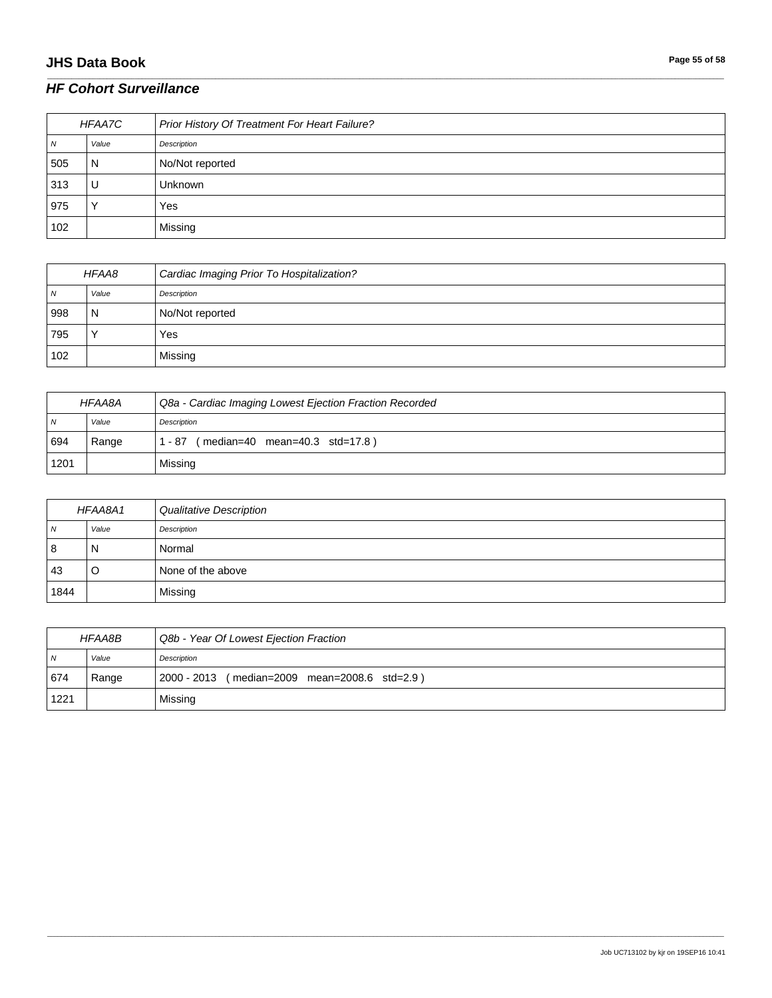## **JHS Data Book Page 55 of 58**

# *HF Cohort Surveillance*

| HFAA7C |       | Prior History Of Treatment For Heart Failure? |
|--------|-------|-----------------------------------------------|
| N      | Value | Description                                   |
| 505    | N     | No/Not reported                               |
| 313    | U     | Unknown                                       |
| 975    |       | Yes                                           |
| 102    |       | Missing                                       |

\_\_\_\_\_\_\_\_\_\_\_\_\_\_\_\_\_\_\_\_\_\_\_\_\_\_\_\_\_\_\_\_\_\_\_\_\_\_\_\_\_\_\_\_\_\_\_\_\_\_\_\_\_\_\_\_\_\_\_\_\_\_\_\_\_\_\_\_\_\_\_\_\_\_\_\_\_\_\_\_\_\_\_\_\_\_\_\_\_\_\_\_\_\_\_\_\_\_\_\_\_\_\_\_\_\_\_\_\_\_\_\_\_\_\_\_\_\_\_\_\_\_\_\_\_\_\_\_\_\_\_\_\_\_\_\_\_\_\_\_\_\_\_\_\_\_\_\_\_\_\_\_\_\_\_\_\_\_\_\_\_\_\_\_\_\_\_\_\_\_\_\_\_\_\_\_\_\_\_\_\_\_\_\_\_\_\_\_\_\_\_\_\_

| HFAA8        |       | Cardiac Imaging Prior To Hospitalization? |
|--------------|-------|-------------------------------------------|
| <sub>N</sub> | Value | Description                               |
| 998          | N     | No/Not reported                           |
| 795          |       | Yes                                       |
| 102          |       | Missing                                   |

| HFAA8A         |       | Q8a - Cardiac Imaging Lowest Ejection Fraction Recorded |
|----------------|-------|---------------------------------------------------------|
| N <sub>N</sub> | Value | Description                                             |
| 694            | Range | (median=40 mean=40.3 std=17.8)<br>. - 87                |
| 1201           |       | Missing                                                 |

| HFAA8A1 |       | Qualitative Description |
|---------|-------|-------------------------|
| N       | Value | Description             |
| 8       | N     | Normal                  |
| 43      | O     | None of the above       |
| 1844    |       | Missing                 |

| HFAA8B         |       | Q8b - Year Of Lowest Ejection Fraction        |
|----------------|-------|-----------------------------------------------|
| $\overline{N}$ | Value | Description                                   |
| 674            | Range | 2000 - 2013 (median=2009 mean=2008.6 std=2.9) |
| 1221           |       | Missing                                       |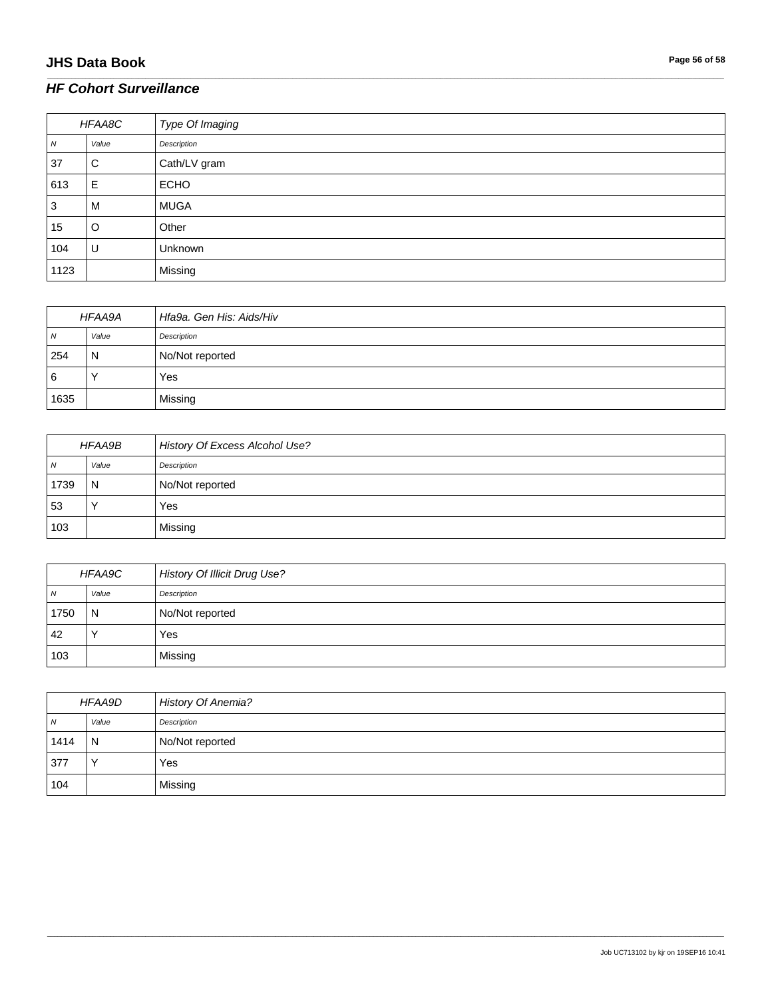## *HF Cohort Surveillance*

| HFAA8C |       | Type Of Imaging |
|--------|-------|-----------------|
| N      | Value | Description     |
| 37     | С     | Cath/LV gram    |
| 613    | Е     | <b>ECHO</b>     |
| 3      | м     | <b>MUGA</b>     |
| 15     | O     | Other           |
| 104    | U     | Unknown         |
| 1123   |       | Missing         |

\_\_\_\_\_\_\_\_\_\_\_\_\_\_\_\_\_\_\_\_\_\_\_\_\_\_\_\_\_\_\_\_\_\_\_\_\_\_\_\_\_\_\_\_\_\_\_\_\_\_\_\_\_\_\_\_\_\_\_\_\_\_\_\_\_\_\_\_\_\_\_\_\_\_\_\_\_\_\_\_\_\_\_\_\_\_\_\_\_\_\_\_\_\_\_\_\_\_\_\_\_\_\_\_\_\_\_\_\_\_\_\_\_\_\_\_\_\_\_\_\_\_\_\_\_\_\_\_\_\_\_\_\_\_\_\_\_\_\_\_\_\_\_\_\_\_\_\_\_\_\_\_\_\_\_\_\_\_\_\_\_\_\_\_\_\_\_\_\_\_\_\_\_\_\_\_\_\_\_\_\_\_\_\_\_\_\_\_\_\_\_\_\_

| HFAA9A   |       | Hfa9a, Gen His: Aids/Hiv |
|----------|-------|--------------------------|
| N        | Value | Description              |
| 254      | N     | No/Not reported          |
| <b>6</b> |       | Yes                      |
| 1635     |       | Missing                  |

| HFAA9B |       | History Of Excess Alcohol Use? |
|--------|-------|--------------------------------|
| N      | Value | Description                    |
| 1739   | N     | No/Not reported                |
| 53     |       | Yes                            |
| 103    |       | Missing                        |

| HFAA9C |           | <b>History Of Illicit Drug Use?</b> |
|--------|-----------|-------------------------------------|
| N      | Value     | Description                         |
| 1750   | l N       | No/Not reported                     |
| 42     | $\lambda$ | Yes                                 |
| 103    |           | Missing                             |

| <b>HFAA9D</b>  |       | <b>History Of Anemia?</b> |
|----------------|-------|---------------------------|
| $\overline{N}$ | Value | Description               |
| 1414           | N     | No/Not reported           |
| 377            |       | Yes                       |
| 104            |       | Missing                   |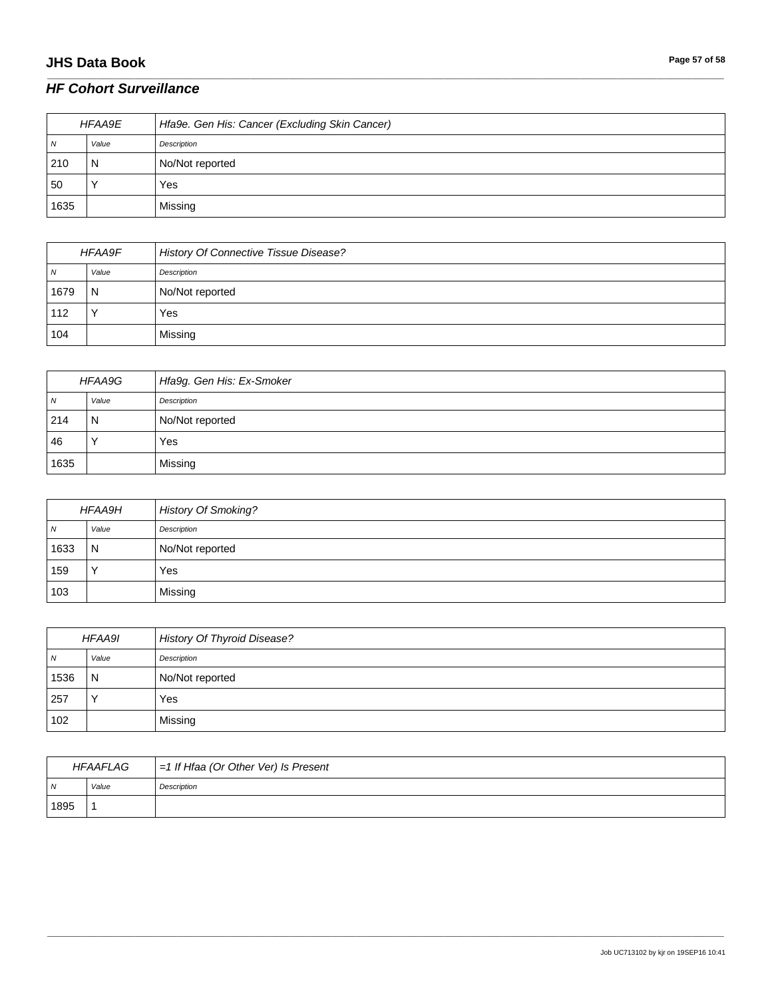## **JHS Data Book Page 57 of 58**

## *HF Cohort Surveillance*

| <b>HFAA9E</b> |       | Hfa9e. Gen His: Cancer (Excluding Skin Cancer) |
|---------------|-------|------------------------------------------------|
| N             | Value | Description                                    |
| 210           | N     | No/Not reported                                |
| 50            |       | Yes                                            |
| 1635          |       | Missing                                        |

\_\_\_\_\_\_\_\_\_\_\_\_\_\_\_\_\_\_\_\_\_\_\_\_\_\_\_\_\_\_\_\_\_\_\_\_\_\_\_\_\_\_\_\_\_\_\_\_\_\_\_\_\_\_\_\_\_\_\_\_\_\_\_\_\_\_\_\_\_\_\_\_\_\_\_\_\_\_\_\_\_\_\_\_\_\_\_\_\_\_\_\_\_\_\_\_\_\_\_\_\_\_\_\_\_\_\_\_\_\_\_\_\_\_\_\_\_\_\_\_\_\_\_\_\_\_\_\_\_\_\_\_\_\_\_\_\_\_\_\_\_\_\_\_\_\_\_\_\_\_\_\_\_\_\_\_\_\_\_\_\_\_\_\_\_\_\_\_\_\_\_\_\_\_\_\_\_\_\_\_\_\_\_\_\_\_\_\_\_\_\_\_\_

| <b>HFAA9F</b> |       | History Of Connective Tissue Disease? |
|---------------|-------|---------------------------------------|
| N             | Value | Description                           |
| 1679          | N     | No/Not reported                       |
| 112           |       | Yes                                   |
| 104           |       | Missing                               |

| HFAA9G   |           | Hfa9g. Gen His: Ex-Smoker |
|----------|-----------|---------------------------|
| <b>N</b> | Value     | Description               |
| 214      | N         | No/Not reported           |
| 46       | $\lambda$ | Yes                       |
| 1635     |           | Missing                   |

| HFAA9H |       | <b>History Of Smoking?</b> |
|--------|-------|----------------------------|
| N      | Value | Description                |
| 1633   | N     | No/Not reported            |
| 159    |       | Yes                        |
| 103    |       | Missing                    |

| <b>HFAA9I</b>  |       | History Of Thyroid Disease? |
|----------------|-------|-----------------------------|
| $\overline{N}$ | Value | Description                 |
| 1536           | N     | No/Not reported             |
| 257            |       | Yes                         |
| 102            |       | Missing                     |

| <b>HFAAFLAG</b> |       | $=1$ If Hfaa (Or Other Ver) Is Present |
|-----------------|-------|----------------------------------------|
| $\overline{N}$  | Value | Description                            |
| 1895            |       |                                        |